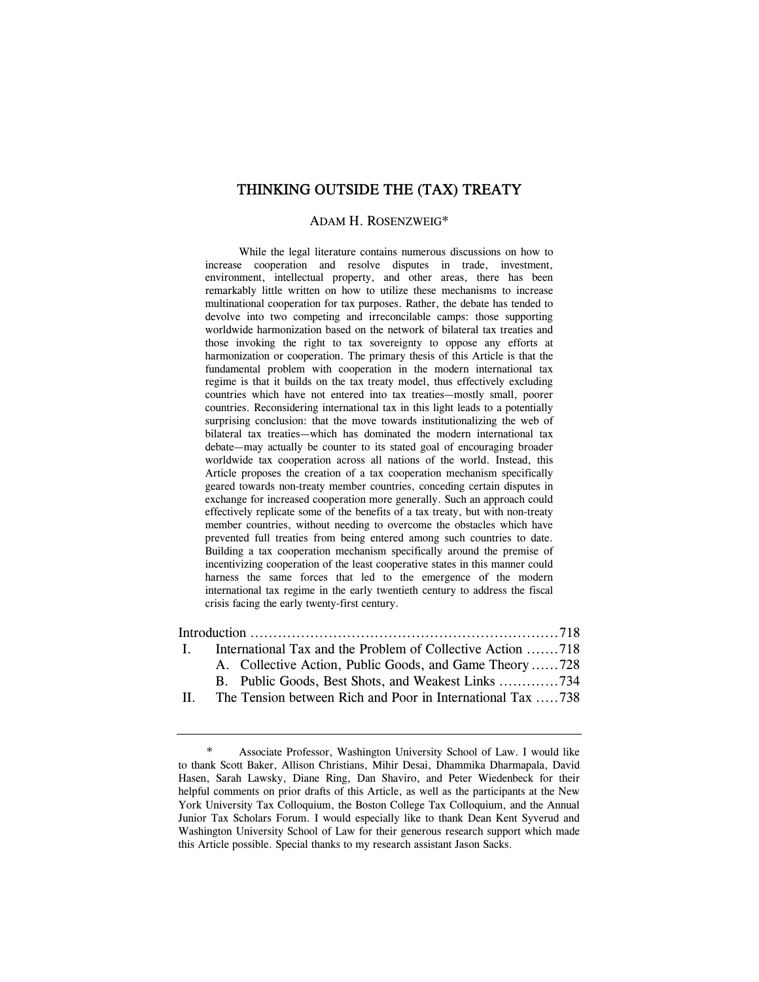# THINKING OUTSIDE THE (TAX) TREATY

#### ADAM H. ROSENZWEIG\*

 While the legal literature contains numerous discussions on how to increase cooperation and resolve disputes in trade, investment, environment, intellectual property, and other areas, there has been remarkably little written on how to utilize these mechanisms to increase multinational cooperation for tax purposes. Rather, the debate has tended to devolve into two competing and irreconcilable camps: those supporting worldwide harmonization based on the network of bilateral tax treaties and those invoking the right to tax sovereignty to oppose any efforts at harmonization or cooperation. The primary thesis of this Article is that the fundamental problem with cooperation in the modern international tax regime is that it builds on the tax treaty model, thus effectively excluding countries which have not entered into tax treaties—mostly small, poorer countries. Reconsidering international tax in this light leads to a potentially surprising conclusion: that the move towards institutionalizing the web of bilateral tax treaties—which has dominated the modern international tax debate—may actually be counter to its stated goal of encouraging broader worldwide tax cooperation across all nations of the world. Instead, this Article proposes the creation of a tax cooperation mechanism specifically geared towards non-treaty member countries, conceding certain disputes in exchange for increased cooperation more generally. Such an approach could effectively replicate some of the benefits of a tax treaty, but with non-treaty member countries, without needing to overcome the obstacles which have prevented full treaties from being entered among such countries to date. Building a tax cooperation mechanism specifically around the premise of incentivizing cooperation of the least cooperative states in this manner could harness the same forces that led to the emergence of the modern international tax regime in the early twentieth century to address the fiscal crisis facing the early twenty-first century.

| $\mathbf{I}$ | International Tax and the Problem of Collective Action 718 |
|--------------|------------------------------------------------------------|
|              | A. Collective Action, Public Goods, and Game Theory 728    |
|              | B. Public Goods, Best Shots, and Weakest Links 734         |
| $\mathbf{H}$ | The Tension between Rich and Poor in International Tax 738 |

Associate Professor, Washington University School of Law. I would like to thank Scott Baker, Allison Christians, Mihir Desai, Dhammika Dharmapala, David Hasen, Sarah Lawsky, Diane Ring, Dan Shaviro, and Peter Wiedenbeck for their helpful comments on prior drafts of this Article, as well as the participants at the New York University Tax Colloquium, the Boston College Tax Colloquium, and the Annual Junior Tax Scholars Forum. I would especially like to thank Dean Kent Syverud and Washington University School of Law for their generous research support which made this Article possible. Special thanks to my research assistant Jason Sacks.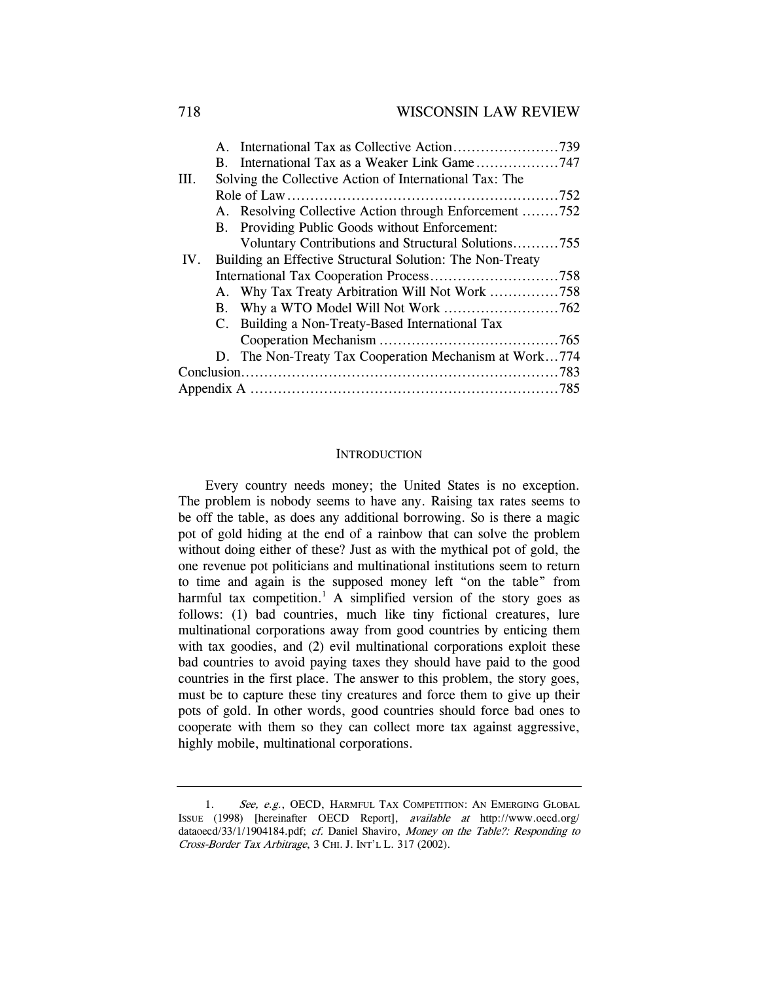## 718 WISCONSIN LAW REVIEW

|      | B. International Tax as a Weaker Link Game747             |  |
|------|-----------------------------------------------------------|--|
| III. | Solving the Collective Action of International Tax: The   |  |
|      |                                                           |  |
|      | A. Resolving Collective Action through Enforcement 752    |  |
|      | B. Providing Public Goods without Enforcement:            |  |
|      | Voluntary Contributions and Structural Solutions755       |  |
| IV.  | Building an Effective Structural Solution: The Non-Treaty |  |
|      |                                                           |  |
|      | A. Why Tax Treaty Arbitration Will Not Work 758           |  |
|      |                                                           |  |
|      | C. Building a Non-Treaty-Based International Tax          |  |
|      |                                                           |  |
|      | D. The Non-Treaty Tax Cooperation Mechanism at Work774    |  |
|      |                                                           |  |
|      |                                                           |  |

#### **INTRODUCTION**

Every country needs money; the United States is no exception. The problem is nobody seems to have any. Raising tax rates seems to be off the table, as does any additional borrowing. So is there a magic pot of gold hiding at the end of a rainbow that can solve the problem without doing either of these? Just as with the mythical pot of gold, the one revenue pot politicians and multinational institutions seem to return to time and again is the supposed money left "on the table" from harmful tax competition.<sup>1</sup> A simplified version of the story goes as follows: (1) bad countries, much like tiny fictional creatures, lure multinational corporations away from good countries by enticing them with tax goodies, and (2) evil multinational corporations exploit these bad countries to avoid paying taxes they should have paid to the good countries in the first place. The answer to this problem, the story goes, must be to capture these tiny creatures and force them to give up their pots of gold. In other words, good countries should force bad ones to cooperate with them so they can collect more tax against aggressive, highly mobile, multinational corporations.

<sup>1.</sup> See, e.g., OECD, HARMFUL TAX COMPETITION: AN EMERGING GLOBAL ISSUE (1998) [hereinafter OECD Report], available at http://www.oecd.org/ dataoecd/33/1/1904184.pdf; cf. Daniel Shaviro, Money on the Table?: Responding to Cross-Border Tax Arbitrage, 3 CHI. J. INT'L L. 317 (2002).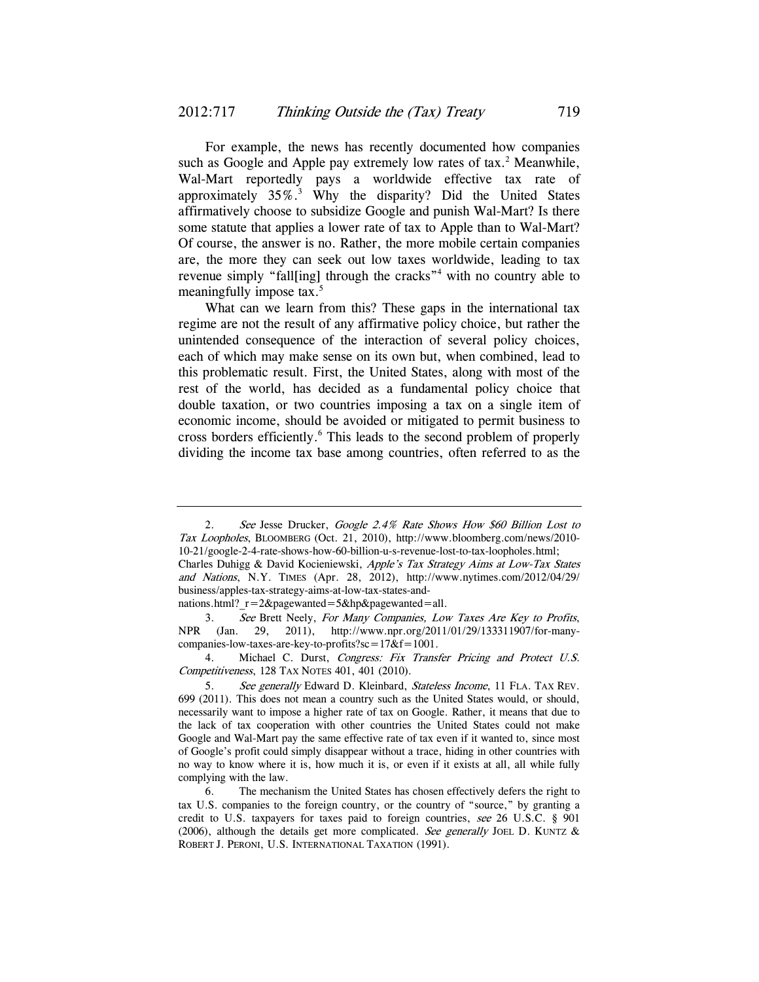For example, the news has recently documented how companies such as Google and Apple pay extremely low rates of  $tax.^2$  Meanwhile, Wal-Mart reportedly pays a worldwide effective tax rate of approximately  $35\%$ <sup>3</sup> Why the disparity? Did the United States affirmatively choose to subsidize Google and punish Wal-Mart? Is there some statute that applies a lower rate of tax to Apple than to Wal-Mart? Of course, the answer is no. Rather, the more mobile certain companies are, the more they can seek out low taxes worldwide, leading to tax revenue simply "fall[ing] through the cracks"<sup>4</sup> with no country able to meaningfully impose tax.<sup>5</sup>

What can we learn from this? These gaps in the international tax regime are not the result of any affirmative policy choice, but rather the unintended consequence of the interaction of several policy choices, each of which may make sense on its own but, when combined, lead to this problematic result. First, the United States, along with most of the rest of the world, has decided as a fundamental policy choice that double taxation, or two countries imposing a tax on a single item of economic income, should be avoided or mitigated to permit business to cross borders efficiently.<sup>6</sup> This leads to the second problem of properly dividing the income tax base among countries, often referred to as the

<sup>2.</sup> See Jesse Drucker, Google 2.4% Rate Shows How \$60 Billion Lost to Tax Loopholes, BLOOMBERG (Oct. 21, 2010), http://www.bloomberg.com/news/2010- 10-21/google-2-4-rate-shows-how-60-billion-u-s-revenue-lost-to-tax-loopholes.html; Charles Duhigg & David Kocieniewski, Apple's Tax Strategy Aims at Low-Tax States and Nations, N.Y. TIMES (Apr. 28, 2012), http://www.nytimes.com/2012/04/29/ business/apples-tax-strategy-aims-at-low-tax-states-and-

nations.html?  $r=2$ &pagewanted=5&hp&pagewanted=all.

<sup>3.</sup> See Brett Neely, For Many Companies, Low Taxes Are Key to Profits, NPR (Jan. 29, 2011), http://www.npr.org/2011/01/29/133311907/for-manycompanies-low-taxes-are-key-to-profits?sc= $17&f=1001$ .

<sup>4.</sup> Michael C. Durst, Congress: Fix Transfer Pricing and Protect U.S. Competitiveness, 128 TAX NOTES 401, 401 (2010).

<sup>5.</sup> See generally Edward D. Kleinbard, Stateless Income, 11 FLA. TAX REV. 699 (2011). This does not mean a country such as the United States would, or should, necessarily want to impose a higher rate of tax on Google. Rather, it means that due to the lack of tax cooperation with other countries the United States could not make Google and Wal-Mart pay the same effective rate of tax even if it wanted to, since most of Google's profit could simply disappear without a trace, hiding in other countries with no way to know where it is, how much it is, or even if it exists at all, all while fully complying with the law.

 <sup>6.</sup> The mechanism the United States has chosen effectively defers the right to tax U.S. companies to the foreign country, or the country of "source," by granting a credit to U.S. taxpayers for taxes paid to foreign countries, see 26 U.S.C. § 901 (2006), although the details get more complicated. See generally JOEL D. KUNTZ  $\&$ ROBERT J. PERONI, U.S. INTERNATIONAL TAXATION (1991).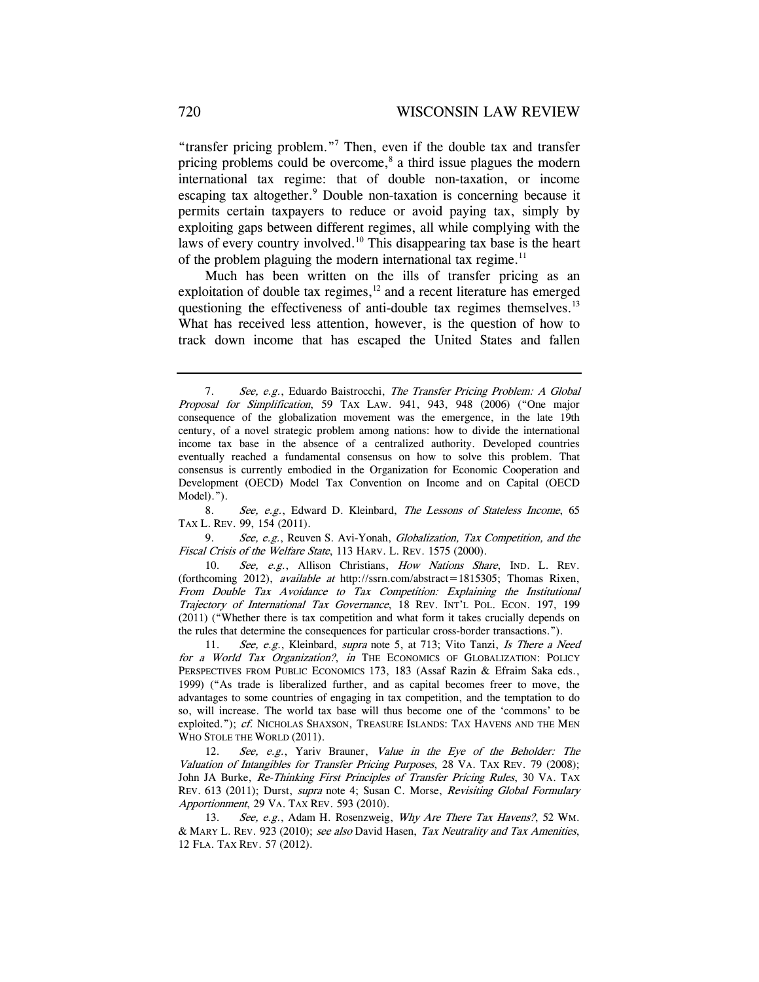"transfer pricing problem."7 Then, even if the double tax and transfer pricing problems could be overcome,<sup>8</sup> a third issue plagues the modern international tax regime: that of double non-taxation, or income escaping tax altogether.<sup>9</sup> Double non-taxation is concerning because it permits certain taxpayers to reduce or avoid paying tax, simply by exploiting gaps between different regimes, all while complying with the laws of every country involved.<sup>10</sup> This disappearing tax base is the heart of the problem plaguing the modern international tax regime. $11$ 

Much has been written on the ills of transfer pricing as an exploitation of double tax regimes, $12$  and a recent literature has emerged questioning the effectiveness of anti-double tax regimes themselves.<sup>13</sup> What has received less attention, however, is the question of how to track down income that has escaped the United States and fallen

8. See, e.g., Edward D. Kleinbard, The Lessons of Stateless Income, 65 TAX L. REV. 99, 154 (2011).

9. See, e.g., Reuven S. Avi-Yonah, Globalization, Tax Competition, and the Fiscal Crisis of the Welfare State, 113 HARV. L. REV. 1575 (2000).

10. See, e.g., Allison Christians, How Nations Share, IND. L. REV. (forthcoming 2012), available at http://ssrn.com/abstract=1815305; Thomas Rixen, From Double Tax Avoidance to Tax Competition: Explaining the Institutional Trajectory of International Tax Governance, 18 REV. INT'L POL. ECON. 197, 199 (2011) ("Whether there is tax competition and what form it takes crucially depends on the rules that determine the consequences for particular cross-border transactions.").

11. See, e.g., Kleinbard, supra note 5, at 713; Vito Tanzi, Is There a Need for a World Tax Organization?, in THE ECONOMICS OF GLOBALIZATION: POLICY PERSPECTIVES FROM PUBLIC ECONOMICS 173, 183 (Assaf Razin & Efraim Saka eds., 1999) ("As trade is liberalized further, and as capital becomes freer to move, the advantages to some countries of engaging in tax competition, and the temptation to do so, will increase. The world tax base will thus become one of the 'commons' to be exploited."); cf. NICHOLAS SHAXSON, TREASURE ISLANDS: TAX HAVENS AND THE MEN WHO STOLE THE WORLD (2011).

12. See, e.g., Yariv Brauner, Value in the Eye of the Beholder: The Valuation of Intangibles for Transfer Pricing Purposes, 28 VA. TAX REV. 79 (2008); John JA Burke, Re-Thinking First Principles of Transfer Pricing Rules, 30 VA. TAX REV. 613 (2011); Durst, supra note 4; Susan C. Morse, Revisiting Global Formulary Apportionment, 29 VA. TAX REV. 593 (2010).

13. See, e.g., Adam H. Rosenzweig, Why Are There Tax Havens?, 52 WM. & MARY L. REV. 923 (2010); see also David Hasen, Tax Neutrality and Tax Amenities, 12 FLA. TAX REV. 57 (2012).

<sup>7.</sup> See, e.g., Eduardo Baistrocchi, The Transfer Pricing Problem: A Global Proposal for Simplification, 59 TAX LAW. 941, 943, 948 (2006) ("One major consequence of the globalization movement was the emergence, in the late 19th century, of a novel strategic problem among nations: how to divide the international income tax base in the absence of a centralized authority. Developed countries eventually reached a fundamental consensus on how to solve this problem. That consensus is currently embodied in the Organization for Economic Cooperation and Development (OECD) Model Tax Convention on Income and on Capital (OECD Model).").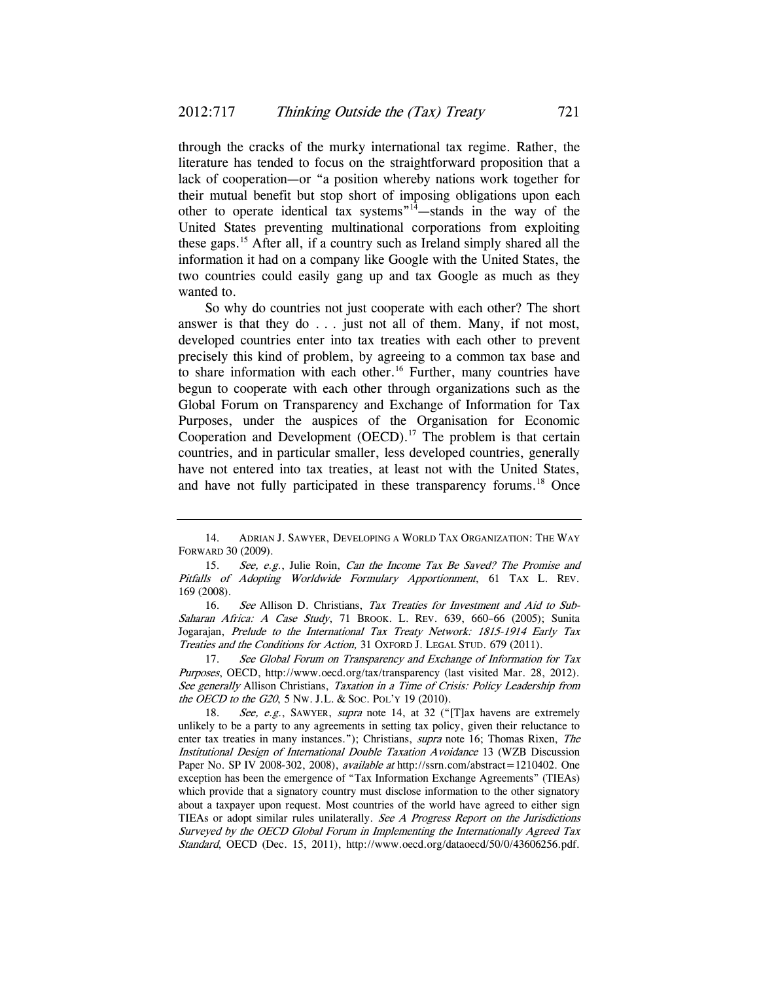through the cracks of the murky international tax regime. Rather, the literature has tended to focus on the straightforward proposition that a lack of cooperation—or "a position whereby nations work together for their mutual benefit but stop short of imposing obligations upon each other to operate identical tax systems"14—stands in the way of the United States preventing multinational corporations from exploiting these gaps.15 After all, if a country such as Ireland simply shared all the information it had on a company like Google with the United States, the two countries could easily gang up and tax Google as much as they wanted to.

So why do countries not just cooperate with each other? The short answer is that they do  $\ldots$  just not all of them. Many, if not most, developed countries enter into tax treaties with each other to prevent precisely this kind of problem, by agreeing to a common tax base and to share information with each other.<sup>16</sup> Further, many countries have begun to cooperate with each other through organizations such as the Global Forum on Transparency and Exchange of Information for Tax Purposes, under the auspices of the Organisation for Economic Cooperation and Development  $(OECD)$ .<sup>17</sup> The problem is that certain countries, and in particular smaller, less developed countries, generally have not entered into tax treaties, at least not with the United States, and have not fully participated in these transparency forums.<sup>18</sup> Once

16. See Allison D. Christians, Tax Treaties for Investment and Aid to Sub-Saharan Africa: A Case Study, 71 BROOK. L. REV. 639, 660–66 (2005); Sunita Jogarajan, Prelude to the International Tax Treaty Network: 1815-1914 Early Tax Treaties and the Conditions for Action, 31 OXFORD J. LEGAL STUD. 679 (2011).

17. See Global Forum on Transparency and Exchange of Information for Tax Purposes, OECD, http://www.oecd.org/tax/transparency (last visited Mar. 28, 2012). See generally Allison Christians, Taxation in a Time of Crisis: Policy Leadership from the OECD to the G20, 5 Nw. J.L. & Soc. Pol'y 19 (2010).

18. See, e.g., SAWYER, supra note 14, at 32 ("[T]ax havens are extremely unlikely to be a party to any agreements in setting tax policy, given their reluctance to enter tax treaties in many instances."); Christians, *supra* note 16; Thomas Rixen, The Institutional Design of International Double Taxation Avoidance 13 (WZB Discussion Paper No. SP IV 2008-302, 2008), *available at* http://ssrn.com/abstract=1210402. One exception has been the emergence of "Tax Information Exchange Agreements" (TIEAs) which provide that a signatory country must disclose information to the other signatory about a taxpayer upon request. Most countries of the world have agreed to either sign TIEAs or adopt similar rules unilaterally. See <sup>A</sup> Progress Report on the Jurisdictions Surveyed by the OECD Global Forum in Implementing the Internationally Agreed Tax Standard, OECD (Dec. 15, 2011), http://www.oecd.org/dataoecd/50/0/43606256.pdf.

 <sup>14.</sup> ADRIAN J. SAWYER, DEVELOPING A WORLD TAX ORGANIZATION: THE WAY FORWARD 30 (2009).

<sup>15.</sup> See, e.g., Julie Roin, Can the Income Tax Be Saved? The Promise and Pitfalls of Adopting Worldwide Formulary Apportionment, 61 TAX L. REV. 169 (2008).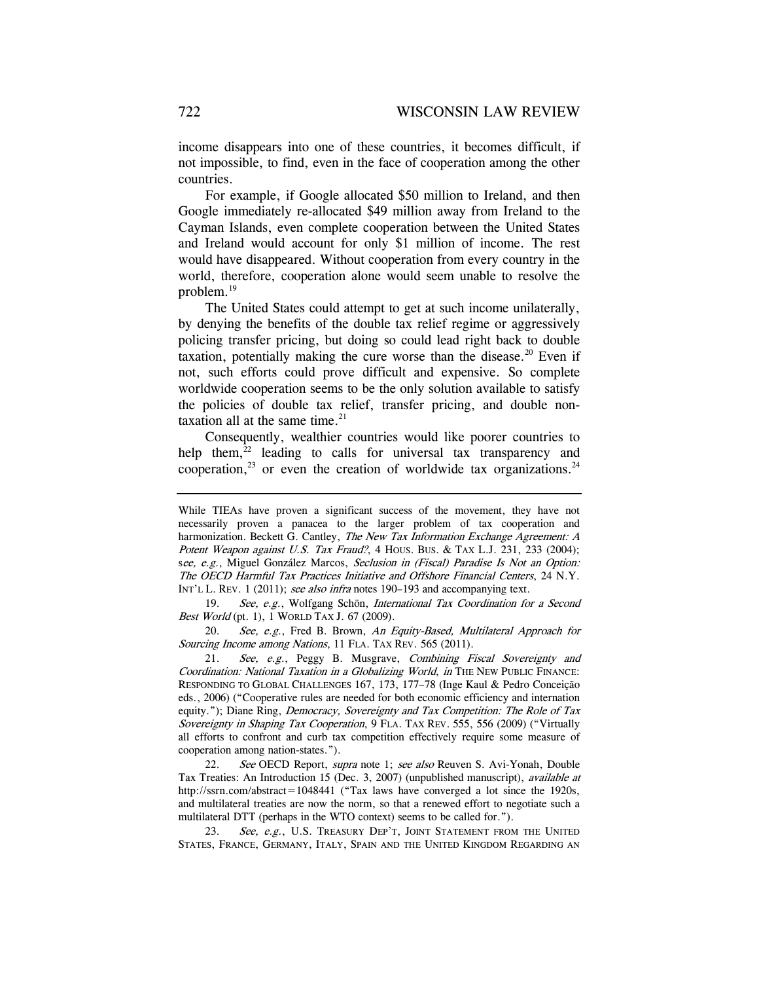income disappears into one of these countries, it becomes difficult, if not impossible, to find, even in the face of cooperation among the other countries.

For example, if Google allocated \$50 million to Ireland, and then Google immediately re-allocated \$49 million away from Ireland to the Cayman Islands, even complete cooperation between the United States and Ireland would account for only \$1 million of income. The rest would have disappeared. Without cooperation from every country in the world, therefore, cooperation alone would seem unable to resolve the problem.<sup>19</sup>

The United States could attempt to get at such income unilaterally, by denying the benefits of the double tax relief regime or aggressively policing transfer pricing, but doing so could lead right back to double taxation, potentially making the cure worse than the disease. $20$  Even if not, such efforts could prove difficult and expensive. So complete worldwide cooperation seems to be the only solution available to satisfy the policies of double tax relief, transfer pricing, and double nontaxation all at the same time. $21$ 

Consequently, wealthier countries would like poorer countries to help them, $22$  leading to calls for universal tax transparency and cooperation,<sup>23</sup> or even the creation of worldwide tax organizations.<sup>24</sup>

19. See, e.g., Wolfgang Schön, International Tax Coordination for a Second Best World (pt. 1), 1 WORLD TAX J. 67 (2009).

20. See, e.g., Fred B. Brown, An Equity-Based, Multilateral Approach for Sourcing Income among Nations, 11 FLA. TAX REV. 565 (2011).

21. See, e.g., Peggy B. Musgrave, Combining Fiscal Sovereignty and Coordination: National Taxation in a Globalizing World, in THE NEW PUBLIC FINANCE: RESPONDING TO GLOBAL CHALLENGES 167, 173, 177–78 (Inge Kaul & Pedro Conceição eds., 2006) ("Cooperative rules are needed for both economic efficiency and internation equity."); Diane Ring, *Democracy, Sovereignty and Tax Competition: The Role of Tax* Sovereignty in Shaping Tax Cooperation, 9 FLA. TAX REV. 555, 556 (2009) ("Virtually all efforts to confront and curb tax competition effectively require some measure of cooperation among nation-states.").

22. See OECD Report, supra note 1; see also Reuven S. Avi-Yonah, Double Tax Treaties: An Introduction 15 (Dec. 3, 2007) (unpublished manuscript), available at http://ssrn.com/abstract=1048441 ("Tax laws have converged a lot since the 1920s, and multilateral treaties are now the norm, so that a renewed effort to negotiate such a multilateral DTT (perhaps in the WTO context) seems to be called for.").

See, e.g., U.S. TREASURY DEP'T, JOINT STATEMENT FROM THE UNITED STATES, FRANCE, GERMANY, ITALY, SPAIN AND THE UNITED KINGDOM REGARDING AN

While TIEAs have proven a significant success of the movement, they have not necessarily proven a panacea to the larger problem of tax cooperation and harmonization. Beckett G. Cantley, The New Tax Information Exchange Agreement: A Potent Weapon against U.S. Tax Fraud?, 4 Hous. Bus. & TAX L.J. 231, 233 (2004); see, e.g., Miguel González Marcos, Seclusion in (Fiscal) Paradise Is Not an Option: The OECD Harmful Tax Practices Initiative and Offshore Financial Centers, 24 N.Y. INT'L L. REV. 1 (2011); see also infra notes 190–193 and accompanying text.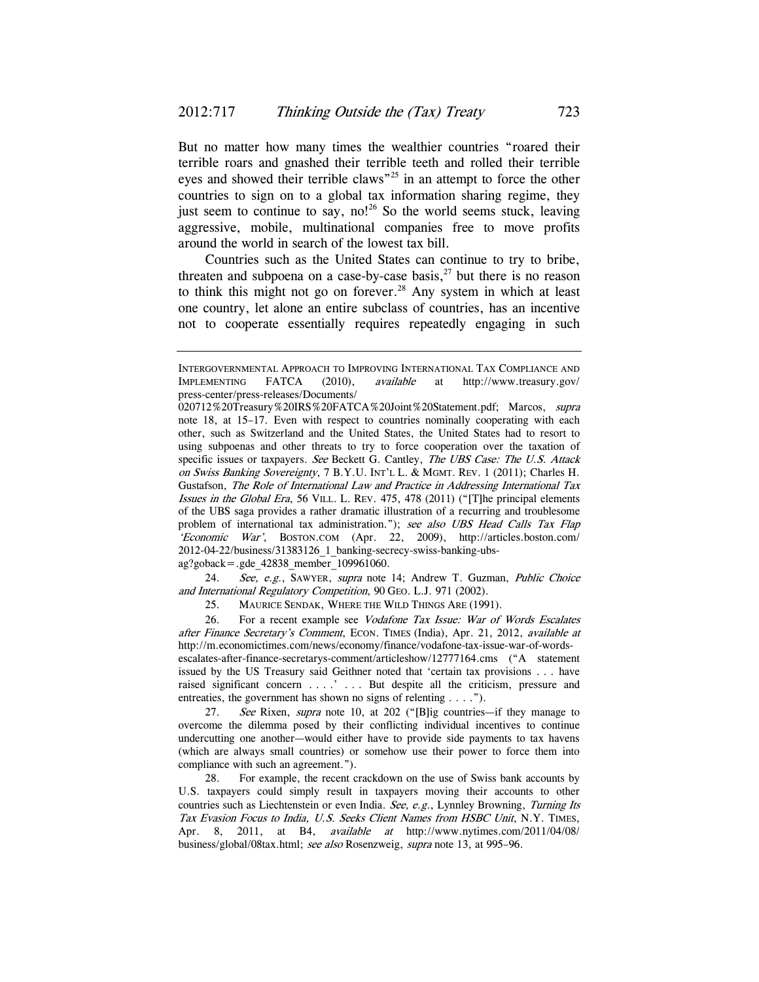But no matter how many times the wealthier countries "roared their terrible roars and gnashed their terrible teeth and rolled their terrible eyes and showed their terrible claws<sup>"25</sup> in an attempt to force the other countries to sign on to a global tax information sharing regime, they just seem to continue to say, no!<sup>26</sup> So the world seems stuck, leaving aggressive, mobile, multinational companies free to move profits around the world in search of the lowest tax bill.

Countries such as the United States can continue to try to bribe, threaten and subpoena on a case-by-case basis, $2<sup>7</sup>$  but there is no reason to think this might not go on forever.<sup>28</sup> Any system in which at least one country, let alone an entire subclass of countries, has an incentive not to cooperate essentially requires repeatedly engaging in such

ag?goback=.gde\_42838\_member\_109961060.

24. See, e.g., SAWYER, supra note 14; Andrew T. Guzman, Public Choice and International Regulatory Competition, 90 GEO. L.J. 971 (2002).

25. MAURICE SENDAK, WHERE THE WILD THINGS ARE (1991).

26. For a recent example see Vodafone Tax Issue: War of Words Escalates after Finance Secretary's Comment, ECON. TIMES (India), Apr. 21, 2012, available at http://m.economictimes.com/news/economy/finance/vodafone-tax-issue-war-of-wordsescalates-after-finance-secretarys-comment/articleshow/12777164.cms ("A statement issued by the US Treasury said Geithner noted that 'certain tax provisions . . . have raised significant concern . . . .  $\cdot$  . . . But despite all the criticism, pressure and entreaties, the government has shown no signs of relenting . . . .").

27. See Rixen, supra note 10, at 202 ("[B]ig countries—if they manage to overcome the dilemma posed by their conflicting individual incentives to continue undercutting one another—would either have to provide side payments to tax havens (which are always small countries) or somehow use their power to force them into compliance with such an agreement.").

 28. For example, the recent crackdown on the use of Swiss bank accounts by U.S. taxpayers could simply result in taxpayers moving their accounts to other countries such as Liechtenstein or even India. See, e.g., Lynnley Browning, Turning Its Tax Evasion Focus to India, U.S. Seeks Client Names from HSBC Unit, N.Y. TIMES, Apr. 8, 2011, at B4, available at http://www.nytimes.com/2011/04/08/ business/global/08tax.html; see also Rosenzweig, supra note 13, at 995–96.

INTERGOVERNMENTAL APPROACH TO IMPROVING INTERNATIONAL TAX COMPLIANCE AND IMPLEMENTING FATCA (2010), available at http://www.treasury.gov/ press-center/press-releases/Documents/

<sup>020712%20</sup>Treasury%20IRS%20FATCA%20Joint%20Statement.pdf; Marcos, supra note 18, at 15–17. Even with respect to countries nominally cooperating with each other, such as Switzerland and the United States, the United States had to resort to using subpoenas and other threats to try to force cooperation over the taxation of specific issues or taxpayers. See Beckett G. Cantley, The UBS Case: The U.S. Attack on Swiss Banking Sovereignty, 7 B.Y.U. INT'L L. & MGMT. REV. 1 (2011); Charles H. Gustafson, The Role of International Law and Practice in Addressing International Tax Issues in the Global Era, 56 VILL. L. REV. 475, 478 (2011) ("[T]he principal elements of the UBS saga provides a rather dramatic illustration of a recurring and troublesome problem of international tax administration."); see also UBS Head Calls Tax Flap 'Economic War', BOSTON.COM (Apr. 22, 2009), http://articles.boston.com/ 2012-04-22/business/31383126\_1\_banking-secrecy-swiss-banking-ubs-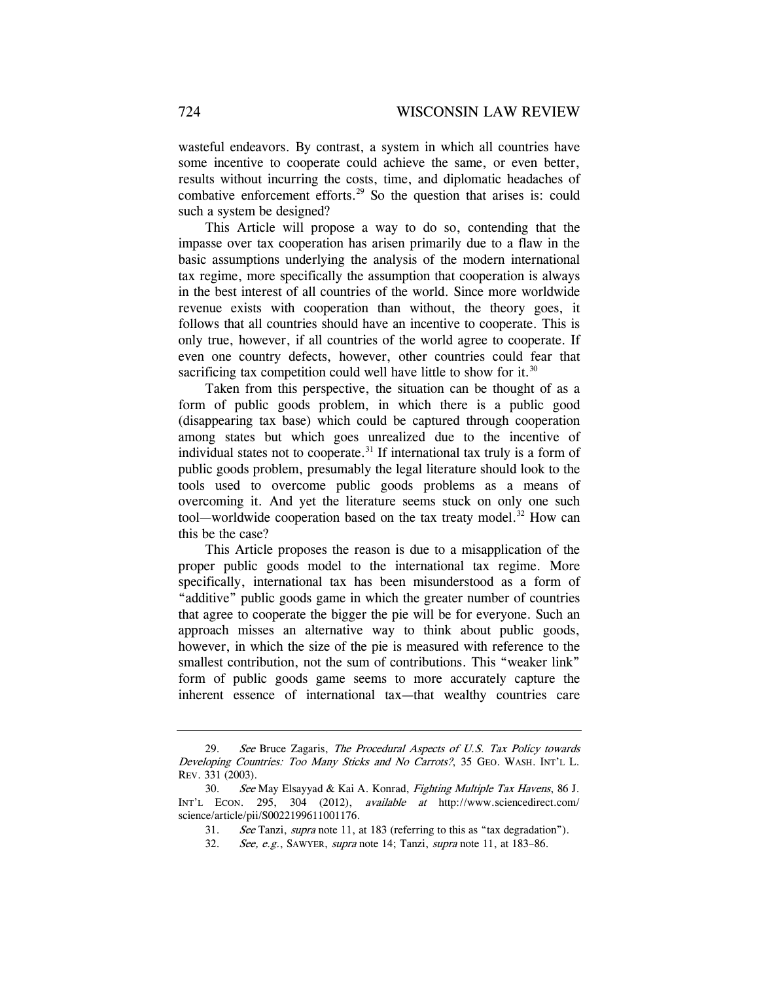wasteful endeavors. By contrast, a system in which all countries have some incentive to cooperate could achieve the same, or even better, results without incurring the costs, time, and diplomatic headaches of combative enforcement efforts.<sup>29</sup> So the question that arises is: could such a system be designed?

This Article will propose a way to do so, contending that the impasse over tax cooperation has arisen primarily due to a flaw in the basic assumptions underlying the analysis of the modern international tax regime, more specifically the assumption that cooperation is always in the best interest of all countries of the world. Since more worldwide revenue exists with cooperation than without, the theory goes, it follows that all countries should have an incentive to cooperate. This is only true, however, if all countries of the world agree to cooperate. If even one country defects, however, other countries could fear that sacrificing tax competition could well have little to show for it.<sup>30</sup>

Taken from this perspective, the situation can be thought of as a form of public goods problem, in which there is a public good (disappearing tax base) which could be captured through cooperation among states but which goes unrealized due to the incentive of individual states not to cooperate.<sup>31</sup> If international tax truly is a form of public goods problem, presumably the legal literature should look to the tools used to overcome public goods problems as a means of overcoming it. And yet the literature seems stuck on only one such tool—worldwide cooperation based on the tax treaty model.<sup>32</sup> How can this be the case?

This Article proposes the reason is due to a misapplication of the proper public goods model to the international tax regime. More specifically, international tax has been misunderstood as a form of "additive" public goods game in which the greater number of countries that agree to cooperate the bigger the pie will be for everyone. Such an approach misses an alternative way to think about public goods, however, in which the size of the pie is measured with reference to the smallest contribution, not the sum of contributions. This "weaker link" form of public goods game seems to more accurately capture the inherent essence of international tax—that wealthy countries care

<sup>29.</sup> See Bruce Zagaris, The Procedural Aspects of U.S. Tax Policy towards Developing Countries: Too Many Sticks and No Carrots?, 35 GEO. WASH. INT'L L. REV. 331 (2003).

<sup>30.</sup> See May Elsayyad & Kai A. Konrad, Fighting Multiple Tax Havens, 86 J. INT'L ECON. 295, 304 (2012), available at http://www.sciencedirect.com/ science/article/pii/S0022199611001176.

<sup>31.</sup> See Tanzi, supra note 11, at 183 (referring to this as "tax degradation").

<sup>32.</sup> See, e.g., SAWYER, supra note 14; Tanzi, supra note 11, at 183–86.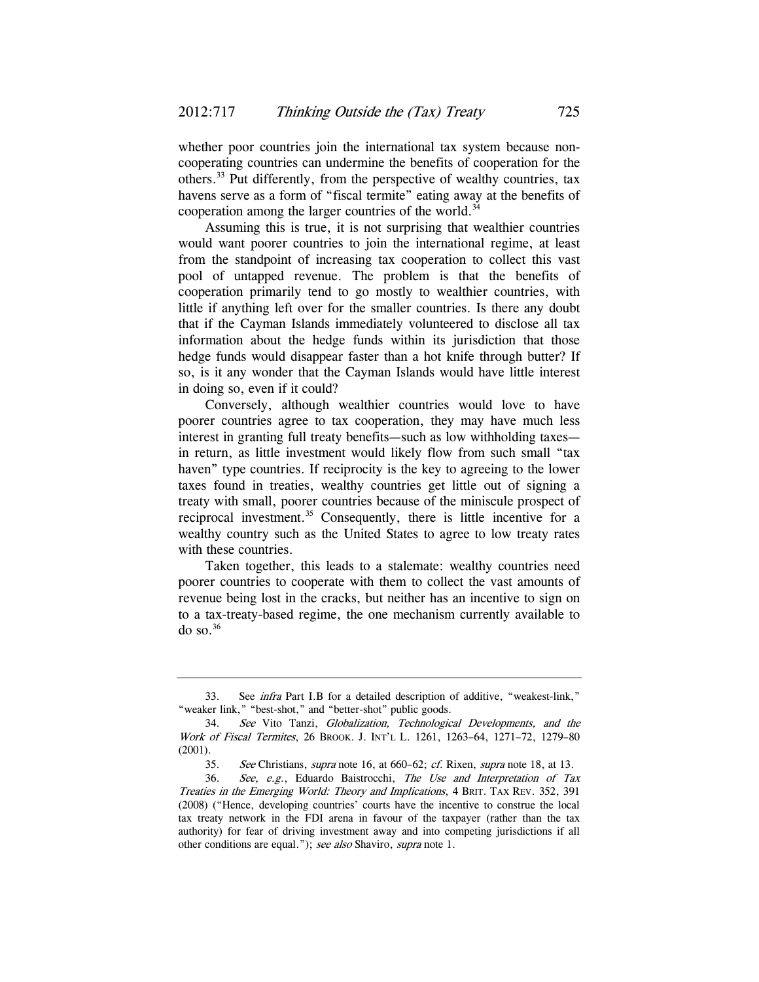whether poor countries join the international tax system because noncooperating countries can undermine the benefits of cooperation for the others.33 Put differently, from the perspective of wealthy countries, tax havens serve as a form of "fiscal termite" eating away at the benefits of cooperation among the larger countries of the world.<sup>34</sup>

Assuming this is true, it is not surprising that wealthier countries would want poorer countries to join the international regime, at least from the standpoint of increasing tax cooperation to collect this vast pool of untapped revenue. The problem is that the benefits of cooperation primarily tend to go mostly to wealthier countries, with little if anything left over for the smaller countries. Is there any doubt that if the Cayman Islands immediately volunteered to disclose all tax information about the hedge funds within its jurisdiction that those hedge funds would disappear faster than a hot knife through butter? If so, is it any wonder that the Cayman Islands would have little interest in doing so, even if it could?

Conversely, although wealthier countries would love to have poorer countries agree to tax cooperation, they may have much less interest in granting full treaty benefits—such as low withholding taxes in return, as little investment would likely flow from such small "tax haven" type countries. If reciprocity is the key to agreeing to the lower taxes found in treaties, wealthy countries get little out of signing a treaty with small, poorer countries because of the miniscule prospect of reciprocal investment.<sup>35</sup> Consequently, there is little incentive for a wealthy country such as the United States to agree to low treaty rates with these countries.

Taken together, this leads to a stalemate: wealthy countries need poorer countries to cooperate with them to collect the vast amounts of revenue being lost in the cracks, but neither has an incentive to sign on to a tax-treaty-based regime, the one mechanism currently available to  $\omega$  so.<sup>36</sup>

<sup>33.</sup> See infra Part I.B for a detailed description of additive, "weakest-link," "weaker link," "best-shot," and "better-shot" public goods.

<sup>34.</sup> See Vito Tanzi, Globalization, Technological Developments, and the Work of Fiscal Termites, 26 BROOK. J. INT'L L. 1261, 1263–64, 1271–72, 1279–80 (2001).

<sup>35.</sup> See Christians, supra note 16, at 660–62; cf. Rixen, supra note 18, at 13.

<sup>36.</sup> See, e.g., Eduardo Baistrocchi, The Use and Interpretation of Tax Treaties in the Emerging World: Theory and Implications, 4 BRIT. TAX REV. 352, 391 (2008) ("Hence, developing countries' courts have the incentive to construe the local tax treaty network in the FDI arena in favour of the taxpayer (rather than the tax authority) for fear of driving investment away and into competing jurisdictions if all other conditions are equal."); see also Shaviro, supra note 1.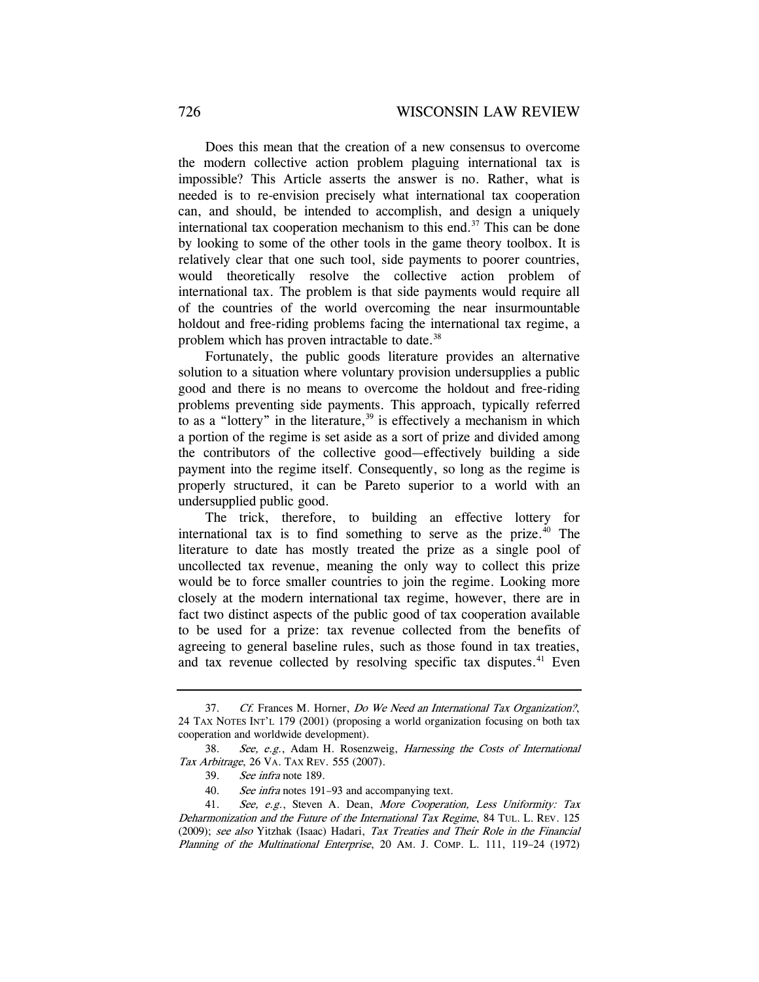Does this mean that the creation of a new consensus to overcome the modern collective action problem plaguing international tax is impossible? This Article asserts the answer is no. Rather, what is needed is to re-envision precisely what international tax cooperation can, and should, be intended to accomplish, and design a uniquely international tax cooperation mechanism to this end.<sup>37</sup> This can be done by looking to some of the other tools in the game theory toolbox. It is relatively clear that one such tool, side payments to poorer countries, would theoretically resolve the collective action problem of international tax. The problem is that side payments would require all of the countries of the world overcoming the near insurmountable holdout and free-riding problems facing the international tax regime, a problem which has proven intractable to date.<sup>38</sup>

Fortunately, the public goods literature provides an alternative solution to a situation where voluntary provision undersupplies a public good and there is no means to overcome the holdout and free-riding problems preventing side payments. This approach, typically referred to as a "lottery" in the literature, $39$  is effectively a mechanism in which a portion of the regime is set aside as a sort of prize and divided among the contributors of the collective good—effectively building a side payment into the regime itself. Consequently, so long as the regime is properly structured, it can be Pareto superior to a world with an undersupplied public good.

The trick, therefore, to building an effective lottery for international tax is to find something to serve as the prize. $40$  The literature to date has mostly treated the prize as a single pool of uncollected tax revenue, meaning the only way to collect this prize would be to force smaller countries to join the regime. Looking more closely at the modern international tax regime, however, there are in fact two distinct aspects of the public good of tax cooperation available to be used for a prize: tax revenue collected from the benefits of agreeing to general baseline rules, such as those found in tax treaties, and tax revenue collected by resolving specific tax disputes.<sup>41</sup> Even

<sup>37.</sup> Cf. Frances M. Horner, Do We Need an International Tax Organization?, 24 TAX NOTES INT'L 179 (2001) (proposing a world organization focusing on both tax cooperation and worldwide development).

<sup>38.</sup> See, e.g., Adam H. Rosenzweig, Harnessing the Costs of International Tax Arbitrage, 26 VA. TAX REV. 555 (2007).

<sup>39.</sup> See infra note 189.

<sup>40.</sup> See infra notes 191-93 and accompanying text.

<sup>41.</sup> See, e.g., Steven A. Dean, More Cooperation, Less Uniformity: Tax Deharmonization and the Future of the International Tax Regime, 84 TUL. L. REV. 125 (2009); see also Yitzhak (Isaac) Hadari, Tax Treaties and Their Role in the Financial Planning of the Multinational Enterprise, 20 AM. J. COMP. L. 111, 119–24 (1972)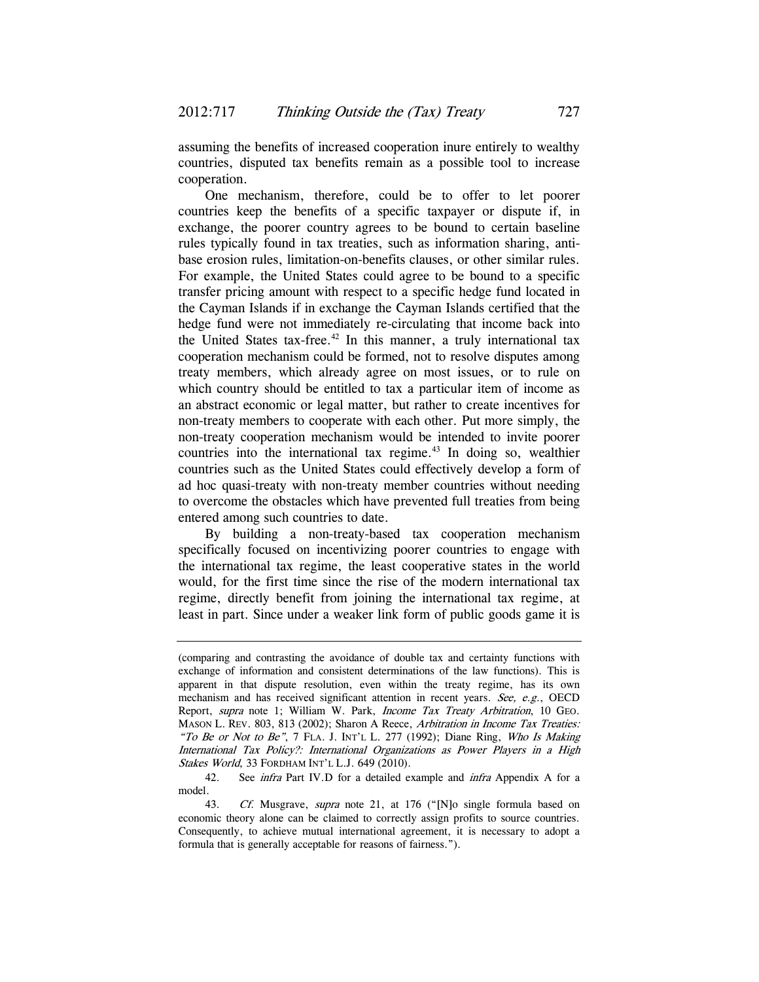assuming the benefits of increased cooperation inure entirely to wealthy countries, disputed tax benefits remain as a possible tool to increase cooperation.

One mechanism, therefore, could be to offer to let poorer countries keep the benefits of a specific taxpayer or dispute if, in exchange, the poorer country agrees to be bound to certain baseline rules typically found in tax treaties, such as information sharing, antibase erosion rules, limitation-on-benefits clauses, or other similar rules. For example, the United States could agree to be bound to a specific transfer pricing amount with respect to a specific hedge fund located in the Cayman Islands if in exchange the Cayman Islands certified that the hedge fund were not immediately re-circulating that income back into the United States tax-free.<sup>42</sup> In this manner, a truly international tax cooperation mechanism could be formed, not to resolve disputes among treaty members, which already agree on most issues, or to rule on which country should be entitled to tax a particular item of income as an abstract economic or legal matter, but rather to create incentives for non-treaty members to cooperate with each other. Put more simply, the non-treaty cooperation mechanism would be intended to invite poorer countries into the international tax regime.<sup>43</sup> In doing so, wealthier countries such as the United States could effectively develop a form of ad hoc quasi-treaty with non-treaty member countries without needing to overcome the obstacles which have prevented full treaties from being entered among such countries to date.

By building a non-treaty-based tax cooperation mechanism specifically focused on incentivizing poorer countries to engage with the international tax regime, the least cooperative states in the world would, for the first time since the rise of the modern international tax regime, directly benefit from joining the international tax regime, at least in part. Since under a weaker link form of public goods game it is

<sup>(</sup>comparing and contrasting the avoidance of double tax and certainty functions with exchange of information and consistent determinations of the law functions). This is apparent in that dispute resolution, even within the treaty regime, has its own mechanism and has received significant attention in recent years. See, e.g., OECD Report, supra note 1; William W. Park, Income Tax Treaty Arbitration, 10 GEO. MASON L. REV. 803, 813 (2002); Sharon A Reece, Arbitration in Income Tax Treaties: "To Be or Not to Be",  $7$  FLA. J. INT'L L. 277 (1992); Diane Ring, Who Is Making International Tax Policy?: International Organizations as Power Players in a High Stakes World, 33 FORDHAM INT'L L.J. 649 (2010).

<sup>42.</sup> See *infra* Part IV.D for a detailed example and *infra* Appendix A for a model.

<sup>43.</sup> Cf. Musgrave, *supra* note 21, at 176 ("[N]o single formula based on economic theory alone can be claimed to correctly assign profits to source countries. Consequently, to achieve mutual international agreement, it is necessary to adopt a formula that is generally acceptable for reasons of fairness.").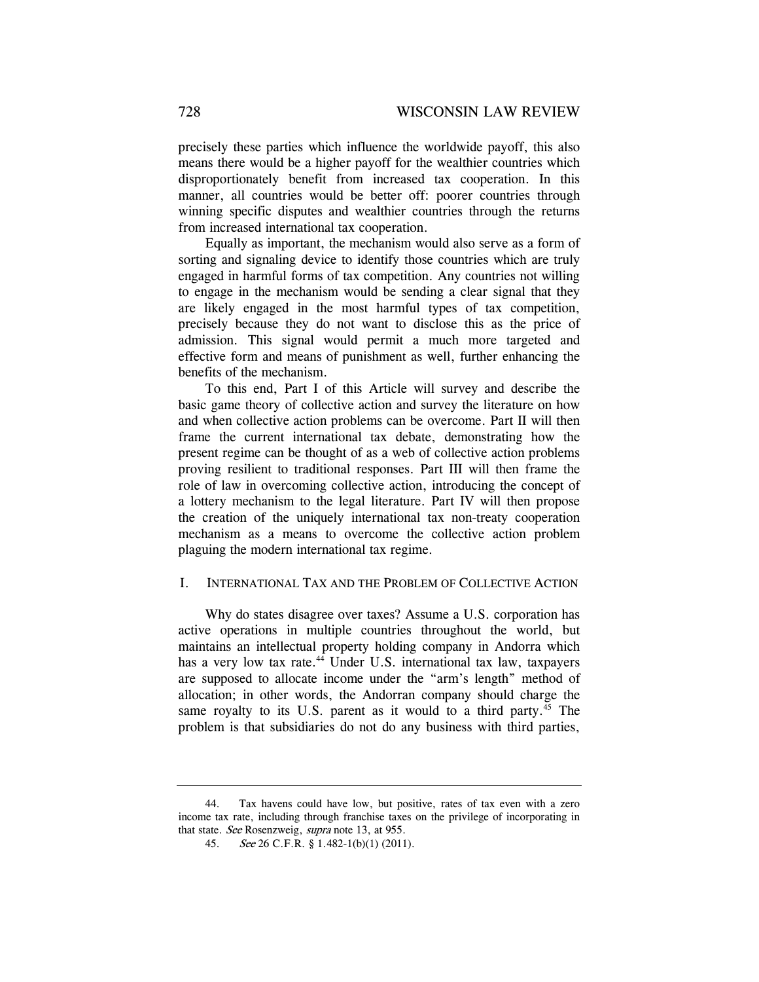precisely these parties which influence the worldwide payoff, this also means there would be a higher payoff for the wealthier countries which disproportionately benefit from increased tax cooperation. In this manner, all countries would be better off: poorer countries through winning specific disputes and wealthier countries through the returns from increased international tax cooperation.

Equally as important, the mechanism would also serve as a form of sorting and signaling device to identify those countries which are truly engaged in harmful forms of tax competition. Any countries not willing to engage in the mechanism would be sending a clear signal that they are likely engaged in the most harmful types of tax competition, precisely because they do not want to disclose this as the price of admission. This signal would permit a much more targeted and effective form and means of punishment as well, further enhancing the benefits of the mechanism.

To this end, Part I of this Article will survey and describe the basic game theory of collective action and survey the literature on how and when collective action problems can be overcome. Part II will then frame the current international tax debate, demonstrating how the present regime can be thought of as a web of collective action problems proving resilient to traditional responses. Part III will then frame the role of law in overcoming collective action, introducing the concept of a lottery mechanism to the legal literature. Part IV will then propose the creation of the uniquely international tax non-treaty cooperation mechanism as a means to overcome the collective action problem plaguing the modern international tax regime.

### I. INTERNATIONAL TAX AND THE PROBLEM OF COLLECTIVE ACTION

Why do states disagree over taxes? Assume a U.S. corporation has active operations in multiple countries throughout the world, but maintains an intellectual property holding company in Andorra which has a very low tax rate.<sup>44</sup> Under U.S. international tax law, taxpayers are supposed to allocate income under the "arm's length" method of allocation; in other words, the Andorran company should charge the same royalty to its U.S. parent as it would to a third party.<sup>45</sup> The problem is that subsidiaries do not do any business with third parties,

 <sup>44.</sup> Tax havens could have low, but positive, rates of tax even with a zero income tax rate, including through franchise taxes on the privilege of incorporating in that state. See Rosenzweig, supra note 13, at 955.

<sup>45.</sup> See 26 C.F.R. § 1.482-1(b)(1) (2011).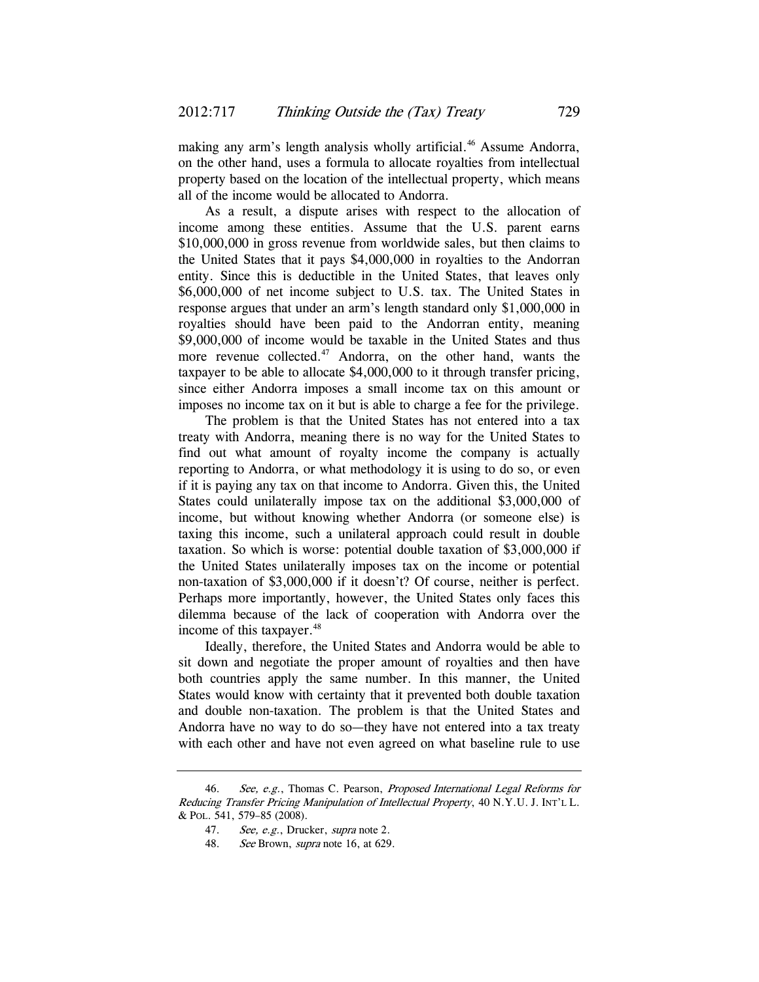making any arm's length analysis wholly artificial.<sup>46</sup> Assume Andorra, on the other hand, uses a formula to allocate royalties from intellectual property based on the location of the intellectual property, which means all of the income would be allocated to Andorra.

As a result, a dispute arises with respect to the allocation of income among these entities. Assume that the U.S. parent earns \$10,000,000 in gross revenue from worldwide sales, but then claims to the United States that it pays \$4,000,000 in royalties to the Andorran entity. Since this is deductible in the United States, that leaves only \$6,000,000 of net income subject to U.S. tax. The United States in response argues that under an arm's length standard only \$1,000,000 in royalties should have been paid to the Andorran entity, meaning \$9,000,000 of income would be taxable in the United States and thus more revenue collected.<sup>47</sup> Andorra, on the other hand, wants the taxpayer to be able to allocate \$4,000,000 to it through transfer pricing, since either Andorra imposes a small income tax on this amount or imposes no income tax on it but is able to charge a fee for the privilege.

The problem is that the United States has not entered into a tax treaty with Andorra, meaning there is no way for the United States to find out what amount of royalty income the company is actually reporting to Andorra, or what methodology it is using to do so, or even if it is paying any tax on that income to Andorra. Given this, the United States could unilaterally impose tax on the additional \$3,000,000 of income, but without knowing whether Andorra (or someone else) is taxing this income, such a unilateral approach could result in double taxation. So which is worse: potential double taxation of \$3,000,000 if the United States unilaterally imposes tax on the income or potential non-taxation of \$3,000,000 if it doesn't? Of course, neither is perfect. Perhaps more importantly, however, the United States only faces this dilemma because of the lack of cooperation with Andorra over the income of this taxpayer.<sup>48</sup>

Ideally, therefore, the United States and Andorra would be able to sit down and negotiate the proper amount of royalties and then have both countries apply the same number. In this manner, the United States would know with certainty that it prevented both double taxation and double non-taxation. The problem is that the United States and Andorra have no way to do so—they have not entered into a tax treaty with each other and have not even agreed on what baseline rule to use

<sup>46.</sup> See, e.g., Thomas C. Pearson, Proposed International Legal Reforms for Reducing Transfer Pricing Manipulation of Intellectual Property, 40 N.Y.U. J. INT'L L. & POL. 541, 579–85 (2008).

<sup>47.</sup> See, e.g., Drucker, supra note 2.

<sup>48.</sup> See Brown, *supra* note 16, at 629.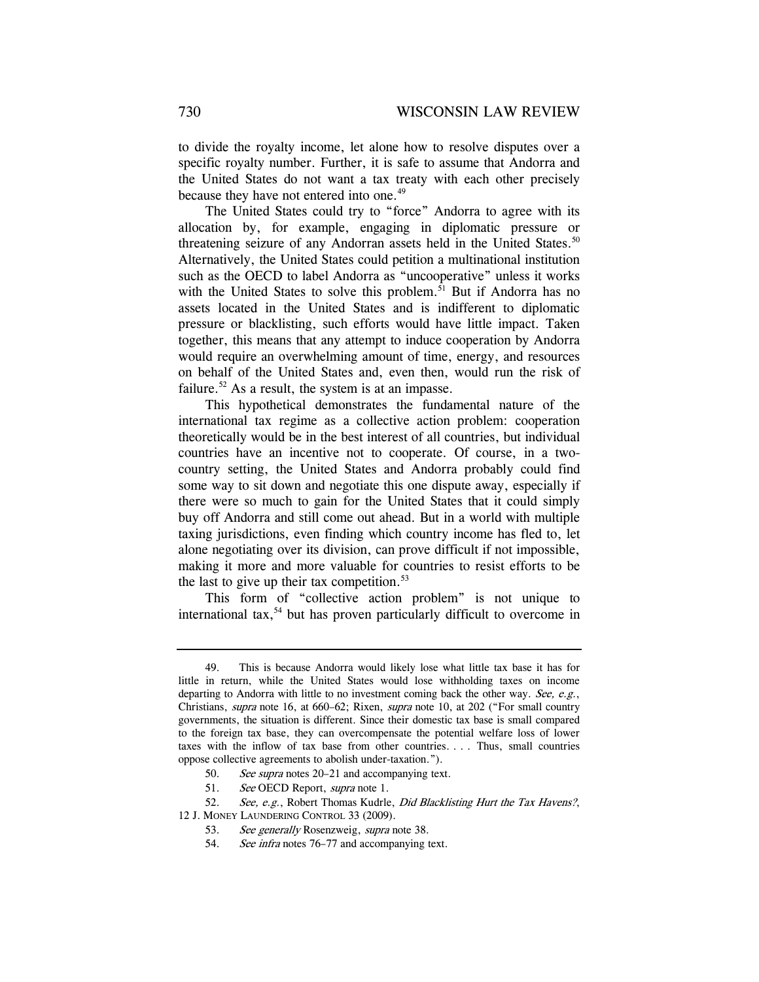to divide the royalty income, let alone how to resolve disputes over a specific royalty number. Further, it is safe to assume that Andorra and the United States do not want a tax treaty with each other precisely because they have not entered into one.<sup>49</sup>

The United States could try to "force" Andorra to agree with its allocation by, for example, engaging in diplomatic pressure or threatening seizure of any Andorran assets held in the United States.<sup>50</sup> Alternatively, the United States could petition a multinational institution such as the OECD to label Andorra as "uncooperative" unless it works with the United States to solve this problem.<sup>51</sup> But if Andorra has no assets located in the United States and is indifferent to diplomatic pressure or blacklisting, such efforts would have little impact. Taken together, this means that any attempt to induce cooperation by Andorra would require an overwhelming amount of time, energy, and resources on behalf of the United States and, even then, would run the risk of failure.<sup>52</sup> As a result, the system is at an impasse.

This hypothetical demonstrates the fundamental nature of the international tax regime as a collective action problem: cooperation theoretically would be in the best interest of all countries, but individual countries have an incentive not to cooperate. Of course, in a twocountry setting, the United States and Andorra probably could find some way to sit down and negotiate this one dispute away, especially if there were so much to gain for the United States that it could simply buy off Andorra and still come out ahead. But in a world with multiple taxing jurisdictions, even finding which country income has fled to, let alone negotiating over its division, can prove difficult if not impossible, making it more and more valuable for countries to resist efforts to be the last to give up their tax competition. $53$ 

This form of "collective action problem" is not unique to international tax,<sup>54</sup> but has proven particularly difficult to overcome in

<sup>49.</sup> This is because Andorra would likely lose what little tax base it has for little in return, while the United States would lose withholding taxes on income departing to Andorra with little to no investment coming back the other way. See, e.g., Christians, supra note 16, at 660–62; Rixen, supra note 10, at 202 ("For small country governments, the situation is different. Since their domestic tax base is small compared to the foreign tax base, they can overcompensate the potential welfare loss of lower taxes with the inflow of tax base from other countries. . . . Thus, small countries oppose collective agreements to abolish under-taxation.").

<sup>50.</sup> See supra notes 20–21 and accompanying text.

<sup>51.</sup> See OECD Report, supra note 1.

<sup>52.</sup> See, e.g., Robert Thomas Kudrle, Did Blacklisting Hurt the Tax Havens?, 12 J. MONEY LAUNDERING CONTROL 33 (2009).

<sup>53.</sup> See generally Rosenzweig, supra note 38.

<sup>54.</sup> See infra notes 76–77 and accompanying text.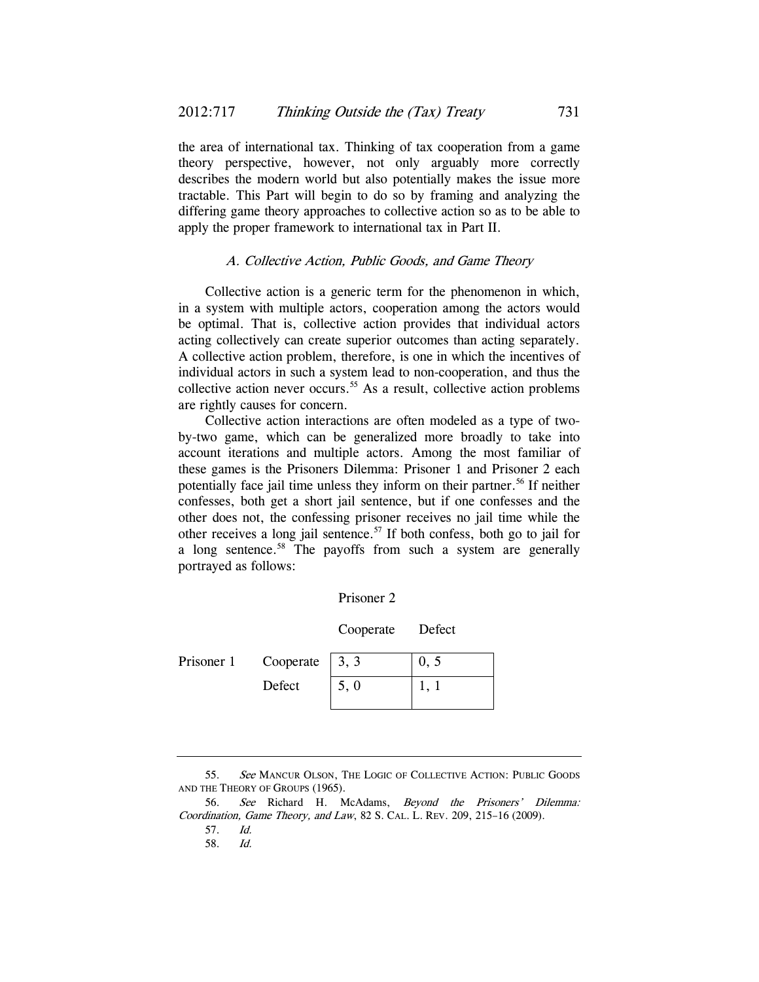the area of international tax. Thinking of tax cooperation from a game theory perspective, however, not only arguably more correctly describes the modern world but also potentially makes the issue more tractable. This Part will begin to do so by framing and analyzing the differing game theory approaches to collective action so as to be able to apply the proper framework to international tax in Part II.

#### A. Collective Action, Public Goods, and Game Theory

Collective action is a generic term for the phenomenon in which, in a system with multiple actors, cooperation among the actors would be optimal. That is, collective action provides that individual actors acting collectively can create superior outcomes than acting separately. A collective action problem, therefore, is one in which the incentives of individual actors in such a system lead to non-cooperation, and thus the collective action never occurs.<sup>55</sup> As a result, collective action problems are rightly causes for concern.

Collective action interactions are often modeled as a type of twoby-two game, which can be generalized more broadly to take into account iterations and multiple actors. Among the most familiar of these games is the Prisoners Dilemma: Prisoner 1 and Prisoner 2 each potentially face jail time unless they inform on their partner.<sup>56</sup> If neither confesses, both get a short jail sentence, but if one confesses and the other does not, the confessing prisoner receives no jail time while the other receives a long jail sentence.57 If both confess, both go to jail for a long sentence.<sup>58</sup> The payoffs from such a system are generally portrayed as follows:

| Prisoner |
|----------|
|----------|

Cooperate Defect

| Prisoner 1 | Cooperate $\begin{bmatrix} 3, 3 \end{bmatrix}$ |      |  |
|------------|------------------------------------------------|------|--|
|            | Defect                                         | 5, 0 |  |

<sup>55.</sup> See MANCUR OLSON, THE LOGIC OF COLLECTIVE ACTION: PUBLIC GOODS AND THE THEORY OF GROUPS (1965).

 <sup>56.</sup> See Richard H. McAdams, Beyond the Prisoners' Dilemma: Coordination, Game Theory, and Law, 82 S. CAL. L. REV. 209, 215–16 (2009).

 <sup>57.</sup> Id.

<sup>58.</sup> Id.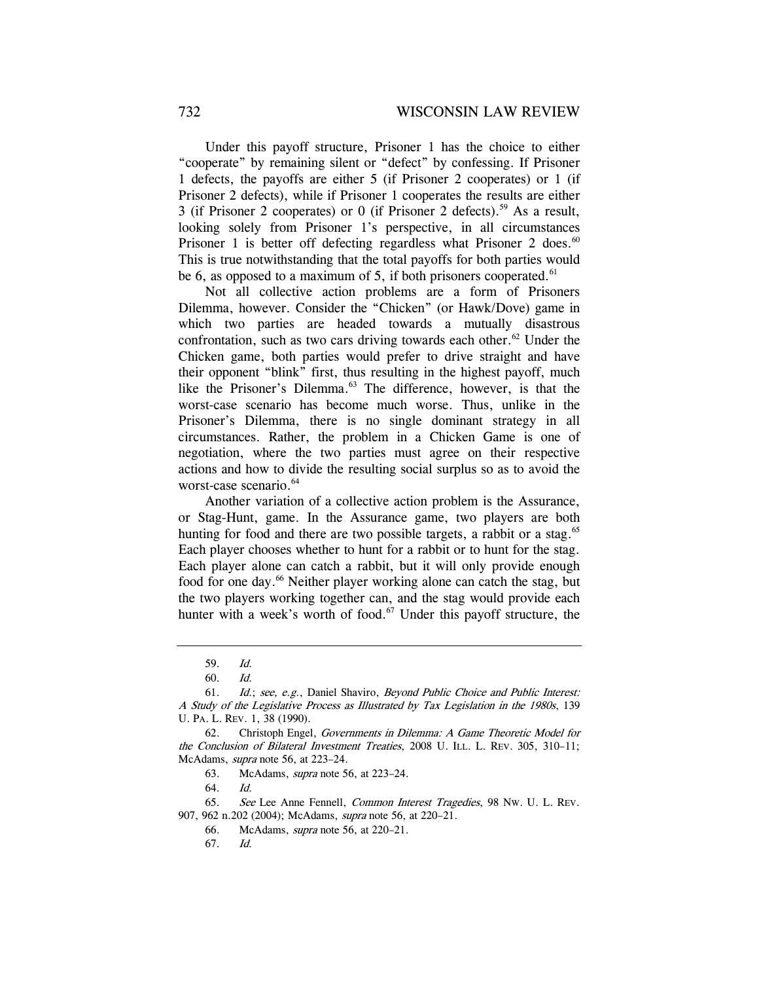Under this payoff structure, Prisoner 1 has the choice to either "cooperate" by remaining silent or "defect" by confessing. If Prisoner 1 defects, the payoffs are either 5 (if Prisoner 2 cooperates) or 1 (if Prisoner 2 defects), while if Prisoner 1 cooperates the results are either 3 (if Prisoner 2 cooperates) or 0 (if Prisoner 2 defects).<sup>59</sup> As a result, looking solely from Prisoner 1's perspective, in all circumstances Prisoner 1 is better off defecting regardless what Prisoner 2 does. $60$ This is true notwithstanding that the total payoffs for both parties would be 6, as opposed to a maximum of 5, if both prisoners cooperated.<sup>61</sup>

Not all collective action problems are a form of Prisoners Dilemma, however. Consider the "Chicken" (or Hawk/Dove) game in which two parties are headed towards a mutually disastrous confrontation, such as two cars driving towards each other.<sup>62</sup> Under the Chicken game, both parties would prefer to drive straight and have their opponent "blink" first, thus resulting in the highest payoff, much like the Prisoner's Dilemma.<sup>63</sup> The difference, however, is that the worst-case scenario has become much worse. Thus, unlike in the Prisoner's Dilemma, there is no single dominant strategy in all circumstances. Rather, the problem in a Chicken Game is one of negotiation, where the two parties must agree on their respective actions and how to divide the resulting social surplus so as to avoid the worst-case scenario.<sup>64</sup>

Another variation of a collective action problem is the Assurance, or Stag-Hunt, game. In the Assurance game, two players are both hunting for food and there are two possible targets, a rabbit or a stag. $65$ Each player chooses whether to hunt for a rabbit or to hunt for the stag. Each player alone can catch a rabbit, but it will only provide enough food for one day.<sup>66</sup> Neither player working alone can catch the stag, but the two players working together can, and the stag would provide each hunter with a week's worth of food. $67$  Under this payoff structure, the

64. Id.

 65. See Lee Anne Fennell, Common Interest Tragedies, 98 NW. U. L. REV. 907, 962 n.202 (2004); McAdams, *supra* note 56, at 220-21.

 <sup>59.</sup> Id.

 <sup>60.</sup> Id.

<sup>61.</sup> Id.; see, e.g., Daniel Shaviro, Beyond Public Choice and Public Interest: A Study of the Legislative Process as Illustrated by Tax Legislation in the 1980s, 139 U. PA. L. REV. 1, 38 (1990).

 <sup>62.</sup> Christoph Engel, Governments in Dilemma: A Game Theoretic Model for the Conclusion of Bilateral Investment Treaties, 2008 U. ILL. L. REV. 305, 310–11; McAdams, supra note 56, at 223–24.

 <sup>63.</sup> McAdams, supra note 56, at 223–24.

 <sup>66.</sup> McAdams, supra note 56, at 220–21.

 <sup>67.</sup> Id.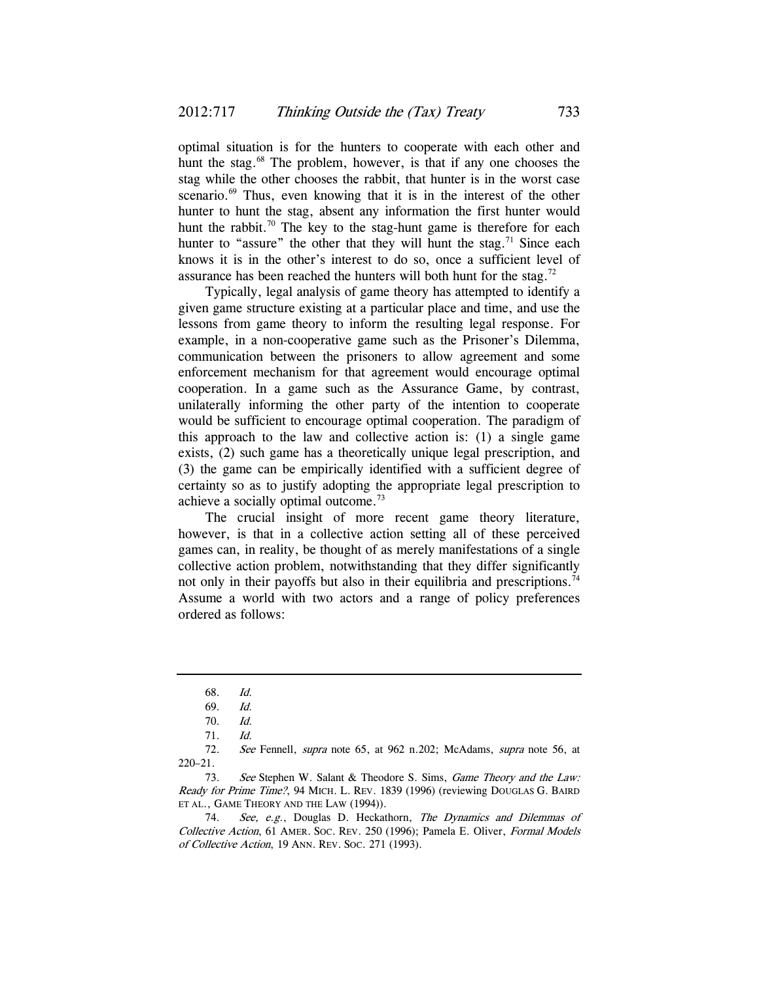optimal situation is for the hunters to cooperate with each other and hunt the stag.<sup>68</sup> The problem, however, is that if any one chooses the stag while the other chooses the rabbit, that hunter is in the worst case scenario.<sup>69</sup> Thus, even knowing that it is in the interest of the other hunter to hunt the stag, absent any information the first hunter would hunt the rabbit.<sup>70</sup> The key to the stag-hunt game is therefore for each hunter to "assure" the other that they will hunt the stag.<sup>71</sup> Since each knows it is in the other's interest to do so, once a sufficient level of assurance has been reached the hunters will both hunt for the stag.<sup>72</sup>

Typically, legal analysis of game theory has attempted to identify a given game structure existing at a particular place and time, and use the lessons from game theory to inform the resulting legal response. For example, in a non-cooperative game such as the Prisoner's Dilemma, communication between the prisoners to allow agreement and some enforcement mechanism for that agreement would encourage optimal cooperation. In a game such as the Assurance Game, by contrast, unilaterally informing the other party of the intention to cooperate would be sufficient to encourage optimal cooperation. The paradigm of this approach to the law and collective action is: (1) a single game exists, (2) such game has a theoretically unique legal prescription, and (3) the game can be empirically identified with a sufficient degree of certainty so as to justify adopting the appropriate legal prescription to achieve a socially optimal outcome.73

The crucial insight of more recent game theory literature, however, is that in a collective action setting all of these perceived games can, in reality, be thought of as merely manifestations of a single collective action problem, notwithstanding that they differ significantly not only in their payoffs but also in their equilibria and prescriptions.<sup>74</sup> Assume a world with two actors and a range of policy preferences ordered as follows:

 <sup>68.</sup> Id.

 <sup>69.</sup> Id.

 <sup>70.</sup> Id.

 <sup>71.</sup> Id.

<sup>72.</sup> See Fennell, supra note 65, at 962 n.202; McAdams, supra note 56, at 220–21.

<sup>73.</sup> See Stephen W. Salant & Theodore S. Sims, Game Theory and the Law: Ready for Prime Time?, 94 MICH. L. REV. 1839 (1996) (reviewing DOUGLAS G. BAIRD ET AL., GAME THEORY AND THE LAW (1994)).

<sup>74.</sup> See, e.g., Douglas D. Heckathorn, The Dynamics and Dilemmas of Collective Action, 61 AMER. SOC. REV. 250 (1996); Pamela E. Oliver, Formal Models of Collective Action, 19 ANN. REV. SOC. 271 (1993).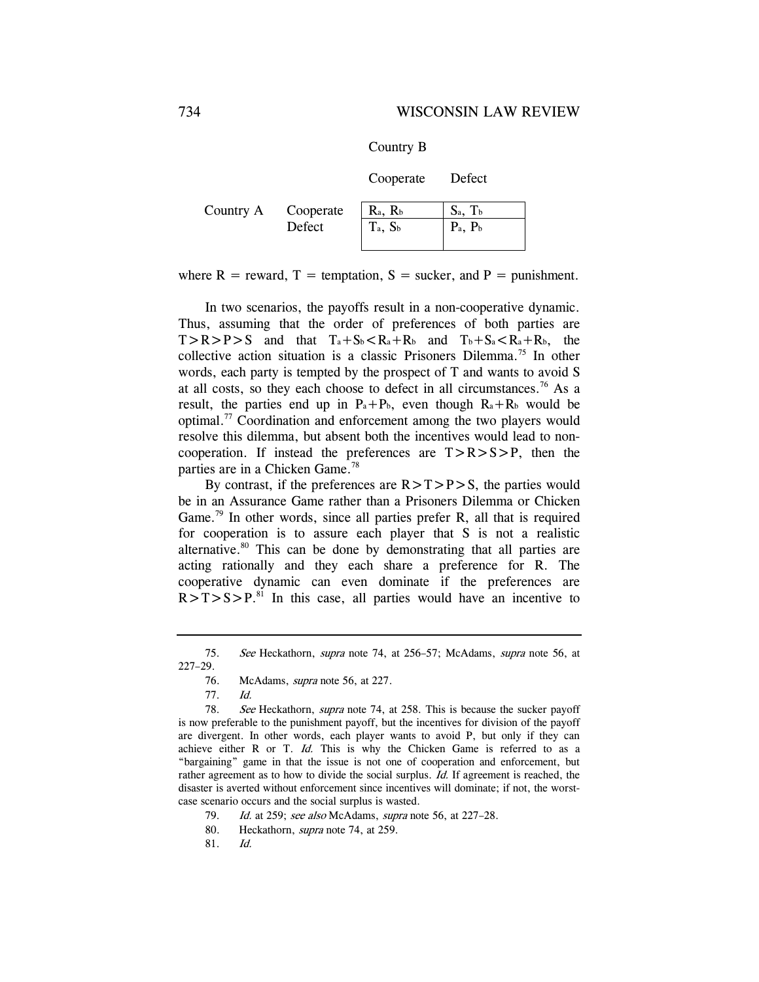Country B

Cooperate Defect

| Country A | Cooperate | $R_a$ , $R_b$ | $S_a$ , $T_b$ |
|-----------|-----------|---------------|---------------|
|           | Defect    | $T_a$ , $S_b$ | $P_a$ , $P_b$ |

where  $R =$  reward,  $T =$  temptation,  $S =$  sucker, and  $P =$  punishment.

In two scenarios, the payoffs result in a non-cooperative dynamic. Thus, assuming that the order of preferences of both parties are  $T>R>P>S$  and that  $T_a+S_b < R_a+R_b$  and  $T_b+S_a < R_a+R_b$ , the collective action situation is a classic Prisoners Dilemma.75 In other words, each party is tempted by the prospect of T and wants to avoid S at all costs, so they each choose to defect in all circumstances.<sup>76</sup> As a result, the parties end up in  $P_a+P_b$ , even though  $R_a+R_b$  would be optimal.77 Coordination and enforcement among the two players would resolve this dilemma, but absent both the incentives would lead to noncooperation. If instead the preferences are  $T > R > S > P$ , then the parties are in a Chicken Game.<sup>78</sup>

By contrast, if the preferences are  $R>T>P>S$ , the parties would be in an Assurance Game rather than a Prisoners Dilemma or Chicken Game.<sup>79</sup> In other words, since all parties prefer R, all that is required for cooperation is to assure each player that S is not a realistic alternative.<sup>80</sup> This can be done by demonstrating that all parties are acting rationally and they each share a preference for R. The cooperative dynamic can even dominate if the preferences are  $R>T> S>P<sup>81</sup>$  In this case, all parties would have an incentive to

78. See Heckathorn, supra note 74, at 258. This is because the sucker payoff is now preferable to the punishment payoff, but the incentives for division of the payoff are divergent. In other words, each player wants to avoid P, but only if they can achieve either R or T.  $Id$ . This is why the Chicken Game is referred to as a "bargaining" game in that the issue is not one of cooperation and enforcement, but rather agreement as to how to divide the social surplus. Id. If agreement is reached, the disaster is averted without enforcement since incentives will dominate; if not, the worstcase scenario occurs and the social surplus is wasted.

79. Id. at 259; see also McAdams, supra note 56, at 227–28.

80. Heckathorn, *supra* note 74, at 259.

81. Id.

<sup>75.</sup> See Heckathorn, supra note 74, at 256–57; McAdams, supra note 56, at 227–29.

 <sup>76.</sup> McAdams, supra note 56, at 227.

 <sup>77.</sup> Id.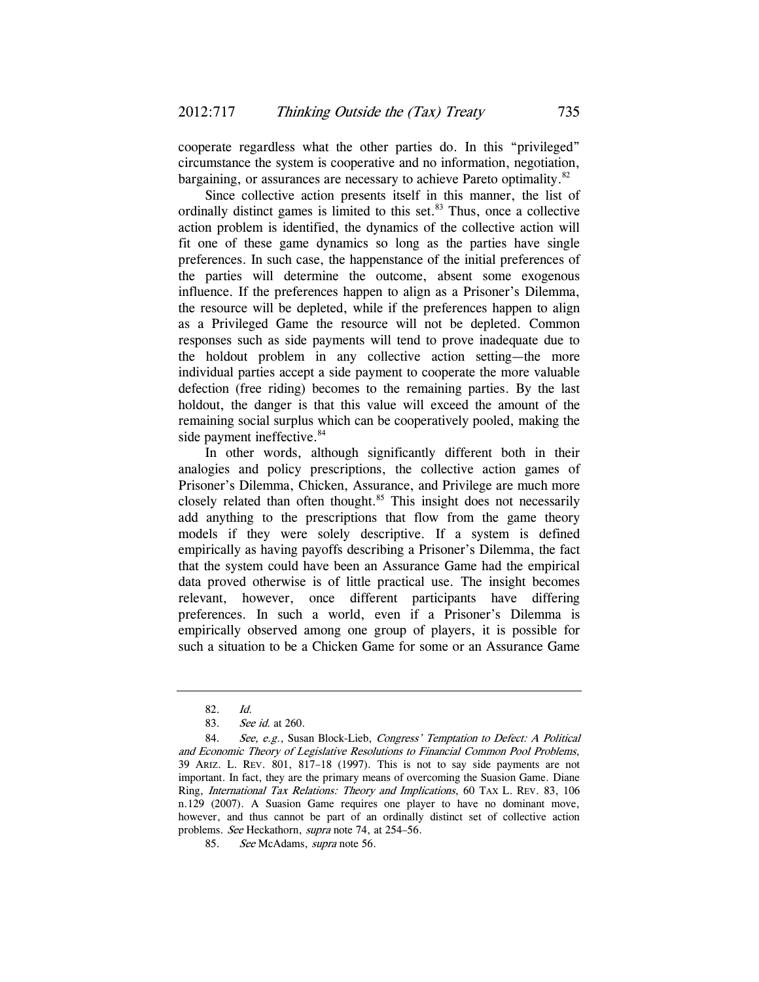cooperate regardless what the other parties do. In this "privileged" circumstance the system is cooperative and no information, negotiation, bargaining, or assurances are necessary to achieve Pareto optimality.<sup>82</sup>

Since collective action presents itself in this manner, the list of ordinally distinct games is limited to this set. $83$  Thus, once a collective action problem is identified, the dynamics of the collective action will fit one of these game dynamics so long as the parties have single preferences. In such case, the happenstance of the initial preferences of the parties will determine the outcome, absent some exogenous influence. If the preferences happen to align as a Prisoner's Dilemma, the resource will be depleted, while if the preferences happen to align as a Privileged Game the resource will not be depleted. Common responses such as side payments will tend to prove inadequate due to the holdout problem in any collective action setting—the more individual parties accept a side payment to cooperate the more valuable defection (free riding) becomes to the remaining parties. By the last holdout, the danger is that this value will exceed the amount of the remaining social surplus which can be cooperatively pooled, making the side payment ineffective.<sup>84</sup>

In other words, although significantly different both in their analogies and policy prescriptions, the collective action games of Prisoner's Dilemma, Chicken, Assurance, and Privilege are much more closely related than often thought.<sup>85</sup> This insight does not necessarily add anything to the prescriptions that flow from the game theory models if they were solely descriptive. If a system is defined empirically as having payoffs describing a Prisoner's Dilemma, the fact that the system could have been an Assurance Game had the empirical data proved otherwise is of little practical use. The insight becomes relevant, however, once different participants have differing preferences. In such a world, even if a Prisoner's Dilemma is empirically observed among one group of players, it is possible for such a situation to be a Chicken Game for some or an Assurance Game

<sup>82.</sup> Id.

<sup>83.</sup> See id. at 260.

<sup>84.</sup> See, e.g., Susan Block-Lieb, Congress' Temptation to Defect: A Political and Economic Theory of Legislative Resolutions to Financial Common Pool Problems, 39 ARIZ. L. REV. 801, 817–18 (1997). This is not to say side payments are not important. In fact, they are the primary means of overcoming the Suasion Game. Diane Ring, International Tax Relations: Theory and Implications, 60 TAX L. REV. 83, 106 n.129 (2007). A Suasion Game requires one player to have no dominant move, however, and thus cannot be part of an ordinally distinct set of collective action problems. See Heckathorn, supra note 74, at 254–56.

<sup>85.</sup> See McAdams, supra note 56.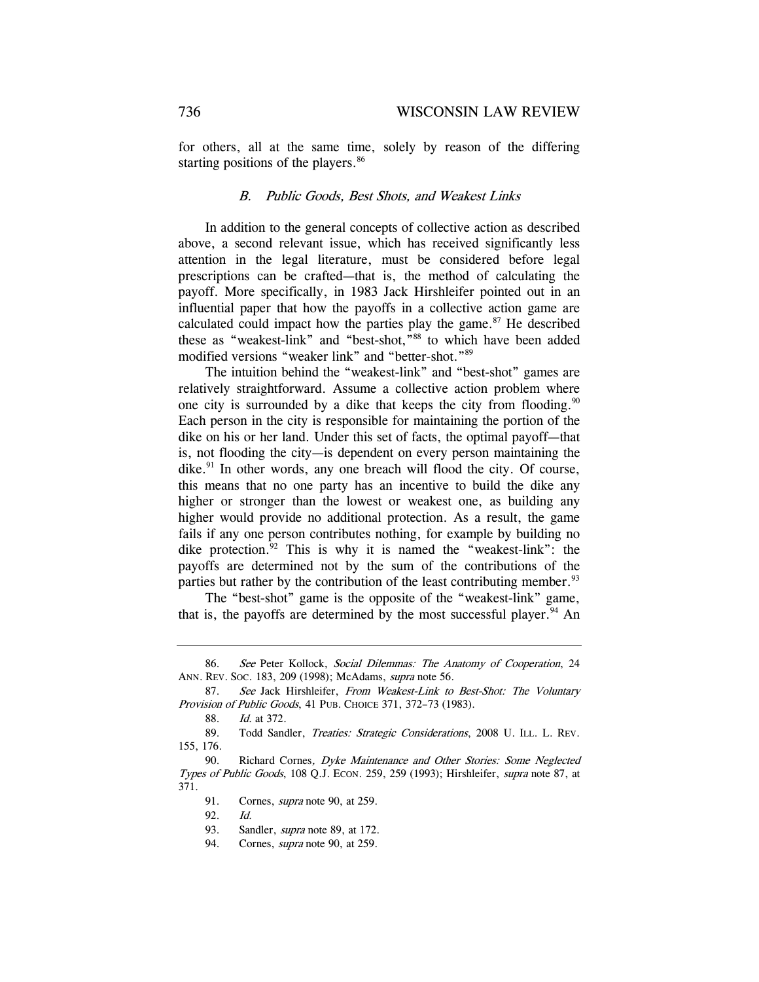for others, all at the same time, solely by reason of the differing starting positions of the players.<sup>86</sup>

#### B. Public Goods, Best Shots, and Weakest Links

In addition to the general concepts of collective action as described above, a second relevant issue, which has received significantly less attention in the legal literature, must be considered before legal prescriptions can be crafted—that is, the method of calculating the payoff. More specifically, in 1983 Jack Hirshleifer pointed out in an influential paper that how the payoffs in a collective action game are calculated could impact how the parties play the game. $87$  He described these as "weakest-link" and "best-shot,"<sup>88</sup> to which have been added modified versions "weaker link" and "better-shot."89

The intuition behind the "weakest-link" and "best-shot" games are relatively straightforward. Assume a collective action problem where one city is surrounded by a dike that keeps the city from flooding.<sup>90</sup> Each person in the city is responsible for maintaining the portion of the dike on his or her land. Under this set of facts, the optimal payoff—that is, not flooding the city—is dependent on every person maintaining the dike. $91$  In other words, any one breach will flood the city. Of course, this means that no one party has an incentive to build the dike any higher or stronger than the lowest or weakest one, as building any higher would provide no additional protection. As a result, the game fails if any one person contributes nothing, for example by building no dike protection.92 This is why it is named the "weakest-link": the payoffs are determined not by the sum of the contributions of the parties but rather by the contribution of the least contributing member.<sup>93</sup>

The "best-shot" game is the opposite of the "weakest-link" game, that is, the payoffs are determined by the most successful player.  $94$  An

<sup>86.</sup> See Peter Kollock, Social Dilemmas: The Anatomy of Cooperation, 24 ANN. REV. SOC. 183, 209 (1998); McAdams, supra note 56.

<sup>87.</sup> See Jack Hirshleifer, From Weakest-Link to Best-Shot: The Voluntary Provision of Public Goods, 41 PUB. CHOICE 371, 372–73 (1983).

 <sup>88.</sup> Id. at 372.

<sup>89.</sup> Todd Sandler, *Treaties: Strategic Considerations*, 2008 U. ILL. L. REV. 155, 176.

<sup>90.</sup> Richard Cornes, Dyke Maintenance and Other Stories: Some Neglected Types of Public Goods, 108 Q.J. ECON. 259, 259 (1993); Hirshleifer, supra note 87, at 371.

 <sup>91.</sup> Cornes, supra note 90, at 259.

 <sup>92.</sup> Id.

<sup>93.</sup> Sandler, *supra* note 89, at 172.

<sup>94.</sup> Cornes, *supra* note 90, at 259.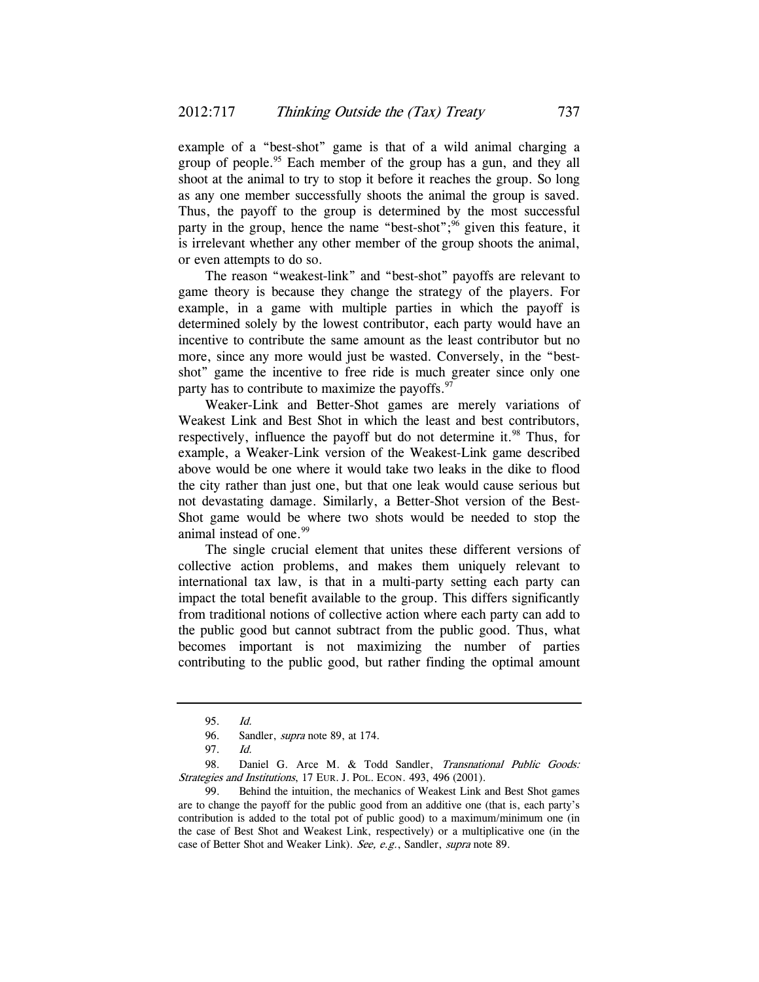example of a "best-shot" game is that of a wild animal charging a group of people.<sup>95</sup> Each member of the group has a gun, and they all shoot at the animal to try to stop it before it reaches the group. So long as any one member successfully shoots the animal the group is saved. Thus, the payoff to the group is determined by the most successful party in the group, hence the name "best-shot"; $\frac{96}{10}$  given this feature, it is irrelevant whether any other member of the group shoots the animal, or even attempts to do so.

The reason "weakest-link" and "best-shot" payoffs are relevant to game theory is because they change the strategy of the players. For example, in a game with multiple parties in which the payoff is determined solely by the lowest contributor, each party would have an incentive to contribute the same amount as the least contributor but no more, since any more would just be wasted. Conversely, in the "bestshot" game the incentive to free ride is much greater since only one party has to contribute to maximize the payoffs. $97$ 

Weaker-Link and Better-Shot games are merely variations of Weakest Link and Best Shot in which the least and best contributors, respectively, influence the payoff but do not determine it.<sup>98</sup> Thus, for example, a Weaker-Link version of the Weakest-Link game described above would be one where it would take two leaks in the dike to flood the city rather than just one, but that one leak would cause serious but not devastating damage. Similarly, a Better-Shot version of the Best-Shot game would be where two shots would be needed to stop the animal instead of one.<sup>99</sup>

The single crucial element that unites these different versions of collective action problems, and makes them uniquely relevant to international tax law, is that in a multi-party setting each party can impact the total benefit available to the group. This differs significantly from traditional notions of collective action where each party can add to the public good but cannot subtract from the public good. Thus, what becomes important is not maximizing the number of parties contributing to the public good, but rather finding the optimal amount

<sup>95.</sup> Id.

<sup>96.</sup> Sandler, *supra* note 89, at 174.

 <sup>97.</sup> Id.

<sup>98.</sup> Daniel G. Arce M. & Todd Sandler, Transnational Public Goods: Strategies and Institutions, 17 EUR. J. POL. ECON. 493, 496 (2001).

 <sup>99.</sup> Behind the intuition, the mechanics of Weakest Link and Best Shot games are to change the payoff for the public good from an additive one (that is, each party's contribution is added to the total pot of public good) to a maximum/minimum one (in the case of Best Shot and Weakest Link, respectively) or a multiplicative one (in the case of Better Shot and Weaker Link). See, e.g., Sandler, supra note 89.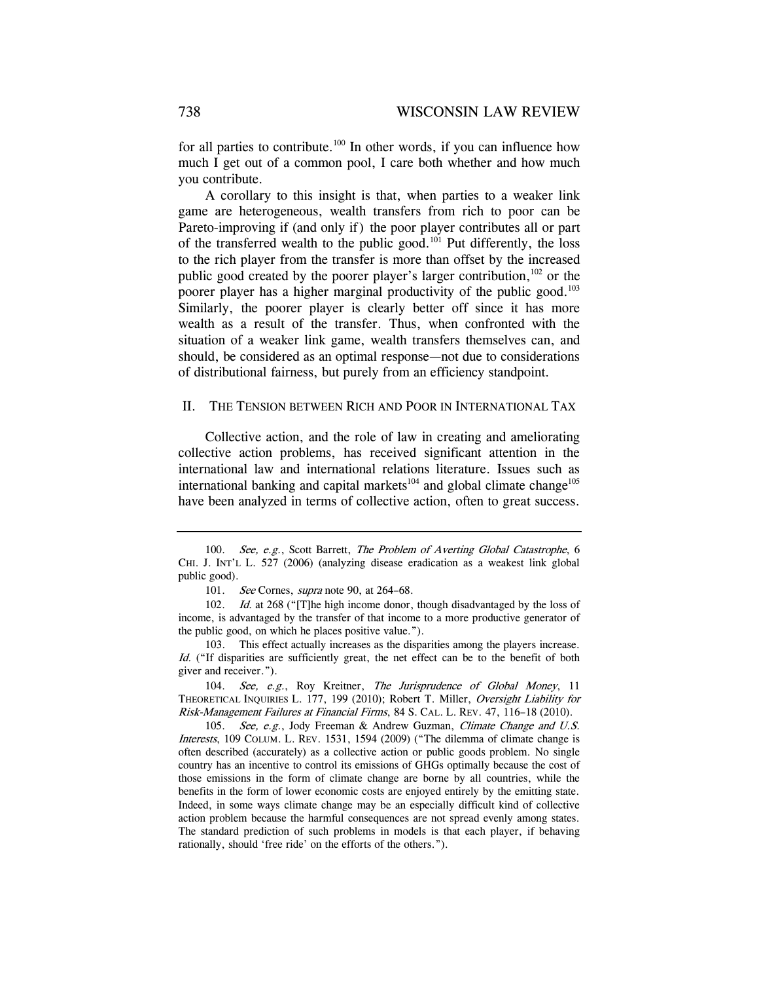for all parties to contribute.<sup>100</sup> In other words, if you can influence how much I get out of a common pool, I care both whether and how much you contribute.

A corollary to this insight is that, when parties to a weaker link game are heterogeneous, wealth transfers from rich to poor can be Pareto-improving if (and only if) the poor player contributes all or part of the transferred wealth to the public good.<sup>101</sup> Put differently, the loss to the rich player from the transfer is more than offset by the increased public good created by the poorer player's larger contribution,<sup>102</sup> or the poorer player has a higher marginal productivity of the public good.<sup>103</sup> Similarly, the poorer player is clearly better off since it has more wealth as a result of the transfer. Thus, when confronted with the situation of a weaker link game, wealth transfers themselves can, and should, be considered as an optimal response—not due to considerations of distributional fairness, but purely from an efficiency standpoint.

#### II. THE TENSION BETWEEN RICH AND POOR IN INTERNATIONAL TAX

Collective action, and the role of law in creating and ameliorating collective action problems, has received significant attention in the international law and international relations literature. Issues such as international banking and capital markets $104$  and global climate change $105$ have been analyzed in terms of collective action, often to great success.

104. See, e.g., Roy Kreitner, The Jurisprudence of Global Money, 11 THEORETICAL INQUIRIES L. 177, 199 (2010); Robert T. Miller, Oversight Liability for Risk-Management Failures at Financial Firms, 84 S. CAL. L. REV. 47, 116–18 (2010).

105. See, e.g., Jody Freeman & Andrew Guzman, Climate Change and U.S. Interests, 109 COLUM. L. REV. 1531, 1594 (2009) ("The dilemma of climate change is often described (accurately) as a collective action or public goods problem. No single country has an incentive to control its emissions of GHGs optimally because the cost of those emissions in the form of climate change are borne by all countries, while the benefits in the form of lower economic costs are enjoyed entirely by the emitting state. Indeed, in some ways climate change may be an especially difficult kind of collective action problem because the harmful consequences are not spread evenly among states. The standard prediction of such problems in models is that each player, if behaving rationally, should 'free ride' on the efforts of the others.").

<sup>100.</sup> See, e.g., Scott Barrett, The Problem of Averting Global Catastrophe, 6 CHI. J. INT'L L. 527 (2006) (analyzing disease eradication as a weakest link global public good).

<sup>101.</sup> See Cornes, *supra* note 90, at 264–68.

<sup>102.</sup> Id. at 268 ("[T]he high income donor, though disadvantaged by the loss of income, is advantaged by the transfer of that income to a more productive generator of the public good, on which he places positive value.").

 <sup>103.</sup> This effect actually increases as the disparities among the players increase. Id. ("If disparities are sufficiently great, the net effect can be to the benefit of both giver and receiver.").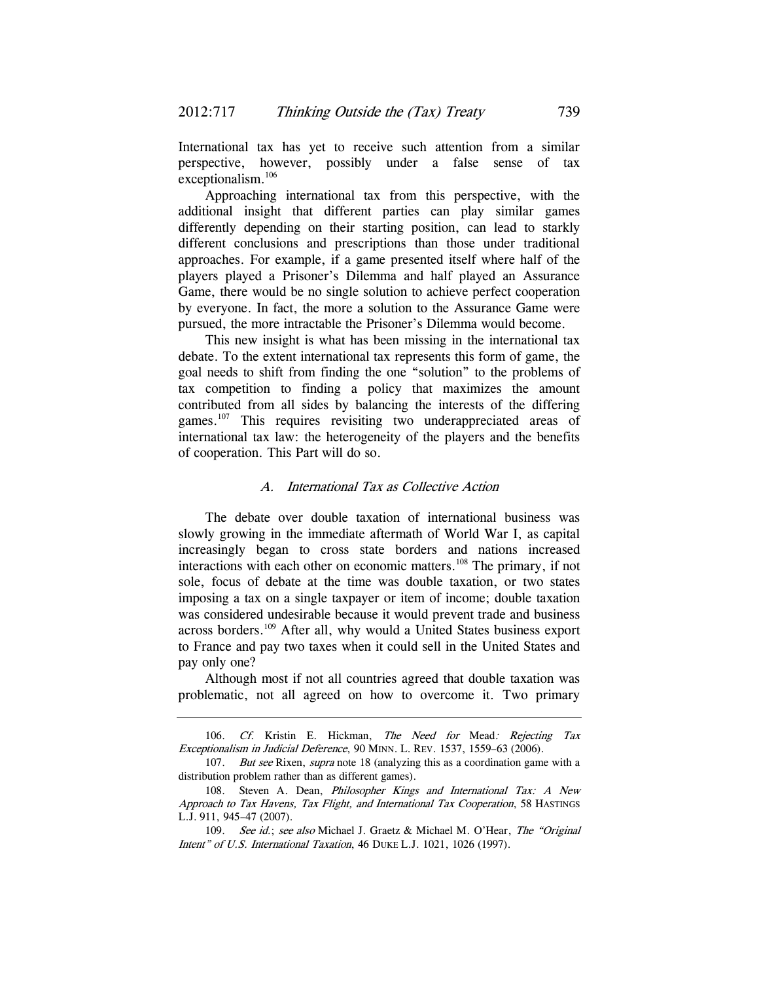International tax has yet to receive such attention from a similar perspective, however, possibly under a false sense of tax exceptionalism.<sup>106</sup>

Approaching international tax from this perspective, with the additional insight that different parties can play similar games differently depending on their starting position, can lead to starkly different conclusions and prescriptions than those under traditional approaches. For example, if a game presented itself where half of the players played a Prisoner's Dilemma and half played an Assurance Game, there would be no single solution to achieve perfect cooperation by everyone. In fact, the more a solution to the Assurance Game were pursued, the more intractable the Prisoner's Dilemma would become.

This new insight is what has been missing in the international tax debate. To the extent international tax represents this form of game, the goal needs to shift from finding the one "solution" to the problems of tax competition to finding a policy that maximizes the amount contributed from all sides by balancing the interests of the differing games.<sup>107</sup> This requires revisiting two underappreciated areas of international tax law: the heterogeneity of the players and the benefits of cooperation. This Part will do so.

### A. International Tax as Collective Action

The debate over double taxation of international business was slowly growing in the immediate aftermath of World War I, as capital increasingly began to cross state borders and nations increased interactions with each other on economic matters.<sup>108</sup> The primary, if not sole, focus of debate at the time was double taxation, or two states imposing a tax on a single taxpayer or item of income; double taxation was considered undesirable because it would prevent trade and business across borders.109 After all, why would a United States business export to France and pay two taxes when it could sell in the United States and pay only one?

Although most if not all countries agreed that double taxation was problematic, not all agreed on how to overcome it. Two primary

<sup>106.</sup> Cf. Kristin E. Hickman, The Need for Mead: Rejecting Tax Exceptionalism in Judicial Deference, 90 MINN. L. REV. 1537, 1559–63 (2006).

<sup>107.</sup> *But see* Rixen, *supra* note 18 (analyzing this as a coordination game with a distribution problem rather than as different games).

 <sup>108.</sup> Steven A. Dean, Philosopher Kings and International Tax: A New Approach to Tax Havens, Tax Flight, and International Tax Cooperation, 58 HASTINGS L.J. 911, 945–47 (2007).

<sup>109.</sup> See id.; see also Michael J. Graetz & Michael M. O'Hear, The "Original Intent" of U.S. International Taxation, 46 DUKE L.J. 1021, 1026 (1997).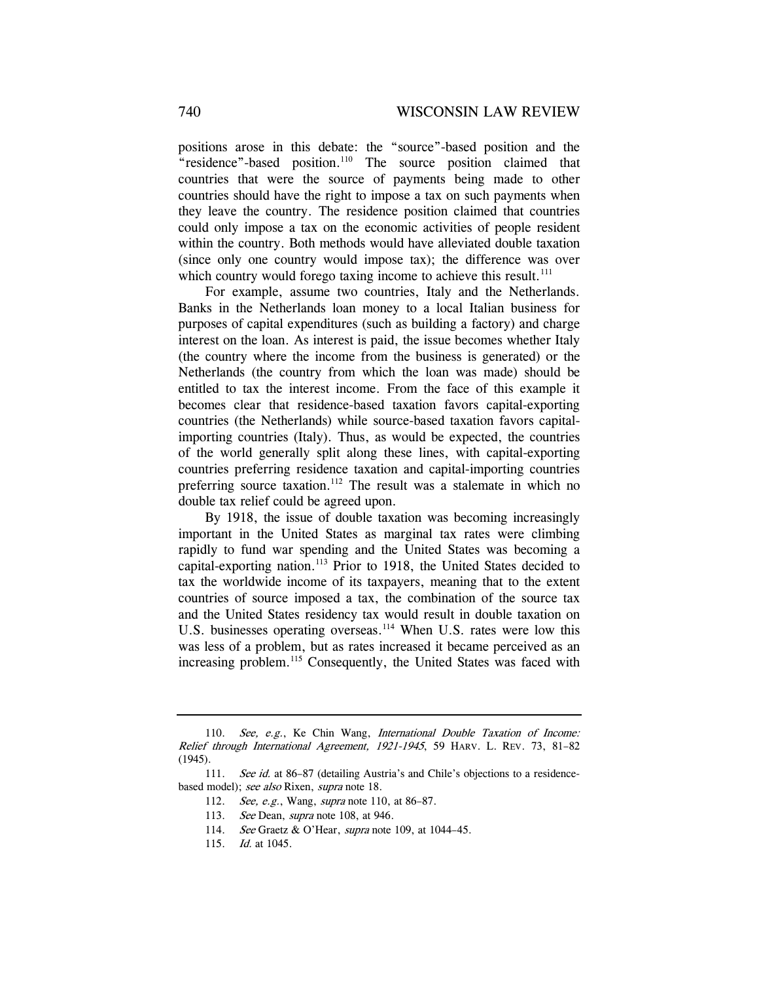positions arose in this debate: the "source"-based position and the "residence"-based position.<sup>110</sup> The source position claimed that countries that were the source of payments being made to other countries should have the right to impose a tax on such payments when they leave the country. The residence position claimed that countries could only impose a tax on the economic activities of people resident within the country. Both methods would have alleviated double taxation (since only one country would impose tax); the difference was over which country would forego taxing income to achieve this result. $111$ 

For example, assume two countries, Italy and the Netherlands. Banks in the Netherlands loan money to a local Italian business for purposes of capital expenditures (such as building a factory) and charge interest on the loan. As interest is paid, the issue becomes whether Italy (the country where the income from the business is generated) or the Netherlands (the country from which the loan was made) should be entitled to tax the interest income. From the face of this example it becomes clear that residence-based taxation favors capital-exporting countries (the Netherlands) while source-based taxation favors capitalimporting countries (Italy). Thus, as would be expected, the countries of the world generally split along these lines, with capital-exporting countries preferring residence taxation and capital-importing countries preferring source taxation.<sup>112</sup> The result was a stalemate in which no double tax relief could be agreed upon.

By 1918, the issue of double taxation was becoming increasingly important in the United States as marginal tax rates were climbing rapidly to fund war spending and the United States was becoming a capital-exporting nation.113 Prior to 1918, the United States decided to tax the worldwide income of its taxpayers, meaning that to the extent countries of source imposed a tax, the combination of the source tax and the United States residency tax would result in double taxation on U.S. businesses operating overseas.<sup>114</sup> When U.S. rates were low this was less of a problem, but as rates increased it became perceived as an increasing problem.<sup>115</sup> Consequently, the United States was faced with

<sup>110.</sup> See, e.g., Ke Chin Wang, International Double Taxation of Income: Relief through International Agreement, 1921-1945, 59 HARV. L. REV. 73, 81–82 (1945).

<sup>111.</sup> See id. at 86-87 (detailing Austria's and Chile's objections to a residencebased model); see also Rixen, supra note 18.

<sup>112.</sup> See, e.g., Wang, supra note 110, at 86-87.

<sup>113.</sup> See Dean, *supra* note 108, at 946.

<sup>114.</sup> See Graetz & O'Hear, *supra* note 109, at 1044-45.

<sup>115.</sup> Id. at 1045.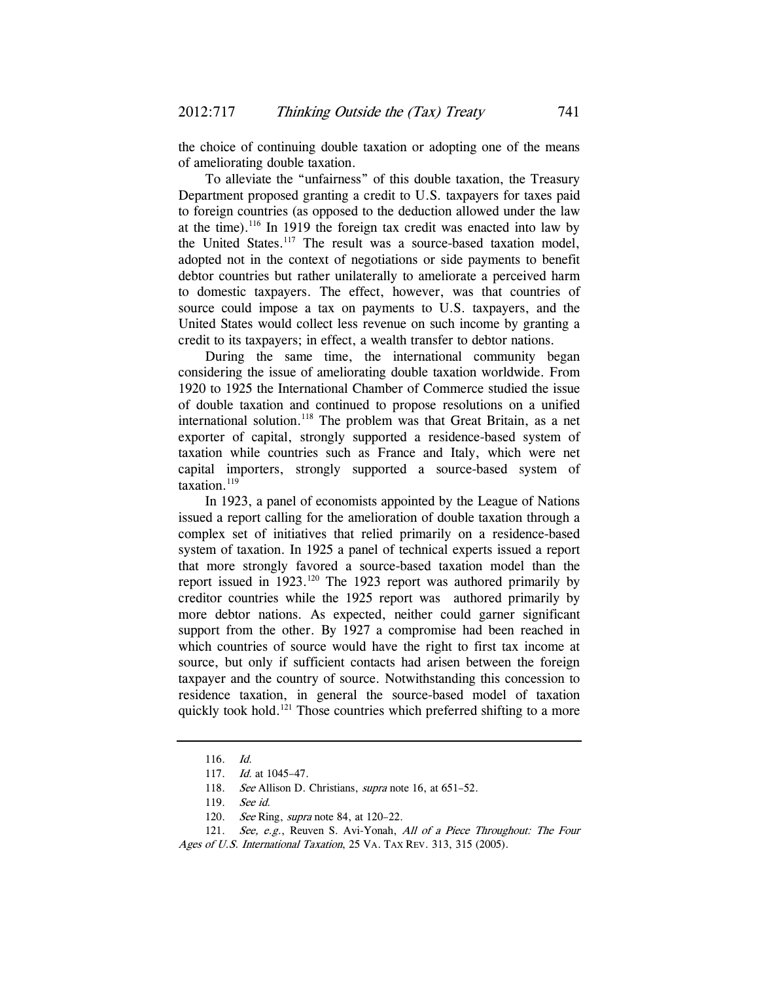the choice of continuing double taxation or adopting one of the means of ameliorating double taxation.

To alleviate the "unfairness" of this double taxation, the Treasury Department proposed granting a credit to U.S. taxpayers for taxes paid to foreign countries (as opposed to the deduction allowed under the law at the time).<sup>116</sup> In 1919 the foreign tax credit was enacted into law by the United States.<sup>117</sup> The result was a source-based taxation model, adopted not in the context of negotiations or side payments to benefit debtor countries but rather unilaterally to ameliorate a perceived harm to domestic taxpayers. The effect, however, was that countries of source could impose a tax on payments to U.S. taxpayers, and the United States would collect less revenue on such income by granting a credit to its taxpayers; in effect, a wealth transfer to debtor nations.

During the same time, the international community began considering the issue of ameliorating double taxation worldwide. From 1920 to 1925 the International Chamber of Commerce studied the issue of double taxation and continued to propose resolutions on a unified international solution.<sup>118</sup> The problem was that Great Britain, as a net exporter of capital, strongly supported a residence-based system of taxation while countries such as France and Italy, which were net capital importers, strongly supported a source-based system of taxation. $119$ 

In 1923, a panel of economists appointed by the League of Nations issued a report calling for the amelioration of double taxation through a complex set of initiatives that relied primarily on a residence-based system of taxation. In 1925 a panel of technical experts issued a report that more strongly favored a source-based taxation model than the report issued in  $1923$ .<sup>120</sup> The 1923 report was authored primarily by creditor countries while the 1925 report was authored primarily by more debtor nations. As expected, neither could garner significant support from the other. By 1927 a compromise had been reached in which countries of source would have the right to first tax income at source, but only if sufficient contacts had arisen between the foreign taxpayer and the country of source. Notwithstanding this concession to residence taxation, in general the source-based model of taxation quickly took hold.<sup>121</sup> Those countries which preferred shifting to a more

<sup>116.</sup> Id.

<sup>117.</sup> *Id.* at 1045-47.

<sup>118.</sup> See Allison D. Christians, *supra* note 16, at 651-52.

<sup>119.</sup> See id.

<sup>120.</sup> See Ring, *supra* note 84, at 120-22.

<sup>121.</sup> See, e.g., Reuven S. Avi-Yonah, All of a Piece Throughout: The Four Ages of U.S. International Taxation, 25 VA. TAX REV. 313, 315 (2005).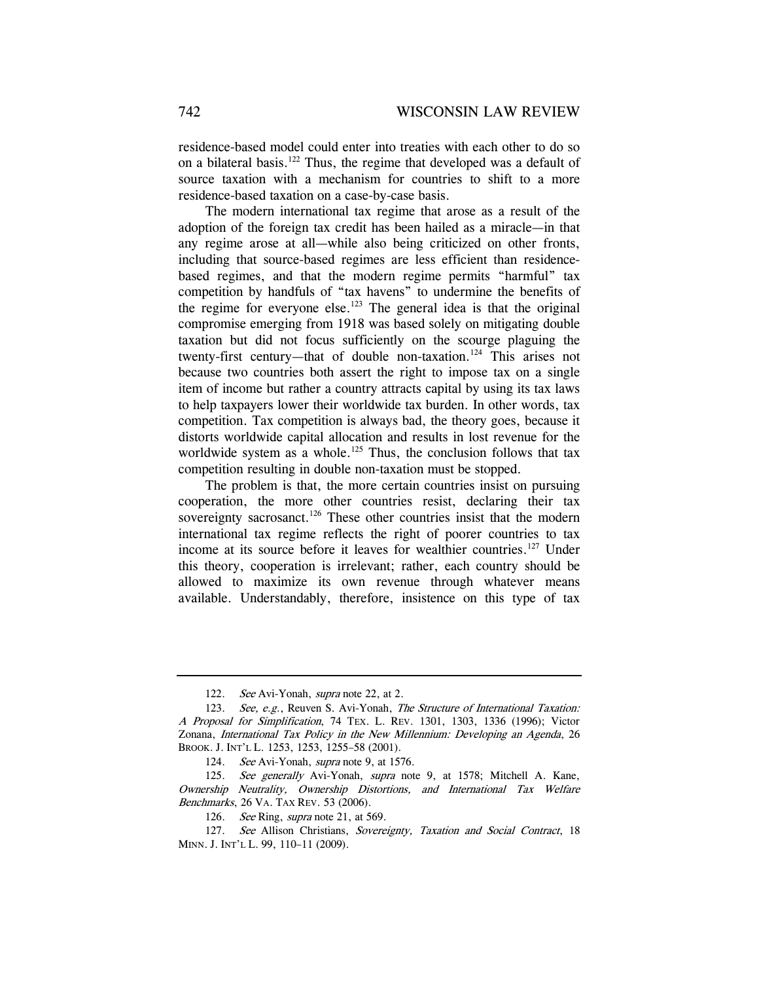residence-based model could enter into treaties with each other to do so on a bilateral basis.122 Thus, the regime that developed was a default of source taxation with a mechanism for countries to shift to a more residence-based taxation on a case-by-case basis.

The modern international tax regime that arose as a result of the adoption of the foreign tax credit has been hailed as a miracle—in that any regime arose at all—while also being criticized on other fronts, including that source-based regimes are less efficient than residencebased regimes, and that the modern regime permits "harmful" tax competition by handfuls of "tax havens" to undermine the benefits of the regime for everyone else.<sup>123</sup> The general idea is that the original compromise emerging from 1918 was based solely on mitigating double taxation but did not focus sufficiently on the scourge plaguing the twenty-first century—that of double non-taxation.<sup>124</sup> This arises not because two countries both assert the right to impose tax on a single item of income but rather a country attracts capital by using its tax laws to help taxpayers lower their worldwide tax burden. In other words, tax competition. Tax competition is always bad, the theory goes, because it distorts worldwide capital allocation and results in lost revenue for the worldwide system as a whole.<sup>125</sup> Thus, the conclusion follows that tax competition resulting in double non-taxation must be stopped.

The problem is that, the more certain countries insist on pursuing cooperation, the more other countries resist, declaring their tax sovereignty sacrosanct.<sup>126</sup> These other countries insist that the modern international tax regime reflects the right of poorer countries to tax income at its source before it leaves for wealthier countries.<sup>127</sup> Under this theory, cooperation is irrelevant; rather, each country should be allowed to maximize its own revenue through whatever means available. Understandably, therefore, insistence on this type of tax

<sup>122.</sup> See Avi-Yonah, *supra* note 22, at 2.

<sup>123.</sup> See, e.g., Reuven S. Avi-Yonah, The Structure of International Taxation: A Proposal for Simplification, 74 TEX. L. REV. 1301, 1303, 1336 (1996); Victor Zonana, International Tax Policy in the New Millennium: Developing an Agenda, 26 BROOK. J. INT'L L. 1253, 1253, 1255–58 (2001).

<sup>124.</sup> See Avi-Yonah, supra note 9, at 1576.

<sup>125.</sup> See generally Avi-Yonah, supra note 9, at 1578; Mitchell A. Kane, Ownership Neutrality, Ownership Distortions, and International Tax Welfare Benchmarks, 26 VA. TAX REV. 53 (2006).

<sup>126.</sup> See Ring, *supra* note 21, at 569.

<sup>127.</sup> See Allison Christians, Sovereignty, Taxation and Social Contract, 18 MINN. J. INT'L L. 99, 110–11 (2009).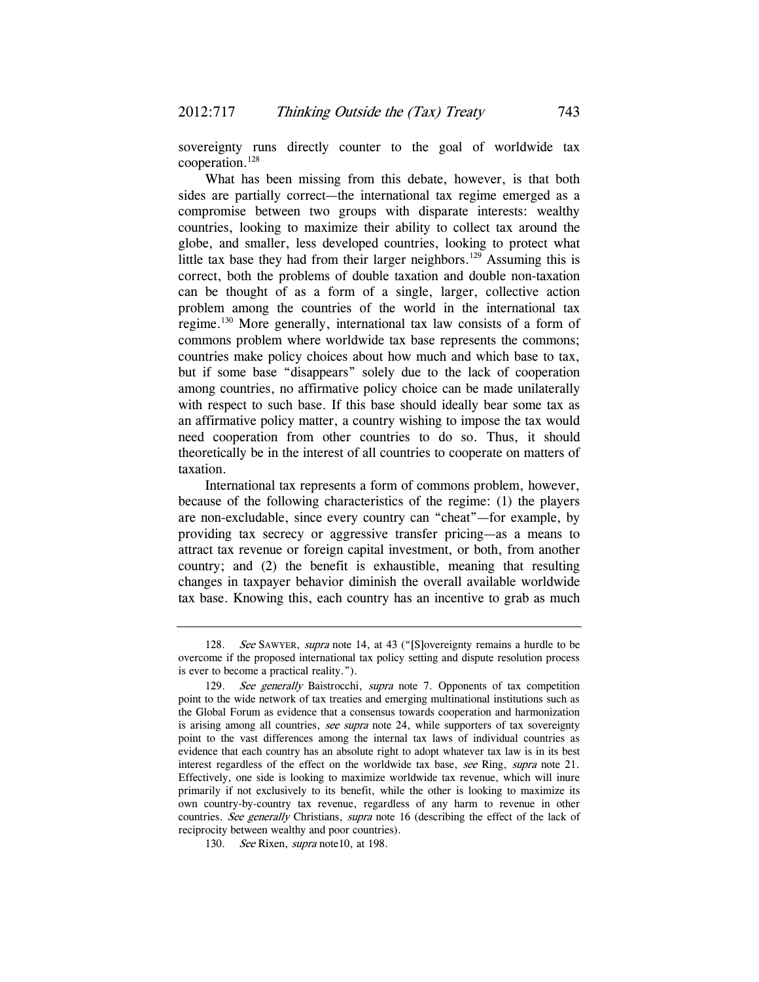sovereignty runs directly counter to the goal of worldwide tax cooperation.128

What has been missing from this debate, however, is that both sides are partially correct—the international tax regime emerged as a compromise between two groups with disparate interests: wealthy countries, looking to maximize their ability to collect tax around the globe, and smaller, less developed countries, looking to protect what little tax base they had from their larger neighbors.<sup>129</sup> Assuming this is correct, both the problems of double taxation and double non-taxation can be thought of as a form of a single, larger, collective action problem among the countries of the world in the international tax regime.130 More generally, international tax law consists of a form of commons problem where worldwide tax base represents the commons; countries make policy choices about how much and which base to tax, but if some base "disappears" solely due to the lack of cooperation among countries, no affirmative policy choice can be made unilaterally with respect to such base. If this base should ideally bear some tax as an affirmative policy matter, a country wishing to impose the tax would need cooperation from other countries to do so. Thus, it should theoretically be in the interest of all countries to cooperate on matters of taxation.

International tax represents a form of commons problem, however, because of the following characteristics of the regime: (1) the players are non-excludable, since every country can "cheat"—for example, by providing tax secrecy or aggressive transfer pricing—as a means to attract tax revenue or foreign capital investment, or both, from another country; and (2) the benefit is exhaustible, meaning that resulting changes in taxpayer behavior diminish the overall available worldwide tax base. Knowing this, each country has an incentive to grab as much

<sup>128.</sup> See SAWYER, supra note 14, at 43 ("[S]overeignty remains a hurdle to be overcome if the proposed international tax policy setting and dispute resolution process is ever to become a practical reality.").

<sup>129.</sup> See generally Baistrocchi, supra note 7. Opponents of tax competition point to the wide network of tax treaties and emerging multinational institutions such as the Global Forum as evidence that a consensus towards cooperation and harmonization is arising among all countries, see supra note 24, while supporters of tax sovereignty point to the vast differences among the internal tax laws of individual countries as evidence that each country has an absolute right to adopt whatever tax law is in its best interest regardless of the effect on the worldwide tax base, see Ring, supra note 21. Effectively, one side is looking to maximize worldwide tax revenue, which will inure primarily if not exclusively to its benefit, while the other is looking to maximize its own country-by-country tax revenue, regardless of any harm to revenue in other countries. See generally Christians, supra note 16 (describing the effect of the lack of reciprocity between wealthy and poor countries).

<sup>130.</sup> See Rixen, supra note 10, at 198.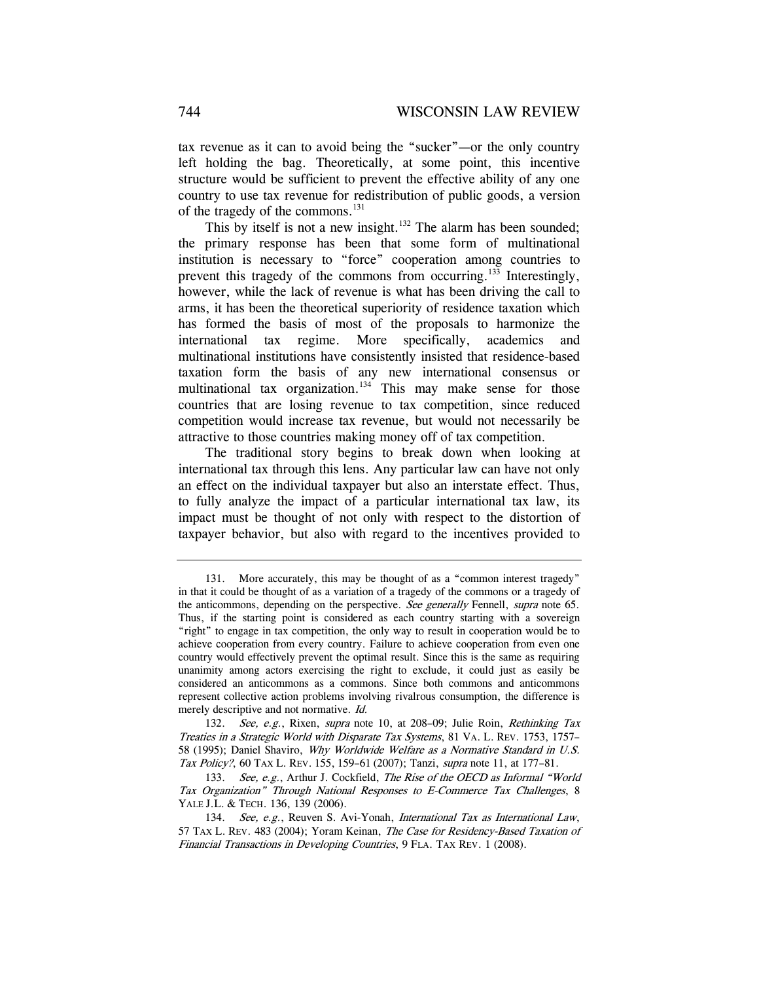tax revenue as it can to avoid being the "sucker"—or the only country left holding the bag. Theoretically, at some point, this incentive structure would be sufficient to prevent the effective ability of any one country to use tax revenue for redistribution of public goods, a version of the tragedy of the commons.<sup>131</sup>

This by itself is not a new insight.<sup>132</sup> The alarm has been sounded; the primary response has been that some form of multinational institution is necessary to "force" cooperation among countries to prevent this tragedy of the commons from occurring.<sup>133</sup> Interestingly, however, while the lack of revenue is what has been driving the call to arms, it has been the theoretical superiority of residence taxation which has formed the basis of most of the proposals to harmonize the international tax regime. More specifically, academics and multinational institutions have consistently insisted that residence-based taxation form the basis of any new international consensus or multinational tax organization.<sup>134</sup> This may make sense for those countries that are losing revenue to tax competition, since reduced competition would increase tax revenue, but would not necessarily be attractive to those countries making money off of tax competition.

The traditional story begins to break down when looking at international tax through this lens. Any particular law can have not only an effect on the individual taxpayer but also an interstate effect. Thus, to fully analyze the impact of a particular international tax law, its impact must be thought of not only with respect to the distortion of taxpayer behavior, but also with regard to the incentives provided to

 <sup>131.</sup> More accurately, this may be thought of as a "common interest tragedy" in that it could be thought of as a variation of a tragedy of the commons or a tragedy of the anticommons, depending on the perspective. See generally Fennell, supra note 65. Thus, if the starting point is considered as each country starting with a sovereign "right" to engage in tax competition, the only way to result in cooperation would be to achieve cooperation from every country. Failure to achieve cooperation from even one country would effectively prevent the optimal result. Since this is the same as requiring unanimity among actors exercising the right to exclude, it could just as easily be considered an anticommons as a commons. Since both commons and anticommons represent collective action problems involving rivalrous consumption, the difference is merely descriptive and not normative. Id.

<sup>132.</sup> See, e.g., Rixen, supra note 10, at 208–09; Julie Roin, Rethinking Tax Treaties in a Strategic World with Disparate Tax Systems, 81 VA. L. REV. 1753, 1757– 58 (1995); Daniel Shaviro, Why Worldwide Welfare as a Normative Standard in U.S. Tax Policy?, 60 TAX L. REV. 155, 159–61 (2007); Tanzi, supra note 11, at 177–81.

<sup>133.</sup> See, e.g., Arthur J. Cockfield, The Rise of the OECD as Informal "World" Tax Organization" Through National Responses to E-Commerce Tax Challenges, 8 YALE J.L. & TECH. 136, 139 (2006).

<sup>134.</sup> See, e.g., Reuven S. Avi-Yonah, International Tax as International Law, 57 TAX L. REV. 483 (2004); Yoram Keinan, The Case for Residency-Based Taxation of Financial Transactions in Developing Countries, 9 FLA. TAX REV. 1 (2008).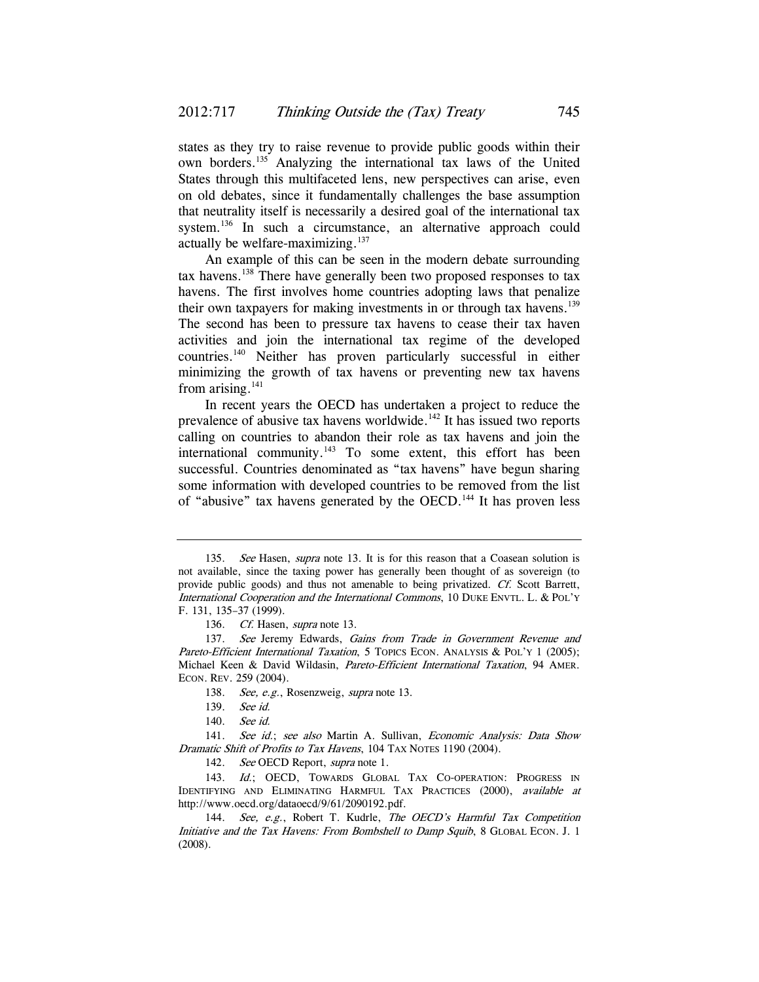states as they try to raise revenue to provide public goods within their own borders.135 Analyzing the international tax laws of the United States through this multifaceted lens, new perspectives can arise, even on old debates, since it fundamentally challenges the base assumption that neutrality itself is necessarily a desired goal of the international tax system.<sup>136</sup> In such a circumstance, an alternative approach could actually be welfare-maximizing. $137$ 

An example of this can be seen in the modern debate surrounding tax havens.138 There have generally been two proposed responses to tax havens. The first involves home countries adopting laws that penalize their own taxpayers for making investments in or through tax havens.<sup>139</sup> The second has been to pressure tax havens to cease their tax haven activities and join the international tax regime of the developed countries.140 Neither has proven particularly successful in either minimizing the growth of tax havens or preventing new tax havens from arising.<sup>141</sup>

In recent years the OECD has undertaken a project to reduce the prevalence of abusive tax havens worldwide.142 It has issued two reports calling on countries to abandon their role as tax havens and join the international community.<sup>143</sup> To some extent, this effort has been successful. Countries denominated as "tax havens" have begun sharing some information with developed countries to be removed from the list of "abusive" tax havens generated by the OECD.<sup>144</sup> It has proven less

138. See, e.g., Rosenzweig, supra note 13.

<sup>135.</sup> See Hasen, supra note 13. It is for this reason that a Coasean solution is not available, since the taxing power has generally been thought of as sovereign (to provide public goods) and thus not amenable to being privatized. Cf. Scott Barrett, International Cooperation and the International Commons, 10 DUKE ENVTL. L. & POL'Y F. 131, 135–37 (1999).

<sup>136.</sup> *Cf.* Hasen, *supra* note 13.

<sup>137.</sup> See Jeremy Edwards, Gains from Trade in Government Revenue and Pareto-Efficient International Taxation, 5 TOPICS ECON. ANALYSIS & POL'Y 1 (2005); Michael Keen & David Wildasin, Pareto-Efficient International Taxation, 94 AMER. ECON. REV. 259 (2004).

<sup>139.</sup> See id.

<sup>140.</sup> See id.

<sup>141.</sup> See id.; see also Martin A. Sullivan, Economic Analysis: Data Show Dramatic Shift of Profits to Tax Havens, 104 TAX NOTES 1190 (2004).

<sup>142.</sup> See OECD Report, supra note 1.

<sup>143.</sup> Id.; OECD, TOWARDS GLOBAL TAX CO-OPERATION: PROGRESS IN IDENTIFYING AND ELIMINATING HARMFUL TAX PRACTICES (2000), available at http://www.oecd.org/dataoecd/9/61/2090192.pdf.

<sup>144.</sup> See, e.g., Robert T. Kudrle, The OECD's Harmful Tax Competition Initiative and the Tax Havens: From Bombshell to Damp Squib, 8 GLOBAL ECON. J. 1 (2008).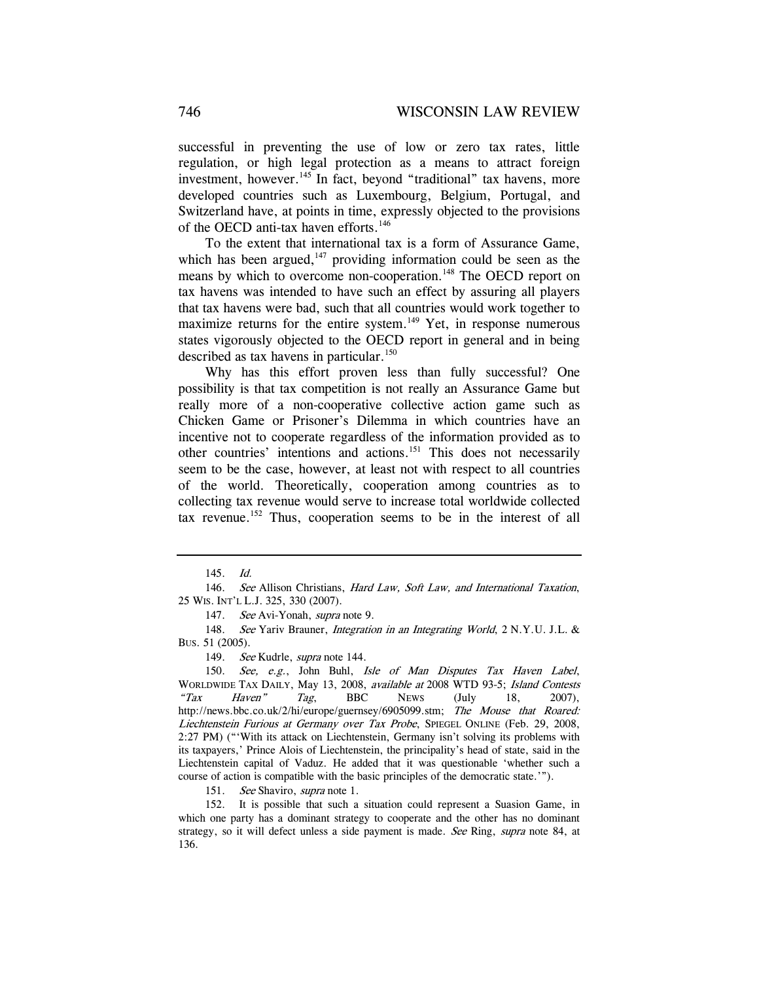successful in preventing the use of low or zero tax rates, little regulation, or high legal protection as a means to attract foreign investment, however.<sup>145</sup> In fact, beyond "traditional" tax havens, more developed countries such as Luxembourg, Belgium, Portugal, and Switzerland have, at points in time, expressly objected to the provisions of the OECD anti-tax haven efforts.<sup>146</sup>

To the extent that international tax is a form of Assurance Game, which has been argued, $147$  providing information could be seen as the means by which to overcome non-cooperation.<sup>148</sup> The OECD report on tax havens was intended to have such an effect by assuring all players that tax havens were bad, such that all countries would work together to maximize returns for the entire system.<sup>149</sup> Yet, in response numerous states vigorously objected to the OECD report in general and in being described as tax havens in particular.<sup>150</sup>

Why has this effort proven less than fully successful? One possibility is that tax competition is not really an Assurance Game but really more of a non-cooperative collective action game such as Chicken Game or Prisoner's Dilemma in which countries have an incentive not to cooperate regardless of the information provided as to other countries' intentions and actions.151 This does not necessarily seem to be the case, however, at least not with respect to all countries of the world. Theoretically, cooperation among countries as to collecting tax revenue would serve to increase total worldwide collected tax revenue.152 Thus, cooperation seems to be in the interest of all

151. See Shaviro, *supra* note 1.

 152. It is possible that such a situation could represent a Suasion Game, in which one party has a dominant strategy to cooperate and the other has no dominant strategy, so it will defect unless a side payment is made. See Ring, supra note 84, at 136.

<sup>145.</sup> Id.

<sup>146.</sup> See Allison Christians, Hard Law, Soft Law, and International Taxation, 25 WIS. INT'L L.J. 325, 330 (2007).

<sup>147.</sup> See Avi-Yonah, supra note 9.

<sup>148.</sup> See Yariv Brauner, Integration in an Integrating World, 2 N.Y.U. J.L. & BUS. 51 (2005).

<sup>149.</sup> See Kudrle, *supra* note 144.

<sup>150.</sup> See, e.g., John Buhl, Isle of Man Disputes Tax Haven Label, WORLDWIDE TAX DAILY, May 13, 2008, available at 2008 WTD 93-5; Island Contests " $\frac{1}{2}$  Haven"  $\frac{1}{2}$  Tag, BBC News (July 18, 2007), http://news.bbc.co.uk/2/hi/europe/guernsey/6905099.stm; The Mouse that Roared: Liechtenstein Furious at Germany over Tax Probe, SPIEGEL ONLINE (Feb. 29, 2008, 2:27 PM) ("'With its attack on Liechtenstein, Germany isn't solving its problems with its taxpayers,' Prince Alois of Liechtenstein, the principality's head of state, said in the Liechtenstein capital of Vaduz. He added that it was questionable 'whether such a course of action is compatible with the basic principles of the democratic state.'").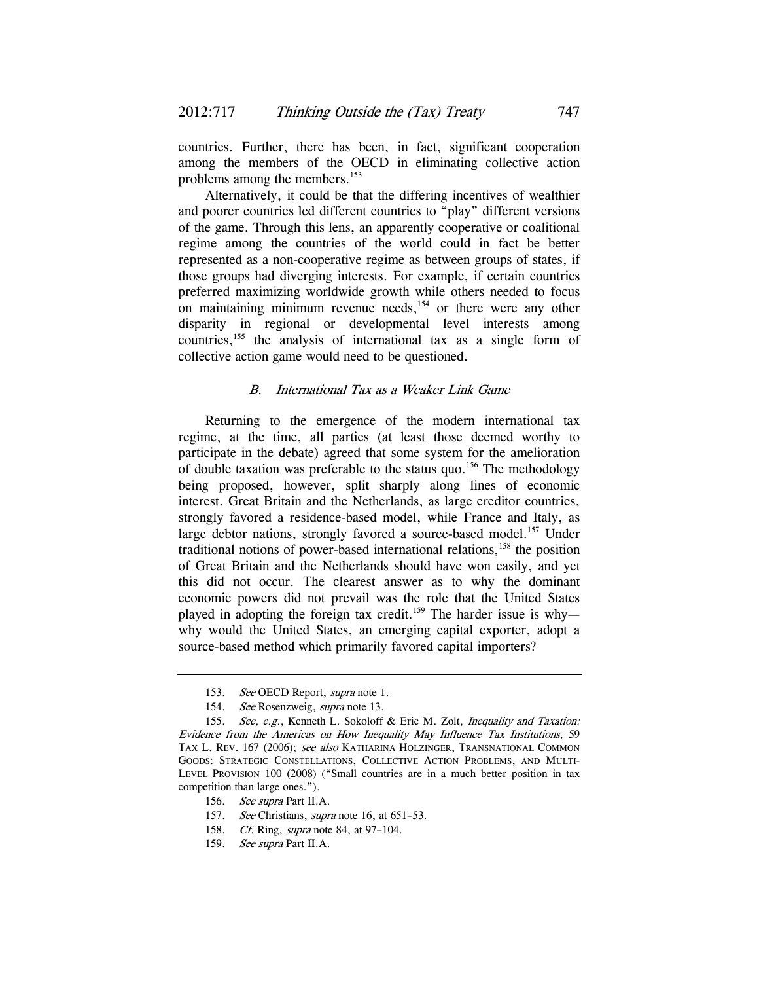countries. Further, there has been, in fact, significant cooperation among the members of the OECD in eliminating collective action problems among the members.<sup>153</sup>

Alternatively, it could be that the differing incentives of wealthier and poorer countries led different countries to "play" different versions of the game. Through this lens, an apparently cooperative or coalitional regime among the countries of the world could in fact be better represented as a non-cooperative regime as between groups of states, if those groups had diverging interests. For example, if certain countries preferred maximizing worldwide growth while others needed to focus on maintaining minimum revenue needs, $154$  or there were any other disparity in regional or developmental level interests among countries,155 the analysis of international tax as a single form of collective action game would need to be questioned.

### B. International Tax as a Weaker Link Game

Returning to the emergence of the modern international tax regime, at the time, all parties (at least those deemed worthy to participate in the debate) agreed that some system for the amelioration of double taxation was preferable to the status quo.156 The methodology being proposed, however, split sharply along lines of economic interest. Great Britain and the Netherlands, as large creditor countries, strongly favored a residence-based model, while France and Italy, as large debtor nations, strongly favored a source-based model.<sup>157</sup> Under traditional notions of power-based international relations,  $158$  the position of Great Britain and the Netherlands should have won easily, and yet this did not occur. The clearest answer as to why the dominant economic powers did not prevail was the role that the United States played in adopting the foreign tax credit.<sup>159</sup> The harder issue is whywhy would the United States, an emerging capital exporter, adopt a source-based method which primarily favored capital importers?

158. Cf. Ring, *supra* note 84, at 97-104.

<sup>153.</sup> See OECD Report, supra note 1.

<sup>154.</sup> See Rosenzweig, supra note 13.

<sup>155.</sup> See, e.g., Kenneth L. Sokoloff & Eric M. Zolt, Inequality and Taxation: Evidence from the Americas on How Inequality May Influence Tax Institutions, 59 TAX L. REV. 167 (2006); see also KATHARINA HOLZINGER, TRANSNATIONAL COMMON GOODS: STRATEGIC CONSTELLATIONS, COLLECTIVE ACTION PROBLEMS, AND MULTI-LEVEL PROVISION 100 (2008) ("Small countries are in a much better position in tax competition than large ones.").

<sup>156.</sup> See supra Part II.A.

<sup>157.</sup> See Christians, *supra* note 16, at 651–53.

<sup>159.</sup> See supra Part II.A.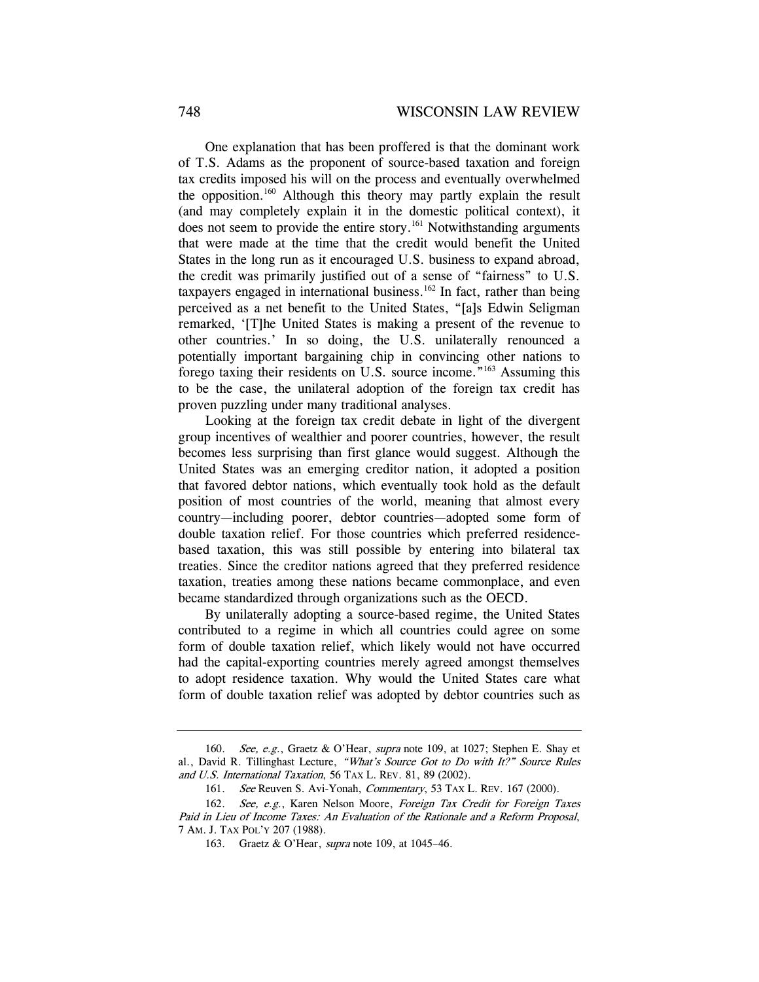One explanation that has been proffered is that the dominant work of T.S. Adams as the proponent of source-based taxation and foreign tax credits imposed his will on the process and eventually overwhelmed the opposition.<sup>160</sup> Although this theory may partly explain the result (and may completely explain it in the domestic political context), it does not seem to provide the entire story.<sup>161</sup> Notwithstanding arguments that were made at the time that the credit would benefit the United States in the long run as it encouraged U.S. business to expand abroad, the credit was primarily justified out of a sense of "fairness" to U.S. taxpayers engaged in international business.<sup>162</sup> In fact, rather than being perceived as a net benefit to the United States, "[a]s Edwin Seligman remarked, '[T]he United States is making a present of the revenue to other countries.' In so doing, the U.S. unilaterally renounced a potentially important bargaining chip in convincing other nations to forego taxing their residents on U.S. source income."163 Assuming this to be the case, the unilateral adoption of the foreign tax credit has proven puzzling under many traditional analyses.

Looking at the foreign tax credit debate in light of the divergent group incentives of wealthier and poorer countries, however, the result becomes less surprising than first glance would suggest. Although the United States was an emerging creditor nation, it adopted a position that favored debtor nations, which eventually took hold as the default position of most countries of the world, meaning that almost every country—including poorer, debtor countries—adopted some form of double taxation relief. For those countries which preferred residencebased taxation, this was still possible by entering into bilateral tax treaties. Since the creditor nations agreed that they preferred residence taxation, treaties among these nations became commonplace, and even became standardized through organizations such as the OECD.

By unilaterally adopting a source-based regime, the United States contributed to a regime in which all countries could agree on some form of double taxation relief, which likely would not have occurred had the capital-exporting countries merely agreed amongst themselves to adopt residence taxation. Why would the United States care what form of double taxation relief was adopted by debtor countries such as

<sup>160.</sup> See, e.g., Graetz & O'Hear, supra note 109, at 1027; Stephen E. Shay et al., David R. Tillinghast Lecture, "What's Source Got to Do with It?" Source Rules and U.S. International Taxation, 56 TAX L. REV. 81, 89 (2002).

<sup>161.</sup> See Reuven S. Avi-Yonah, Commentary, 53 TAX L. REV. 167 (2000).

 <sup>162.</sup> See, e.g., Karen Nelson Moore, Foreign Tax Credit for Foreign Taxes Paid in Lieu of Income Taxes: An Evaluation of the Rationale and a Reform Proposal, 7 AM. J. TAX POL'Y 207 (1988).

<sup>163.</sup> Graetz & O'Hear, *supra* note 109, at 1045-46.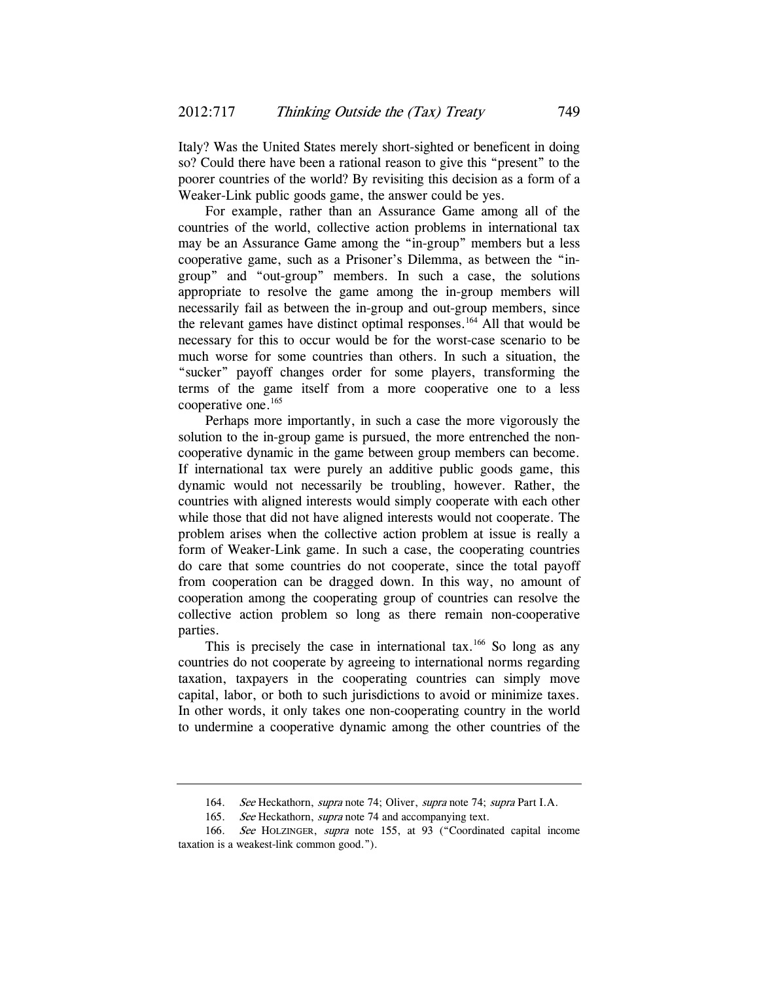Italy? Was the United States merely short-sighted or beneficent in doing so? Could there have been a rational reason to give this "present" to the poorer countries of the world? By revisiting this decision as a form of a Weaker-Link public goods game, the answer could be yes.

For example, rather than an Assurance Game among all of the countries of the world, collective action problems in international tax may be an Assurance Game among the "in-group" members but a less cooperative game, such as a Prisoner's Dilemma, as between the "ingroup" and "out-group" members. In such a case, the solutions appropriate to resolve the game among the in-group members will necessarily fail as between the in-group and out-group members, since the relevant games have distinct optimal responses.<sup>164</sup> All that would be necessary for this to occur would be for the worst-case scenario to be much worse for some countries than others. In such a situation, the "sucker" payoff changes order for some players, transforming the terms of the game itself from a more cooperative one to a less cooperative one.<sup>165</sup>

Perhaps more importantly, in such a case the more vigorously the solution to the in-group game is pursued, the more entrenched the noncooperative dynamic in the game between group members can become. If international tax were purely an additive public goods game, this dynamic would not necessarily be troubling, however. Rather, the countries with aligned interests would simply cooperate with each other while those that did not have aligned interests would not cooperate. The problem arises when the collective action problem at issue is really a form of Weaker-Link game. In such a case, the cooperating countries do care that some countries do not cooperate, since the total payoff from cooperation can be dragged down. In this way, no amount of cooperation among the cooperating group of countries can resolve the collective action problem so long as there remain non-cooperative parties.

This is precisely the case in international tax.<sup>166</sup> So long as any countries do not cooperate by agreeing to international norms regarding taxation, taxpayers in the cooperating countries can simply move capital, labor, or both to such jurisdictions to avoid or minimize taxes. In other words, it only takes one non-cooperating country in the world to undermine a cooperative dynamic among the other countries of the

<sup>164.</sup> See Heckathorn, supra note 74; Oliver, supra note 74; supra Part I.A.

<sup>165.</sup> See Heckathorn, supra note 74 and accompanying text.

<sup>166.</sup> See HOLZINGER, supra note 155, at 93 ("Coordinated capital income taxation is a weakest-link common good.").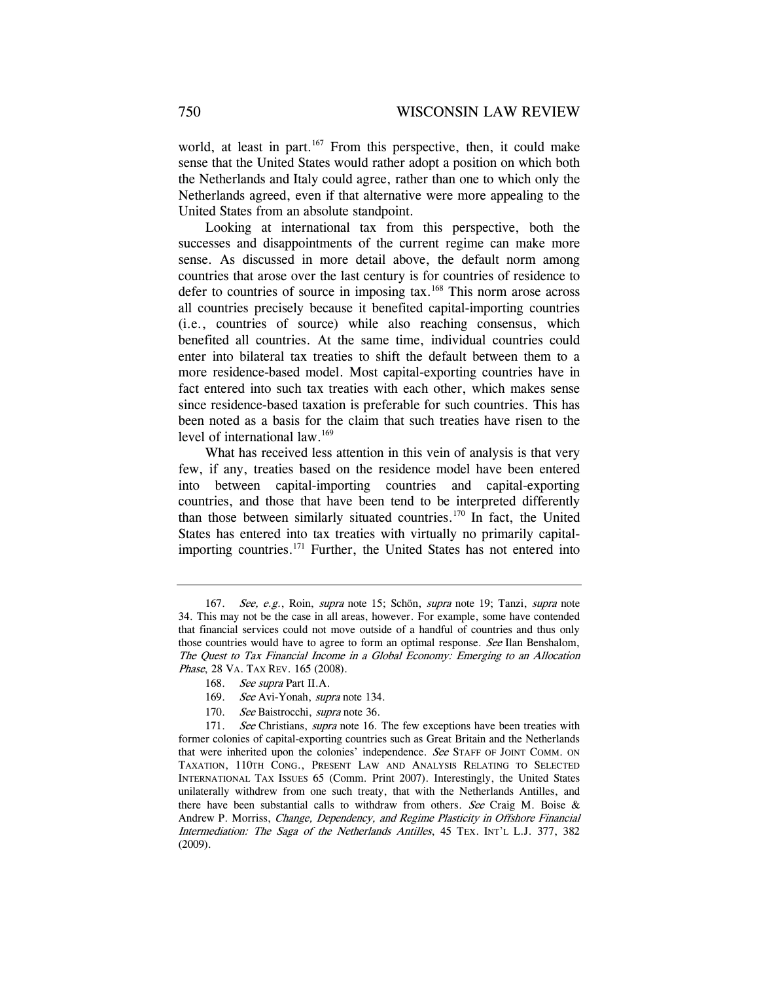world, at least in part. $167$  From this perspective, then, it could make sense that the United States would rather adopt a position on which both the Netherlands and Italy could agree, rather than one to which only the Netherlands agreed, even if that alternative were more appealing to the United States from an absolute standpoint.

Looking at international tax from this perspective, both the successes and disappointments of the current regime can make more sense. As discussed in more detail above, the default norm among countries that arose over the last century is for countries of residence to defer to countries of source in imposing tax.<sup>168</sup> This norm arose across all countries precisely because it benefited capital-importing countries (i.e., countries of source) while also reaching consensus, which benefited all countries. At the same time, individual countries could enter into bilateral tax treaties to shift the default between them to a more residence-based model. Most capital-exporting countries have in fact entered into such tax treaties with each other, which makes sense since residence-based taxation is preferable for such countries. This has been noted as a basis for the claim that such treaties have risen to the level of international law.<sup>169</sup>

What has received less attention in this vein of analysis is that very few, if any, treaties based on the residence model have been entered into between capital-importing countries and capital-exporting countries, and those that have been tend to be interpreted differently than those between similarly situated countries.170 In fact, the United States has entered into tax treaties with virtually no primarily capitalimporting countries.<sup>171</sup> Further, the United States has not entered into

<sup>167.</sup> See, e.g., Roin, supra note 15; Schön, supra note 19; Tanzi, supra note 34. This may not be the case in all areas, however. For example, some have contended that financial services could not move outside of a handful of countries and thus only those countries would have to agree to form an optimal response. See Ilan Benshalom, The Quest to Tax Financial Income in a Global Economy: Emerging to an Allocation Phase, 28 VA. TAX REV. 165 (2008).

<sup>168.</sup> See supra Part II.A.

<sup>169.</sup> See Avi-Yonah, supra note 134.

<sup>170.</sup> See Baistrocchi, supra note 36.

<sup>171.</sup> See Christians, *supra* note 16. The few exceptions have been treaties with former colonies of capital-exporting countries such as Great Britain and the Netherlands that were inherited upon the colonies' independence. See STAFF OF JOINT COMM. ON TAXATION, 110TH CONG., PRESENT LAW AND ANALYSIS RELATING TO SELECTED INTERNATIONAL TAX ISSUES 65 (Comm. Print 2007). Interestingly, the United States unilaterally withdrew from one such treaty, that with the Netherlands Antilles, and there have been substantial calls to withdraw from others. See Craig M. Boise  $\&$ Andrew P. Morriss, Change, Dependency, and Regime Plasticity in Offshore Financial Intermediation: The Saga of the Netherlands Antilles, 45 TEX. INT'L L.J. 377, 382 (2009).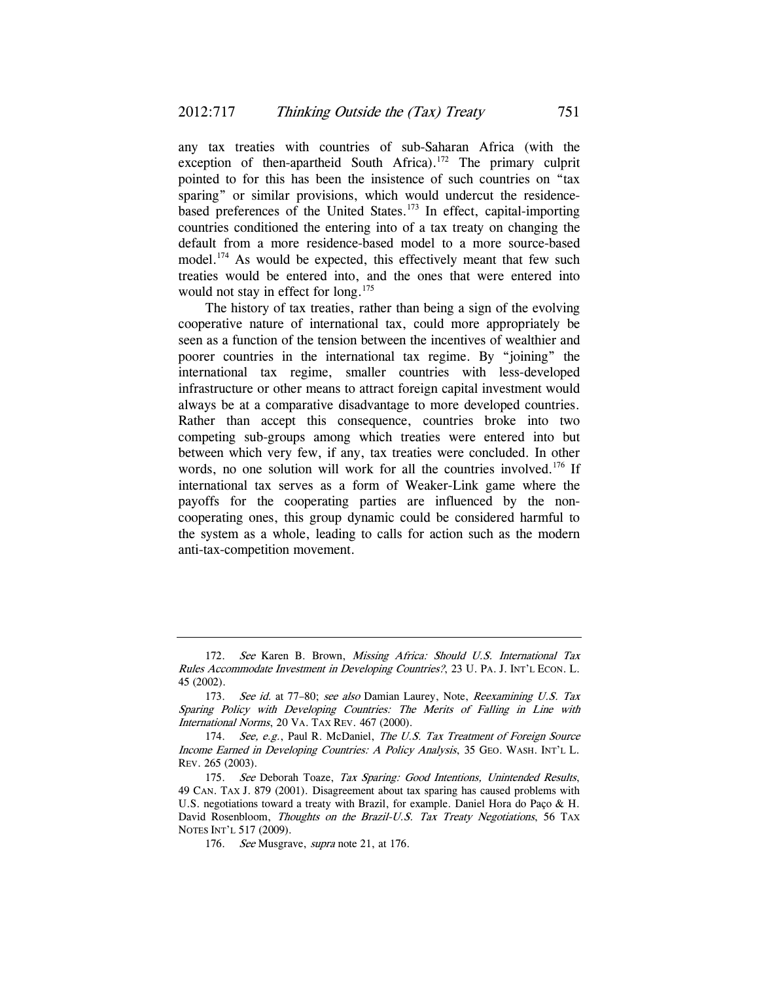any tax treaties with countries of sub-Saharan Africa (with the exception of then-apartheid South Africa).<sup>172</sup> The primary culprit pointed to for this has been the insistence of such countries on "tax sparing" or similar provisions, which would undercut the residencebased preferences of the United States.<sup>173</sup> In effect, capital-importing countries conditioned the entering into of a tax treaty on changing the default from a more residence-based model to a more source-based model.<sup>174</sup> As would be expected, this effectively meant that few such treaties would be entered into, and the ones that were entered into would not stay in effect for long.<sup>175</sup>

The history of tax treaties, rather than being a sign of the evolving cooperative nature of international tax, could more appropriately be seen as a function of the tension between the incentives of wealthier and poorer countries in the international tax regime. By "joining" the international tax regime, smaller countries with less-developed infrastructure or other means to attract foreign capital investment would always be at a comparative disadvantage to more developed countries. Rather than accept this consequence, countries broke into two competing sub-groups among which treaties were entered into but between which very few, if any, tax treaties were concluded. In other words, no one solution will work for all the countries involved.<sup>176</sup> If international tax serves as a form of Weaker-Link game where the payoffs for the cooperating parties are influenced by the noncooperating ones, this group dynamic could be considered harmful to the system as a whole, leading to calls for action such as the modern anti-tax-competition movement.

<sup>172.</sup> See Karen B. Brown, Missing Africa: Should U.S. International Tax Rules Accommodate Investment in Developing Countries?, 23 U. PA. J. INT'L ECON. L. 45 (2002).

<sup>173.</sup> See id. at 77-80; see also Damian Laurey, Note, Reexamining U.S. Tax Sparing Policy with Developing Countries: The Merits of Falling in Line with International Norms, 20 VA. TAX REV. 467 (2000).

<sup>174.</sup> See, e.g., Paul R. McDaniel, The U.S. Tax Treatment of Foreign Source Income Earned in Developing Countries: A Policy Analysis, 35 GEO. WASH. INT'L L. REV. 265 (2003).

<sup>175.</sup> See Deborah Toaze, Tax Sparing: Good Intentions, Unintended Results, 49 CAN. TAX J. 879 (2001). Disagreement about tax sparing has caused problems with U.S. negotiations toward a treaty with Brazil, for example. Daniel Hora do Paço & H. David Rosenbloom, Thoughts on the Brazil-U.S. Tax Treaty Negotiations, 56 TAX NOTES INT'L 517 (2009).

<sup>176.</sup> See Musgrave, *supra* note 21, at 176.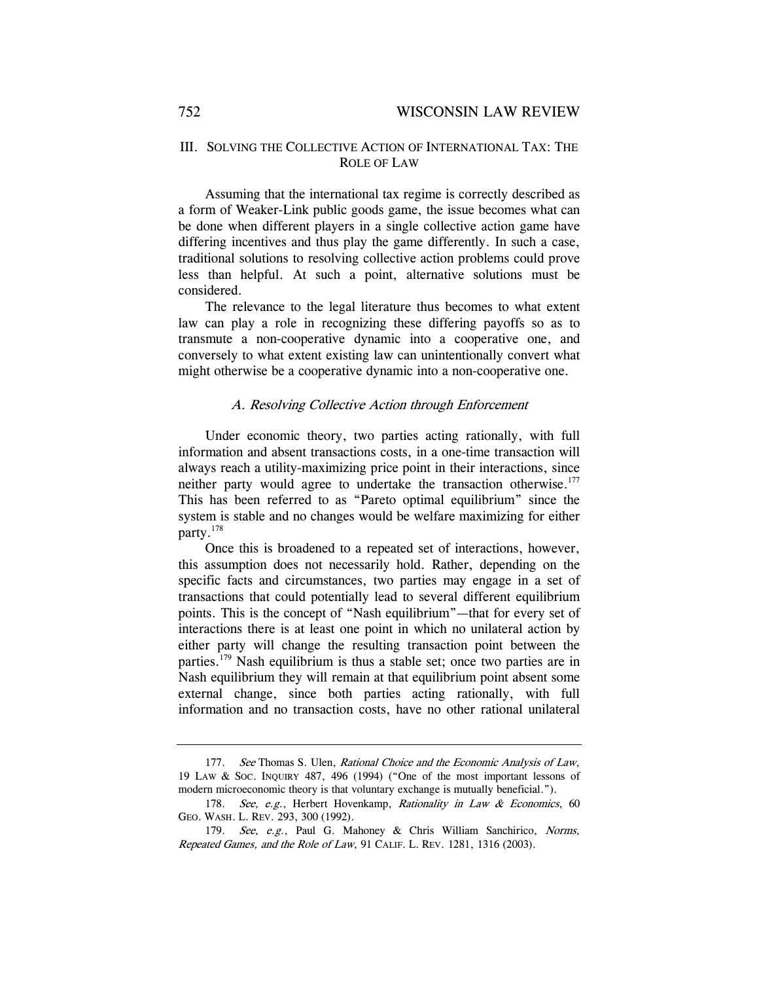### III. SOLVING THE COLLECTIVE ACTION OF INTERNATIONAL TAX: THE ROLE OF LAW

Assuming that the international tax regime is correctly described as a form of Weaker-Link public goods game, the issue becomes what can be done when different players in a single collective action game have differing incentives and thus play the game differently. In such a case, traditional solutions to resolving collective action problems could prove less than helpful. At such a point, alternative solutions must be considered.

The relevance to the legal literature thus becomes to what extent law can play a role in recognizing these differing payoffs so as to transmute a non-cooperative dynamic into a cooperative one, and conversely to what extent existing law can unintentionally convert what might otherwise be a cooperative dynamic into a non-cooperative one.

#### A. Resolving Collective Action through Enforcement

Under economic theory, two parties acting rationally, with full information and absent transactions costs, in a one-time transaction will always reach a utility-maximizing price point in their interactions, since neither party would agree to undertake the transaction otherwise.<sup>177</sup> This has been referred to as "Pareto optimal equilibrium" since the system is stable and no changes would be welfare maximizing for either party.178

Once this is broadened to a repeated set of interactions, however, this assumption does not necessarily hold. Rather, depending on the specific facts and circumstances, two parties may engage in a set of transactions that could potentially lead to several different equilibrium points. This is the concept of "Nash equilibrium"—that for every set of interactions there is at least one point in which no unilateral action by either party will change the resulting transaction point between the parties.179 Nash equilibrium is thus a stable set; once two parties are in Nash equilibrium they will remain at that equilibrium point absent some external change, since both parties acting rationally, with full information and no transaction costs, have no other rational unilateral

<sup>177.</sup> See Thomas S. Ulen, Rational Choice and the Economic Analysis of Law, 19 LAW & SOC. INQUIRY 487, 496 (1994) ("One of the most important lessons of modern microeconomic theory is that voluntary exchange is mutually beneficial.").

<sup>178.</sup> See, e.g., Herbert Hovenkamp, Rationality in Law & Economics, 60 GEO. WASH. L. REV. 293, 300 (1992).

 <sup>179.</sup> See, e.g., Paul G. Mahoney & Chris William Sanchirico, Norms, Repeated Games, and the Role of Law, 91 CALIF. L. REV. 1281, 1316 (2003).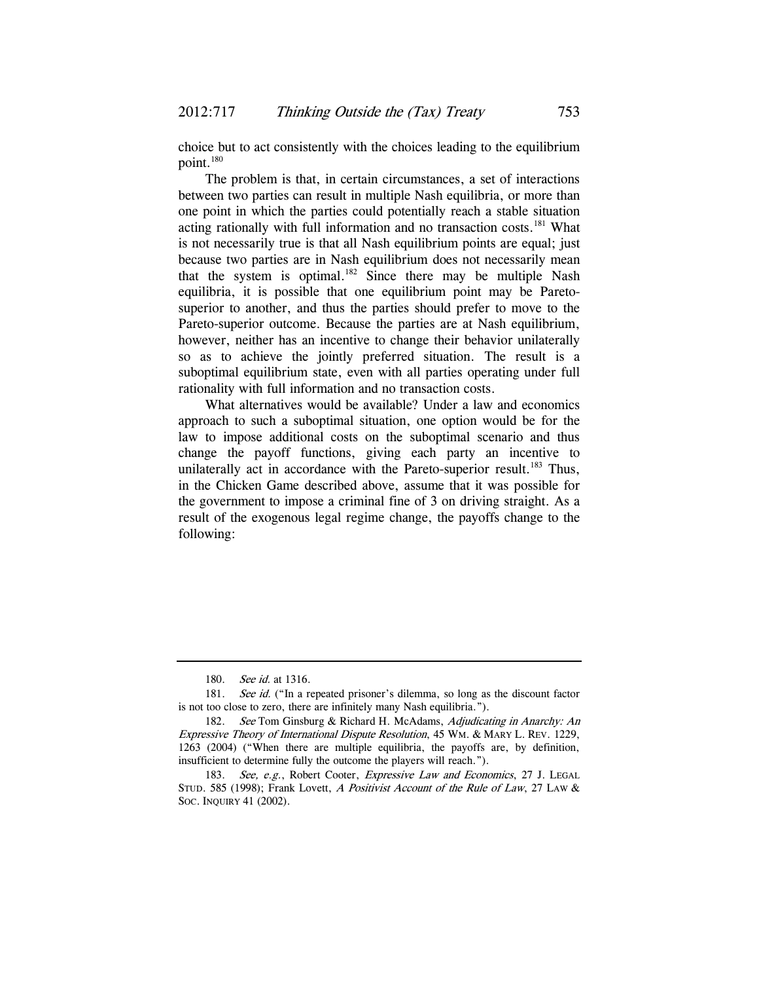choice but to act consistently with the choices leading to the equilibrium point.<sup>180</sup>

The problem is that, in certain circumstances, a set of interactions between two parties can result in multiple Nash equilibria, or more than one point in which the parties could potentially reach a stable situation acting rationally with full information and no transaction costs. $181$  What is not necessarily true is that all Nash equilibrium points are equal; just because two parties are in Nash equilibrium does not necessarily mean that the system is optimal.<sup>182</sup> Since there may be multiple Nash equilibria, it is possible that one equilibrium point may be Paretosuperior to another, and thus the parties should prefer to move to the Pareto-superior outcome. Because the parties are at Nash equilibrium, however, neither has an incentive to change their behavior unilaterally so as to achieve the jointly preferred situation. The result is a suboptimal equilibrium state, even with all parties operating under full rationality with full information and no transaction costs.

What alternatives would be available? Under a law and economics approach to such a suboptimal situation, one option would be for the law to impose additional costs on the suboptimal scenario and thus change the payoff functions, giving each party an incentive to unilaterally act in accordance with the Pareto-superior result.<sup>183</sup> Thus, in the Chicken Game described above, assume that it was possible for the government to impose a criminal fine of 3 on driving straight. As a result of the exogenous legal regime change, the payoffs change to the following:

<sup>180.</sup> *See id.* at 1316.

<sup>181.</sup> See id. ("In a repeated prisoner's dilemma, so long as the discount factor is not too close to zero, there are infinitely many Nash equilibria.").

<sup>182.</sup> See Tom Ginsburg & Richard H. McAdams, Adjudicating in Anarchy: An Expressive Theory of International Dispute Resolution, 45 WM. & MARY L. REV. 1229, 1263 (2004) ("When there are multiple equilibria, the payoffs are, by definition, insufficient to determine fully the outcome the players will reach.").

<sup>183.</sup> See, e.g., Robert Cooter, Expressive Law and Economics, 27 J. LEGAL STUD. 585 (1998); Frank Lovett, A Positivist Account of the Rule of Law, 27 LAW & SOC. INQUIRY 41 (2002).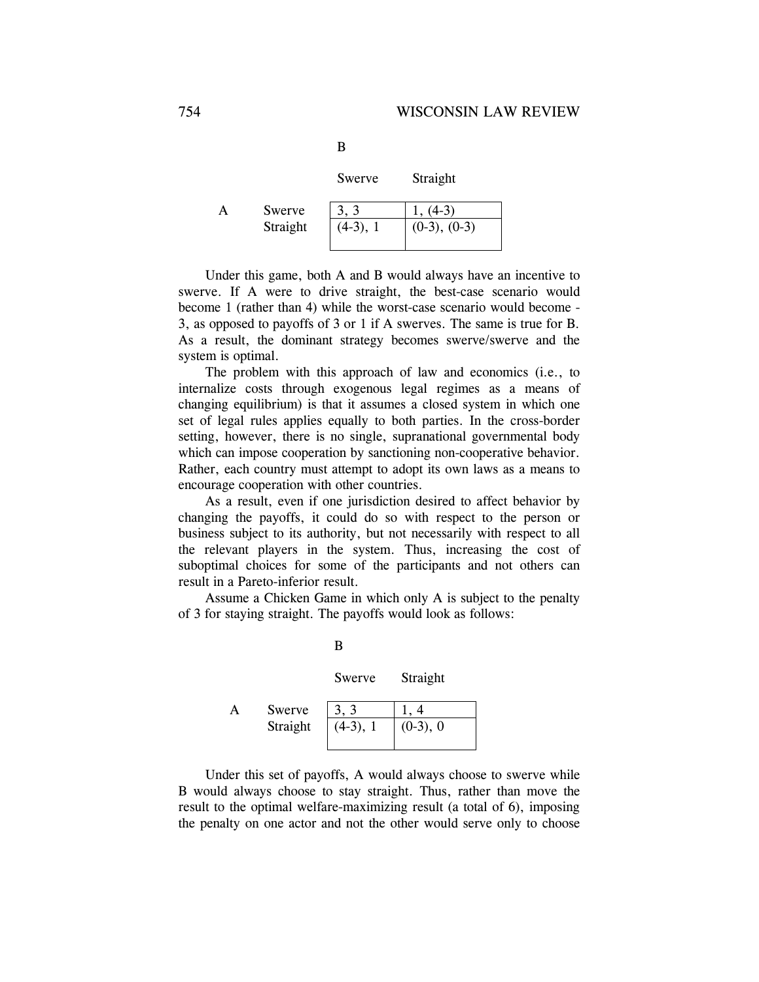| ×      |  |  |
|--------|--|--|
| ٦<br>٧ |  |  |

|   |          | Swerve     | Straight          |
|---|----------|------------|-------------------|
| А | Swerve   | 3, 3       | $1, (4-3)$        |
|   | Straight | $(4-3), 1$ | $(0-3)$ , $(0-3)$ |

Under this game, both A and B would always have an incentive to swerve. If A were to drive straight, the best-case scenario would become 1 (rather than 4) while the worst-case scenario would become - 3, as opposed to payoffs of 3 or 1 if A swerves. The same is true for B. As a result, the dominant strategy becomes swerve/swerve and the system is optimal.

The problem with this approach of law and economics (i.e., to internalize costs through exogenous legal regimes as a means of changing equilibrium) is that it assumes a closed system in which one set of legal rules applies equally to both parties. In the cross-border setting, however, there is no single, supranational governmental body which can impose cooperation by sanctioning non-cooperative behavior. Rather, each country must attempt to adopt its own laws as a means to encourage cooperation with other countries.

As a result, even if one jurisdiction desired to affect behavior by changing the payoffs, it could do so with respect to the person or business subject to its authority, but not necessarily with respect to all the relevant players in the system. Thus, increasing the cost of suboptimal choices for some of the participants and not others can result in a Pareto-inferior result.

Assume a Chicken Game in which only A is subject to the penalty of 3 for staying straight. The payoffs would look as follows:

|          | Swerve     | Straight    |  |
|----------|------------|-------------|--|
| Swerve   | 3, 3       |             |  |
| Straight | $(4-3), 1$ | $(0-3)$ , 0 |  |

B

Under this set of payoffs, A would always choose to swerve while B would always choose to stay straight. Thus, rather than move the result to the optimal welfare-maximizing result (a total of 6), imposing the penalty on one actor and not the other would serve only to choose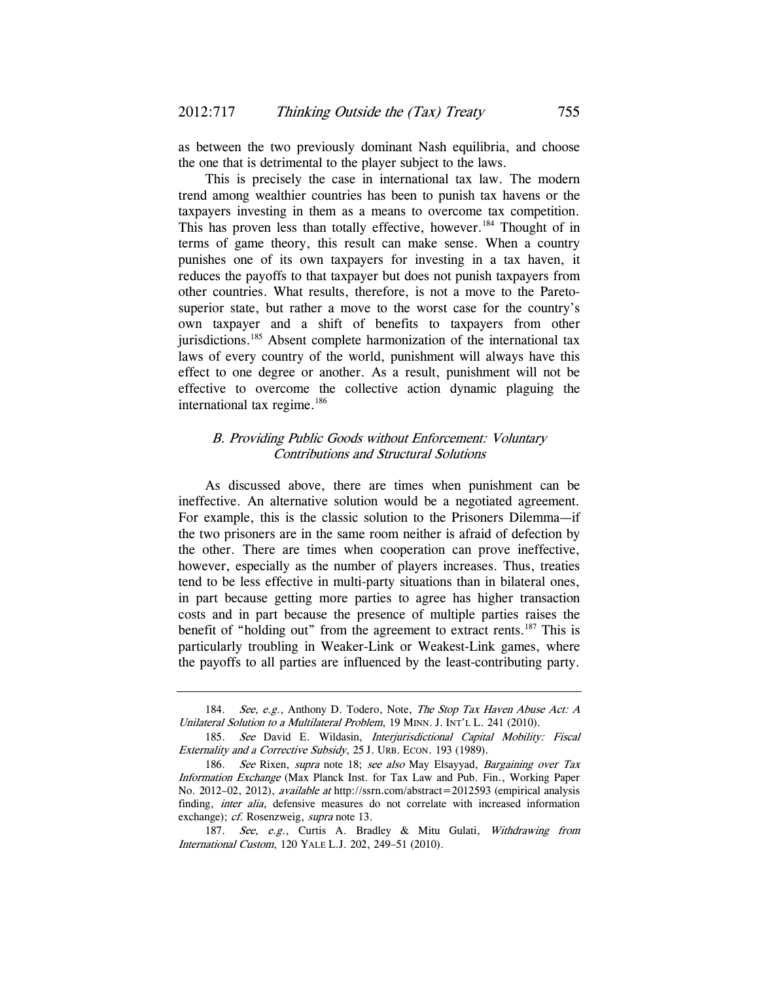as between the two previously dominant Nash equilibria, and choose the one that is detrimental to the player subject to the laws.

This is precisely the case in international tax law. The modern trend among wealthier countries has been to punish tax havens or the taxpayers investing in them as a means to overcome tax competition. This has proven less than totally effective, however.<sup>184</sup> Thought of in terms of game theory, this result can make sense. When a country punishes one of its own taxpayers for investing in a tax haven, it reduces the payoffs to that taxpayer but does not punish taxpayers from other countries. What results, therefore, is not a move to the Paretosuperior state, but rather a move to the worst case for the country's own taxpayer and a shift of benefits to taxpayers from other jurisdictions.<sup>185</sup> Absent complete harmonization of the international tax laws of every country of the world, punishment will always have this effect to one degree or another. As a result, punishment will not be effective to overcome the collective action dynamic plaguing the international tax regime.<sup>186</sup>

## B. Providing Public Goods without Enforcement: Voluntary Contributions and Structural Solutions

As discussed above, there are times when punishment can be ineffective. An alternative solution would be a negotiated agreement. For example, this is the classic solution to the Prisoners Dilemma—if the two prisoners are in the same room neither is afraid of defection by the other. There are times when cooperation can prove ineffective, however, especially as the number of players increases. Thus, treaties tend to be less effective in multi-party situations than in bilateral ones, in part because getting more parties to agree has higher transaction costs and in part because the presence of multiple parties raises the benefit of "holding out" from the agreement to extract rents.<sup>187</sup> This is particularly troubling in Weaker-Link or Weakest-Link games, where the payoffs to all parties are influenced by the least-contributing party.

<sup>184.</sup> See, e.g., Anthony D. Todero, Note, The Stop Tax Haven Abuse Act: A Unilateral Solution to a Multilateral Problem, 19 MINN. J. INT'L L. 241 (2010).

<sup>185.</sup> See David E. Wildasin, Interjurisdictional Capital Mobility: Fiscal Externality and a Corrective Subsidy, 25 J. URB. ECON. 193 (1989).

<sup>186.</sup> See Rixen, supra note 18; see also May Elsayyad, Bargaining over Tax Information Exchange (Max Planck Inst. for Tax Law and Pub. Fin., Working Paper No. 2012–02, 2012), available at http://ssrn.com/abstract=2012593 (empirical analysis finding, inter alia, defensive measures do not correlate with increased information exchange); *cf.* Rosenzweig, *supra* note 13.

<sup>187.</sup> See, e.g., Curtis A. Bradley & Mitu Gulati, Withdrawing from International Custom, 120 YALE L.J. 202, 249–51 (2010).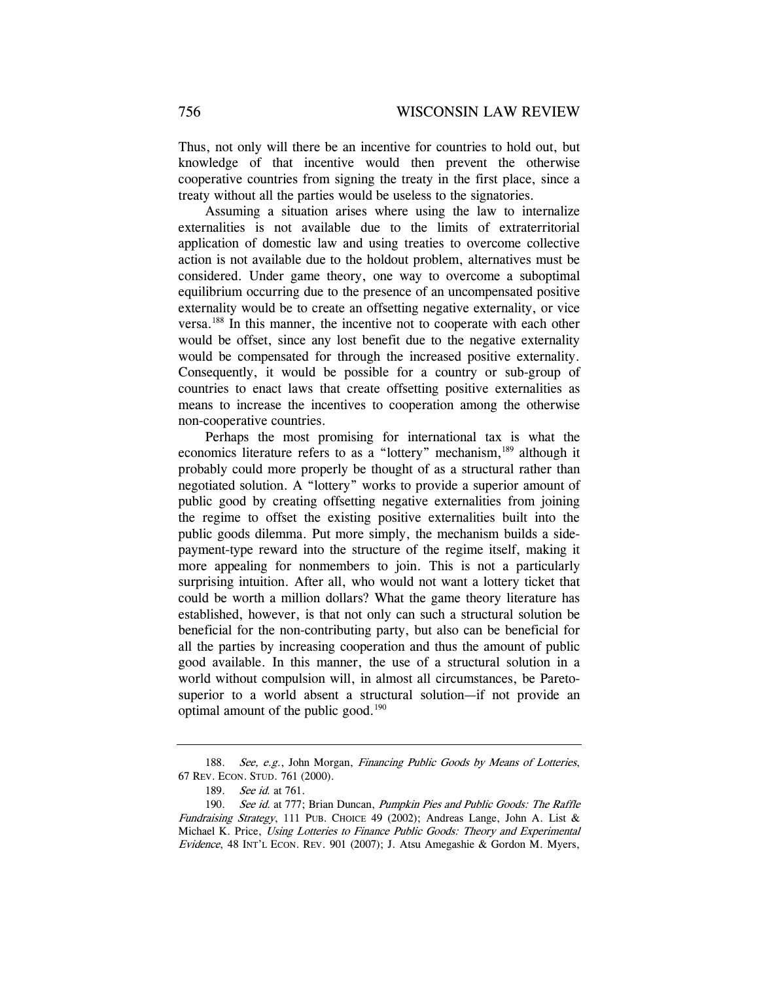Thus, not only will there be an incentive for countries to hold out, but knowledge of that incentive would then prevent the otherwise cooperative countries from signing the treaty in the first place, since a treaty without all the parties would be useless to the signatories.

Assuming a situation arises where using the law to internalize externalities is not available due to the limits of extraterritorial application of domestic law and using treaties to overcome collective action is not available due to the holdout problem, alternatives must be considered. Under game theory, one way to overcome a suboptimal equilibrium occurring due to the presence of an uncompensated positive externality would be to create an offsetting negative externality, or vice versa.188 In this manner, the incentive not to cooperate with each other would be offset, since any lost benefit due to the negative externality would be compensated for through the increased positive externality. Consequently, it would be possible for a country or sub-group of countries to enact laws that create offsetting positive externalities as means to increase the incentives to cooperation among the otherwise non-cooperative countries.

Perhaps the most promising for international tax is what the economics literature refers to as a "lottery" mechanism,<sup>189</sup> although it probably could more properly be thought of as a structural rather than negotiated solution. A "lottery" works to provide a superior amount of public good by creating offsetting negative externalities from joining the regime to offset the existing positive externalities built into the public goods dilemma. Put more simply, the mechanism builds a sidepayment-type reward into the structure of the regime itself, making it more appealing for nonmembers to join. This is not a particularly surprising intuition. After all, who would not want a lottery ticket that could be worth a million dollars? What the game theory literature has established, however, is that not only can such a structural solution be beneficial for the non-contributing party, but also can be beneficial for all the parties by increasing cooperation and thus the amount of public good available. In this manner, the use of a structural solution in a world without compulsion will, in almost all circumstances, be Paretosuperior to a world absent a structural solution—if not provide an optimal amount of the public good. $190$ 

<sup>188.</sup> See, e.g., John Morgan, Financing Public Goods by Means of Lotteries, 67 REV. ECON. STUD. 761 (2000).

<sup>189.</sup> See id. at 761.

<sup>190.</sup> See id. at 777; Brian Duncan, Pumpkin Pies and Public Goods: The Raffle Fundraising Strategy, 111 PUB. CHOICE 49 (2002); Andreas Lange, John A. List & Michael K. Price, Using Lotteries to Finance Public Goods: Theory and Experimental Evidence, 48 INT'L ECON. REV. 901 (2007); J. Atsu Amegashie & Gordon M. Myers,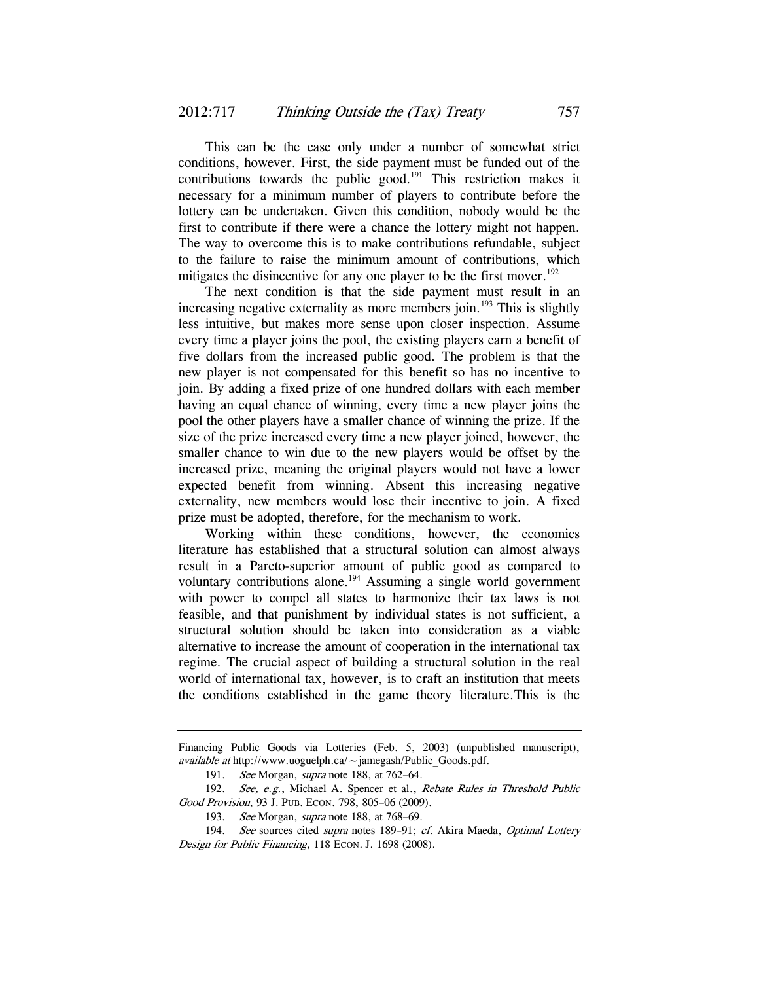This can be the case only under a number of somewhat strict conditions, however. First, the side payment must be funded out of the contributions towards the public good.<sup>191</sup> This restriction makes it necessary for a minimum number of players to contribute before the lottery can be undertaken. Given this condition, nobody would be the first to contribute if there were a chance the lottery might not happen. The way to overcome this is to make contributions refundable, subject to the failure to raise the minimum amount of contributions, which mitigates the disincentive for any one player to be the first mover.<sup>192</sup>

The next condition is that the side payment must result in an increasing negative externality as more members join.<sup>193</sup> This is slightly less intuitive, but makes more sense upon closer inspection. Assume every time a player joins the pool, the existing players earn a benefit of five dollars from the increased public good. The problem is that the new player is not compensated for this benefit so has no incentive to join. By adding a fixed prize of one hundred dollars with each member having an equal chance of winning, every time a new player joins the pool the other players have a smaller chance of winning the prize. If the size of the prize increased every time a new player joined, however, the smaller chance to win due to the new players would be offset by the increased prize, meaning the original players would not have a lower expected benefit from winning. Absent this increasing negative externality, new members would lose their incentive to join. A fixed prize must be adopted, therefore, for the mechanism to work.

Working within these conditions, however, the economics literature has established that a structural solution can almost always result in a Pareto-superior amount of public good as compared to voluntary contributions alone.<sup>194</sup> Assuming a single world government with power to compel all states to harmonize their tax laws is not feasible, and that punishment by individual states is not sufficient, a structural solution should be taken into consideration as a viable alternative to increase the amount of cooperation in the international tax regime. The crucial aspect of building a structural solution in the real world of international tax, however, is to craft an institution that meets the conditions established in the game theory literature.This is the

Financing Public Goods via Lotteries (Feb. 5, 2003) (unpublished manuscript), available at http://www.uoguelph.ca/ $\sim$ jamegash/Public\_Goods.pdf.

<sup>191.</sup> See Morgan, *supra* note 188, at 762-64.

<sup>192.</sup> See, e.g., Michael A. Spencer et al., Rebate Rules in Threshold Public Good Provision, 93 J. PUB. ECON. 798, 805–06 (2009).

<sup>193.</sup> See Morgan, *supra* note 188, at 768-69.

<sup>194.</sup> See sources cited supra notes 189-91; cf. Akira Maeda, Optimal Lottery Design for Public Financing, 118 ECON. J. 1698 (2008).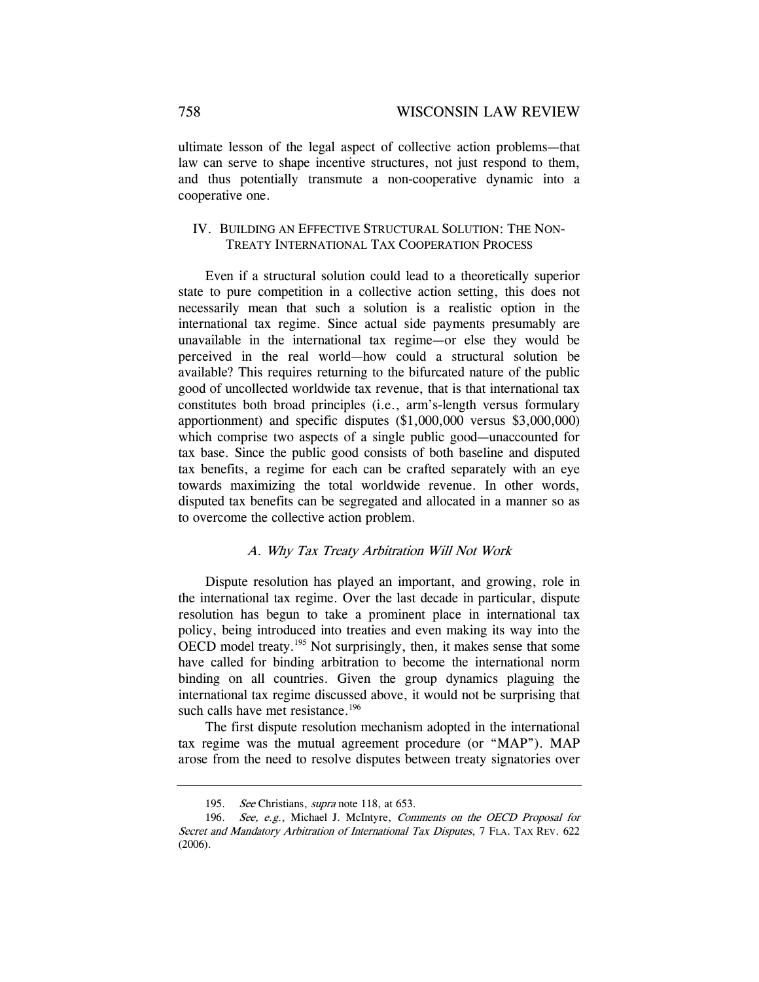ultimate lesson of the legal aspect of collective action problems—that law can serve to shape incentive structures, not just respond to them, and thus potentially transmute a non-cooperative dynamic into a cooperative one.

## IV. BUILDING AN EFFECTIVE STRUCTURAL SOLUTION: THE NON-TREATY INTERNATIONAL TAX COOPERATION PROCESS

Even if a structural solution could lead to a theoretically superior state to pure competition in a collective action setting, this does not necessarily mean that such a solution is a realistic option in the international tax regime. Since actual side payments presumably are unavailable in the international tax regime—or else they would be perceived in the real world—how could a structural solution be available? This requires returning to the bifurcated nature of the public good of uncollected worldwide tax revenue, that is that international tax constitutes both broad principles (i.e., arm's-length versus formulary apportionment) and specific disputes (\$1,000,000 versus \$3,000,000) which comprise two aspects of a single public good—unaccounted for tax base. Since the public good consists of both baseline and disputed tax benefits, a regime for each can be crafted separately with an eye towards maximizing the total worldwide revenue. In other words, disputed tax benefits can be segregated and allocated in a manner so as to overcome the collective action problem.

### A. Why Tax Treaty Arbitration Will Not Work

Dispute resolution has played an important, and growing, role in the international tax regime. Over the last decade in particular, dispute resolution has begun to take a prominent place in international tax policy, being introduced into treaties and even making its way into the OECD model treaty.<sup>195</sup> Not surprisingly, then, it makes sense that some have called for binding arbitration to become the international norm binding on all countries. Given the group dynamics plaguing the international tax regime discussed above, it would not be surprising that such calls have met resistance.<sup>196</sup>

The first dispute resolution mechanism adopted in the international tax regime was the mutual agreement procedure (or "MAP"). MAP arose from the need to resolve disputes between treaty signatories over

<sup>195.</sup> See Christians, *supra* note 118, at 653.

<sup>196.</sup> See, e.g., Michael J. McIntyre, Comments on the OECD Proposal for Secret and Mandatory Arbitration of International Tax Disputes, 7 FLA. TAX REV. 622 (2006).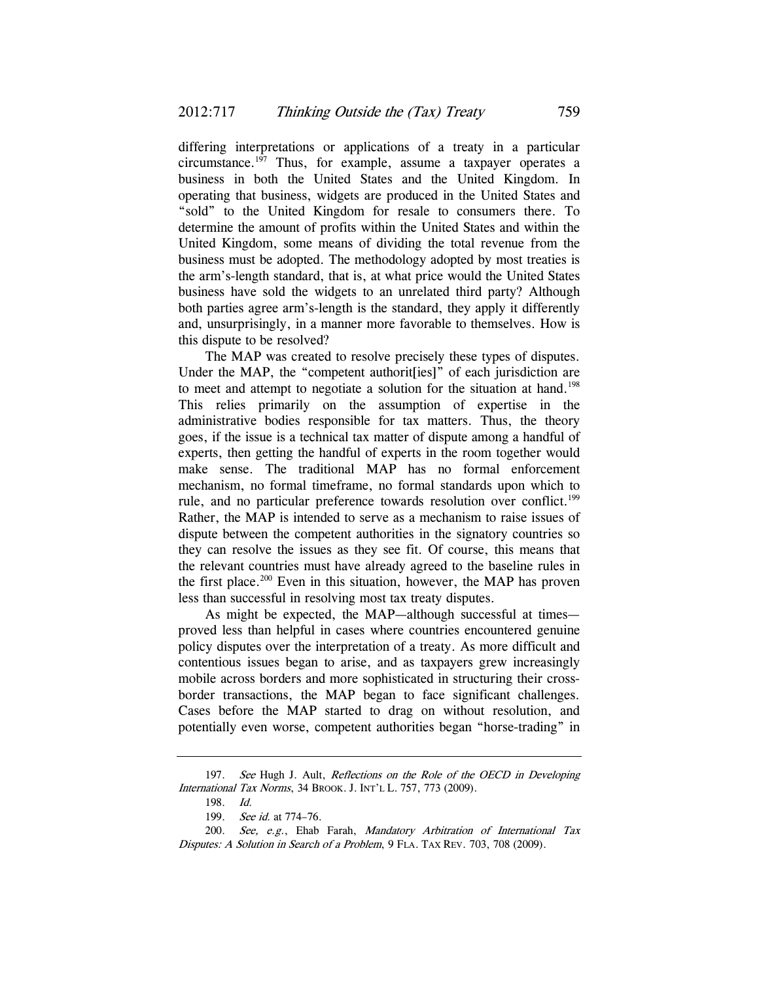differing interpretations or applications of a treaty in a particular circumstance.197 Thus, for example, assume a taxpayer operates a business in both the United States and the United Kingdom. In operating that business, widgets are produced in the United States and "sold" to the United Kingdom for resale to consumers there. To determine the amount of profits within the United States and within the United Kingdom, some means of dividing the total revenue from the business must be adopted. The methodology adopted by most treaties is the arm's-length standard, that is, at what price would the United States business have sold the widgets to an unrelated third party? Although both parties agree arm's-length is the standard, they apply it differently and, unsurprisingly, in a manner more favorable to themselves. How is this dispute to be resolved?

The MAP was created to resolve precisely these types of disputes. Under the MAP, the "competent authorit[ies]" of each jurisdiction are to meet and attempt to negotiate a solution for the situation at hand.<sup>198</sup> This relies primarily on the assumption of expertise in the administrative bodies responsible for tax matters. Thus, the theory goes, if the issue is a technical tax matter of dispute among a handful of experts, then getting the handful of experts in the room together would make sense. The traditional MAP has no formal enforcement mechanism, no formal timeframe, no formal standards upon which to rule, and no particular preference towards resolution over conflict.<sup>199</sup> Rather, the MAP is intended to serve as a mechanism to raise issues of dispute between the competent authorities in the signatory countries so they can resolve the issues as they see fit. Of course, this means that the relevant countries must have already agreed to the baseline rules in the first place.<sup>200</sup> Even in this situation, however, the MAP has proven less than successful in resolving most tax treaty disputes.

As might be expected, the MAP—although successful at times proved less than helpful in cases where countries encountered genuine policy disputes over the interpretation of a treaty. As more difficult and contentious issues began to arise, and as taxpayers grew increasingly mobile across borders and more sophisticated in structuring their crossborder transactions, the MAP began to face significant challenges. Cases before the MAP started to drag on without resolution, and potentially even worse, competent authorities began "horse-trading" in

<sup>197.</sup> See Hugh J. Ault, Reflections on the Role of the OECD in Developing International Tax Norms, 34 BROOK. J. INT'L L. 757, 773 (2009).

<sup>198.</sup> Id.

<sup>199.</sup> See id. at 774-76.

<sup>200.</sup> See, e.g., Ehab Farah, Mandatory Arbitration of International Tax Disputes: A Solution in Search of a Problem, 9 FLA. TAX REV. 703, 708 (2009).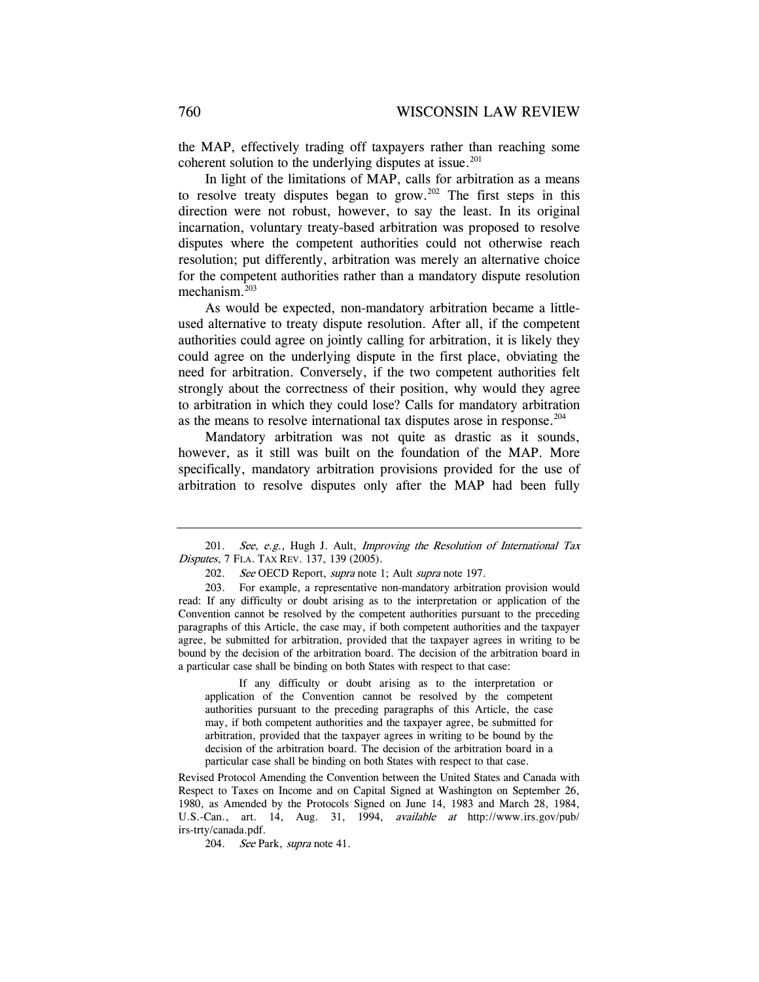the MAP, effectively trading off taxpayers rather than reaching some coherent solution to the underlying disputes at issue.<sup>201</sup>

In light of the limitations of MAP, calls for arbitration as a means to resolve treaty disputes began to grow.<sup>202</sup> The first steps in this direction were not robust, however, to say the least. In its original incarnation, voluntary treaty-based arbitration was proposed to resolve disputes where the competent authorities could not otherwise reach resolution; put differently, arbitration was merely an alternative choice for the competent authorities rather than a mandatory dispute resolution mechanism.<sup>203</sup>

As would be expected, non-mandatory arbitration became a littleused alternative to treaty dispute resolution. After all, if the competent authorities could agree on jointly calling for arbitration, it is likely they could agree on the underlying dispute in the first place, obviating the need for arbitration. Conversely, if the two competent authorities felt strongly about the correctness of their position, why would they agree to arbitration in which they could lose? Calls for mandatory arbitration as the means to resolve international tax disputes arose in response.<sup>204</sup>

Mandatory arbitration was not quite as drastic as it sounds, however, as it still was built on the foundation of the MAP. More specifically, mandatory arbitration provisions provided for the use of arbitration to resolve disputes only after the MAP had been fully

 If any difficulty or doubt arising as to the interpretation or application of the Convention cannot be resolved by the competent authorities pursuant to the preceding paragraphs of this Article, the case may, if both competent authorities and the taxpayer agree, be submitted for arbitration, provided that the taxpayer agrees in writing to be bound by the decision of the arbitration board. The decision of the arbitration board in a particular case shall be binding on both States with respect to that case.

Revised Protocol Amending the Convention between the United States and Canada with Respect to Taxes on Income and on Capital Signed at Washington on September 26, 1980, as Amended by the Protocols Signed on June 14, 1983 and March 28, 1984, U.S.-Can., art. 14, Aug. 31, 1994, available at http://www.irs.gov/pub/ irs-trty/canada.pdf.

204. See Park, supra note 41.

<sup>201.</sup> See, e.g., Hugh J. Ault, Improving the Resolution of International Tax Disputes, 7 FLA. TAX REV. 137, 139 (2005).

<sup>202.</sup> See OECD Report, supra note 1; Ault supra note 197.

 <sup>203.</sup> For example, a representative non-mandatory arbitration provision would read: If any difficulty or doubt arising as to the interpretation or application of the Convention cannot be resolved by the competent authorities pursuant to the preceding paragraphs of this Article, the case may, if both competent authorities and the taxpayer agree, be submitted for arbitration, provided that the taxpayer agrees in writing to be bound by the decision of the arbitration board. The decision of the arbitration board in a particular case shall be binding on both States with respect to that case: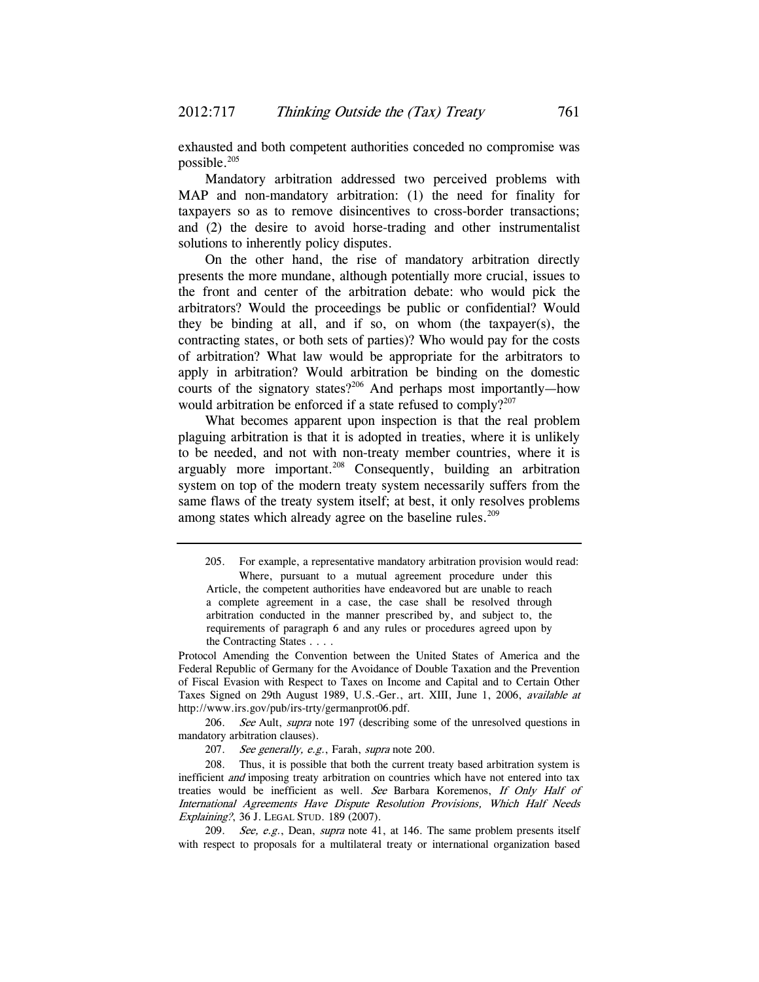exhausted and both competent authorities conceded no compromise was possible.205

Mandatory arbitration addressed two perceived problems with MAP and non-mandatory arbitration: (1) the need for finality for taxpayers so as to remove disincentives to cross-border transactions; and (2) the desire to avoid horse-trading and other instrumentalist solutions to inherently policy disputes.

On the other hand, the rise of mandatory arbitration directly presents the more mundane, although potentially more crucial, issues to the front and center of the arbitration debate: who would pick the arbitrators? Would the proceedings be public or confidential? Would they be binding at all, and if so, on whom (the taxpayer(s), the contracting states, or both sets of parties)? Who would pay for the costs of arbitration? What law would be appropriate for the arbitrators to apply in arbitration? Would arbitration be binding on the domestic courts of the signatory states?<sup>206</sup> And perhaps most importantly—how would arbitration be enforced if a state refused to comply? $207$ 

What becomes apparent upon inspection is that the real problem plaguing arbitration is that it is adopted in treaties, where it is unlikely to be needed, and not with non-treaty member countries, where it is arguably more important.<sup>208</sup> Consequently, building an arbitration system on top of the modern treaty system necessarily suffers from the same flaws of the treaty system itself; at best, it only resolves problems among states which already agree on the baseline rules.<sup>209</sup>

Protocol Amending the Convention between the United States of America and the Federal Republic of Germany for the Avoidance of Double Taxation and the Prevention of Fiscal Evasion with Respect to Taxes on Income and Capital and to Certain Other Taxes Signed on 29th August 1989, U.S.-Ger., art. XIII, June 1, 2006, available at http://www.irs.gov/pub/irs-trty/germanprot06.pdf.

206. See Ault, supra note 197 (describing some of the unresolved questions in mandatory arbitration clauses).

207. See generally, e.g., Farah, supra note 200.

 208. Thus, it is possible that both the current treaty based arbitration system is inefficient and imposing treaty arbitration on countries which have not entered into tax treaties would be inefficient as well. See Barbara Koremenos, If Only Half of International Agreements Have Dispute Resolution Provisions, Which Half Needs Explaining?, 36 J. LEGAL STUD. 189 (2007).

209. See, e.g., Dean, supra note 41, at 146. The same problem presents itself with respect to proposals for a multilateral treaty or international organization based

 <sup>205.</sup> For example, a representative mandatory arbitration provision would read: Where, pursuant to a mutual agreement procedure under this Article, the competent authorities have endeavored but are unable to reach a complete agreement in a case, the case shall be resolved through arbitration conducted in the manner prescribed by, and subject to, the requirements of paragraph 6 and any rules or procedures agreed upon by the Contracting States . . . .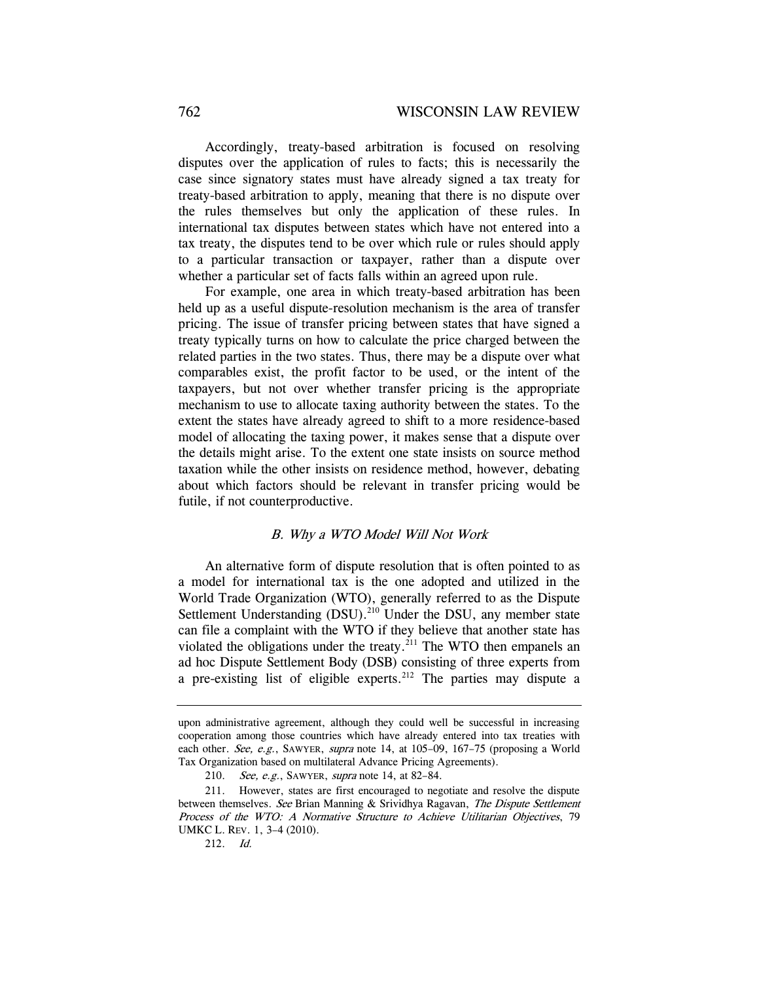Accordingly, treaty-based arbitration is focused on resolving disputes over the application of rules to facts; this is necessarily the case since signatory states must have already signed a tax treaty for treaty-based arbitration to apply, meaning that there is no dispute over the rules themselves but only the application of these rules. In international tax disputes between states which have not entered into a tax treaty, the disputes tend to be over which rule or rules should apply to a particular transaction or taxpayer, rather than a dispute over whether a particular set of facts falls within an agreed upon rule.

For example, one area in which treaty-based arbitration has been held up as a useful dispute-resolution mechanism is the area of transfer pricing. The issue of transfer pricing between states that have signed a treaty typically turns on how to calculate the price charged between the related parties in the two states. Thus, there may be a dispute over what comparables exist, the profit factor to be used, or the intent of the taxpayers, but not over whether transfer pricing is the appropriate mechanism to use to allocate taxing authority between the states. To the extent the states have already agreed to shift to a more residence-based model of allocating the taxing power, it makes sense that a dispute over the details might arise. To the extent one state insists on source method taxation while the other insists on residence method, however, debating about which factors should be relevant in transfer pricing would be futile, if not counterproductive.

#### B. Why a WTO Model Will Not Work

An alternative form of dispute resolution that is often pointed to as a model for international tax is the one adopted and utilized in the World Trade Organization (WTO), generally referred to as the Dispute Settlement Understanding (DSU).<sup>210</sup> Under the DSU, any member state can file a complaint with the WTO if they believe that another state has violated the obligations under the treaty. $^{211}$  The WTO then empanels an ad hoc Dispute Settlement Body (DSB) consisting of three experts from a pre-existing list of eligible experts.<sup>212</sup> The parties may dispute a

upon administrative agreement, although they could well be successful in increasing cooperation among those countries which have already entered into tax treaties with each other. See, e.g., SAWYER, supra note 14, at 105–09, 167–75 (proposing a World Tax Organization based on multilateral Advance Pricing Agreements).

<sup>210.</sup> See, e.g., SAWYER, supra note 14, at 82-84.

 <sup>211.</sup> However, states are first encouraged to negotiate and resolve the dispute between themselves. See Brian Manning & Srividhya Ragavan, The Dispute Settlement Process of the WTO: A Normative Structure to Achieve Utilitarian Objectives, 79 UMKC L. REV. 1, 3–4 (2010).

<sup>212.</sup> Id.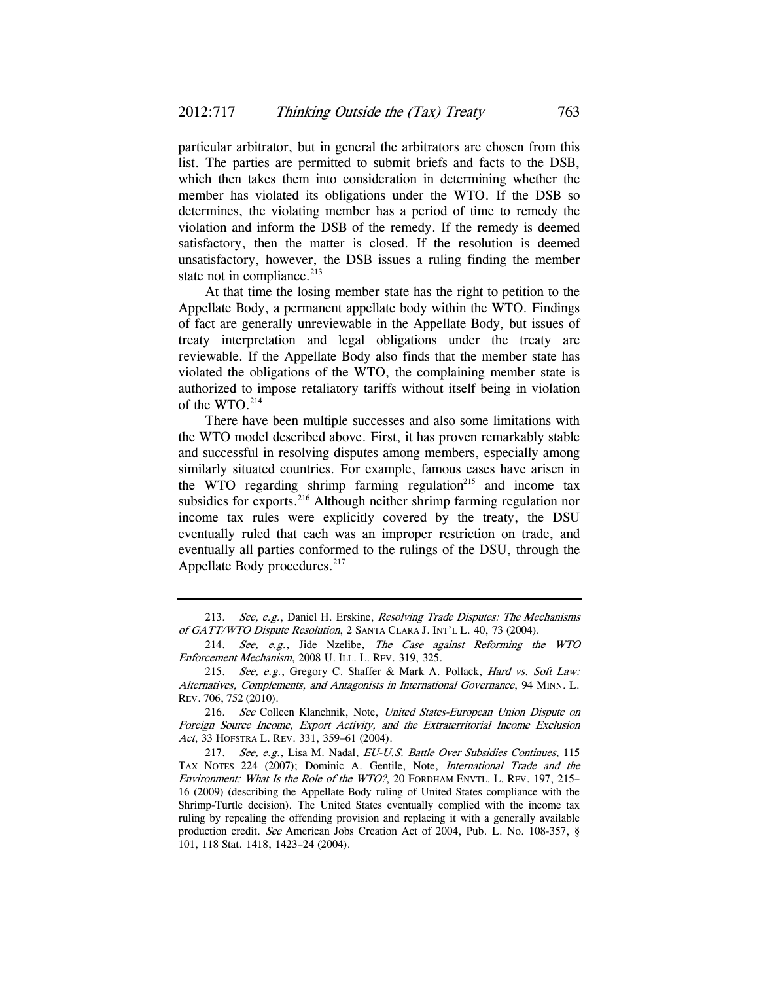particular arbitrator, but in general the arbitrators are chosen from this list. The parties are permitted to submit briefs and facts to the DSB, which then takes them into consideration in determining whether the member has violated its obligations under the WTO. If the DSB so determines, the violating member has a period of time to remedy the violation and inform the DSB of the remedy. If the remedy is deemed satisfactory, then the matter is closed. If the resolution is deemed unsatisfactory, however, the DSB issues a ruling finding the member state not in compliance. $213$ 

At that time the losing member state has the right to petition to the Appellate Body, a permanent appellate body within the WTO. Findings of fact are generally unreviewable in the Appellate Body, but issues of treaty interpretation and legal obligations under the treaty are reviewable. If the Appellate Body also finds that the member state has violated the obligations of the WTO, the complaining member state is authorized to impose retaliatory tariffs without itself being in violation of the WTO. $214$ 

There have been multiple successes and also some limitations with the WTO model described above. First, it has proven remarkably stable and successful in resolving disputes among members, especially among similarly situated countries. For example, famous cases have arisen in the WTO regarding shrimp farming regulation<sup>215</sup> and income tax subsidies for exports.<sup>216</sup> Although neither shrimp farming regulation nor income tax rules were explicitly covered by the treaty, the DSU eventually ruled that each was an improper restriction on trade, and eventually all parties conformed to the rulings of the DSU, through the Appellate Body procedures.<sup>217</sup>

<sup>213.</sup> See, e.g., Daniel H. Erskine, Resolving Trade Disputes: The Mechanisms of GATT/WTO Dispute Resolution, 2 SANTA CLARA J. INT'L L. 40, 73 (2004).

<sup>214.</sup> See, e.g., Jide Nzelibe, The Case against Reforming the WTO Enforcement Mechanism, 2008 U. ILL. L. REV. 319, 325.

<sup>215.</sup> See, e.g., Gregory C. Shaffer & Mark A. Pollack, Hard vs. Soft Law: Alternatives, Complements, and Antagonists in International Governance, 94 MINN. L. REV. 706, 752 (2010).

<sup>216.</sup> See Colleen Klanchnik, Note, United States-European Union Dispute on Foreign Source Income, Export Activity, and the Extraterritorial Income Exclusion Act, 33 HOFSTRA L. REV. 331, 359–61 (2004).

<sup>217.</sup> See, e.g., Lisa M. Nadal,  $EU-U.S.$  Battle Over Subsidies Continues, 115 TAX NOTES 224 (2007); Dominic A. Gentile, Note, International Trade and the Environment: What Is the Role of the WTO?, 20 FORDHAM ENVTL. L. REV. 197, 215– 16 (2009) (describing the Appellate Body ruling of United States compliance with the Shrimp-Turtle decision). The United States eventually complied with the income tax ruling by repealing the offending provision and replacing it with a generally available production credit. See American Jobs Creation Act of 2004, Pub. L. No. 108-357, § 101, 118 Stat. 1418, 1423–24 (2004).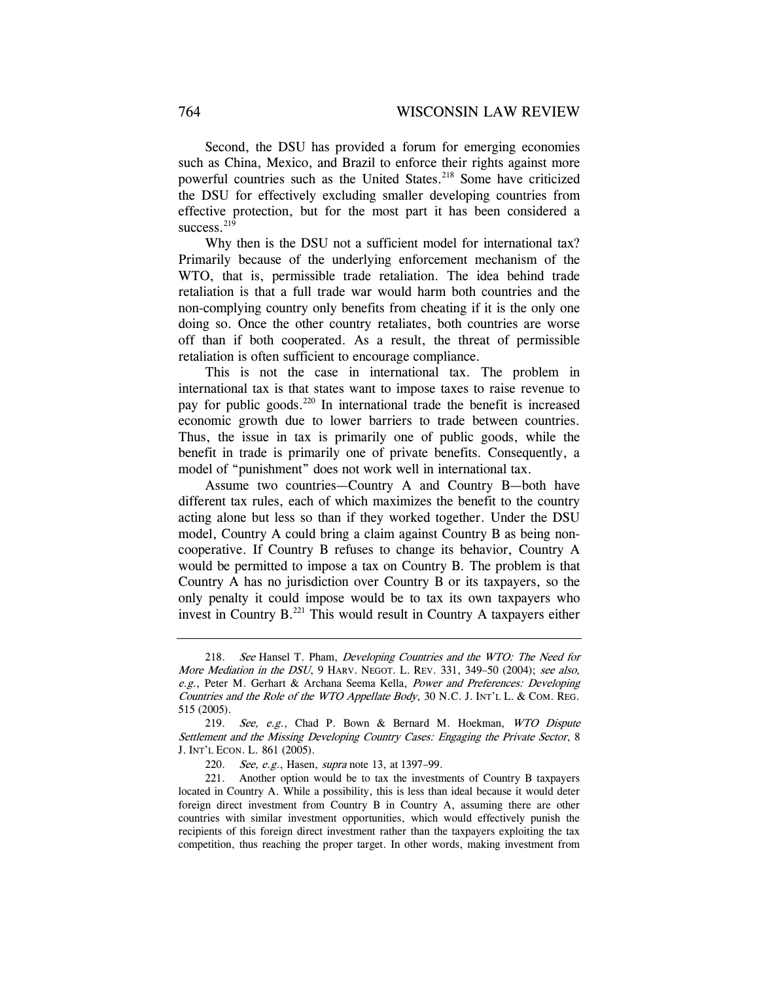Second, the DSU has provided a forum for emerging economies such as China, Mexico, and Brazil to enforce their rights against more powerful countries such as the United States.<sup>218</sup> Some have criticized the DSU for effectively excluding smaller developing countries from effective protection, but for the most part it has been considered a success. $219$ 

Why then is the DSU not a sufficient model for international tax? Primarily because of the underlying enforcement mechanism of the WTO, that is, permissible trade retaliation. The idea behind trade retaliation is that a full trade war would harm both countries and the non-complying country only benefits from cheating if it is the only one doing so. Once the other country retaliates, both countries are worse off than if both cooperated. As a result, the threat of permissible retaliation is often sufficient to encourage compliance.

This is not the case in international tax. The problem in international tax is that states want to impose taxes to raise revenue to pay for public goods.<sup>220</sup> In international trade the benefit is increased economic growth due to lower barriers to trade between countries. Thus, the issue in tax is primarily one of public goods, while the benefit in trade is primarily one of private benefits. Consequently, a model of "punishment" does not work well in international tax.

Assume two countries—Country A and Country B—both have different tax rules, each of which maximizes the benefit to the country acting alone but less so than if they worked together. Under the DSU model, Country A could bring a claim against Country B as being noncooperative. If Country B refuses to change its behavior, Country A would be permitted to impose a tax on Country B. The problem is that Country A has no jurisdiction over Country B or its taxpayers, so the only penalty it could impose would be to tax its own taxpayers who invest in Country B. $^{221}$  This would result in Country A taxpayers either

<sup>218.</sup> See Hansel T. Pham, Developing Countries and the WTO: The Need for More Mediation in the DSU, 9 HARV. NEGOT. L. REV. 331, 349–50 (2004); see also, e.g., Peter M. Gerhart & Archana Seema Kella, Power and Preferences: Developing Countries and the Role of the WTO Appellate Body, 30 N.C. J. INT'L L. & COM. REG. 515 (2005).

<sup>219.</sup> See, e.g., Chad P. Bown & Bernard M. Hoekman, WTO Dispute Settlement and the Missing Developing Country Cases: Engaging the Private Sector, 8 J. INT'L ECON. L. 861 (2005).

<sup>220.</sup> See, e.g., Hasen, *supra* note 13, at 1397-99.

 <sup>221.</sup> Another option would be to tax the investments of Country B taxpayers located in Country A. While a possibility, this is less than ideal because it would deter foreign direct investment from Country B in Country A, assuming there are other countries with similar investment opportunities, which would effectively punish the recipients of this foreign direct investment rather than the taxpayers exploiting the tax competition, thus reaching the proper target. In other words, making investment from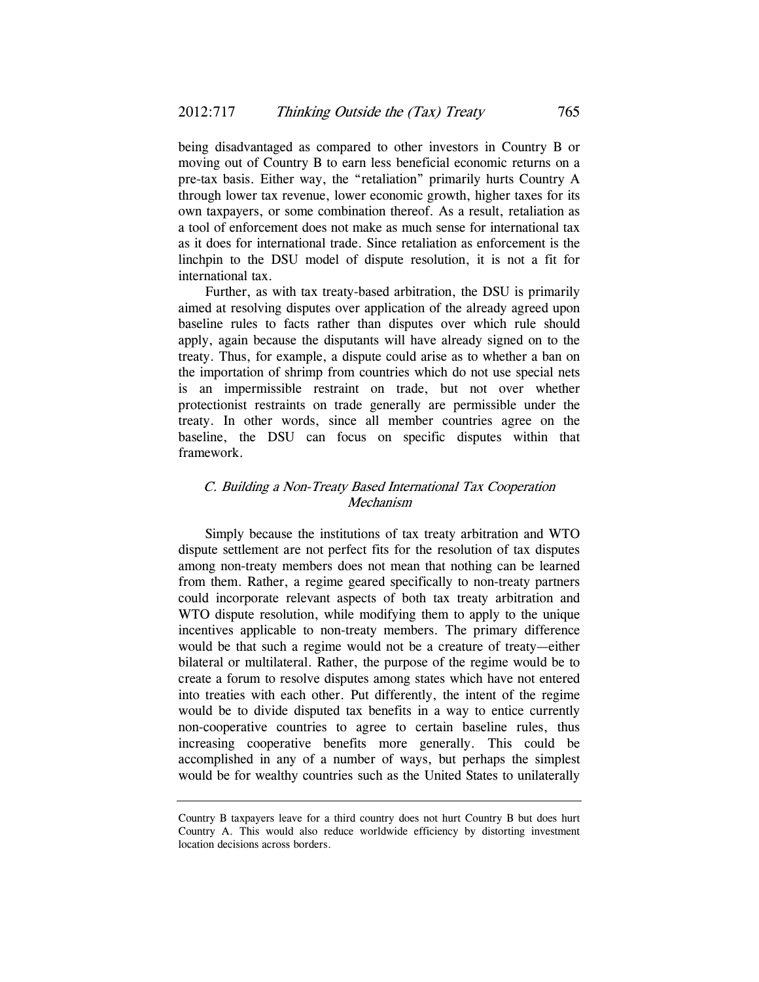being disadvantaged as compared to other investors in Country B or moving out of Country B to earn less beneficial economic returns on a pre-tax basis. Either way, the "retaliation" primarily hurts Country A through lower tax revenue, lower economic growth, higher taxes for its own taxpayers, or some combination thereof. As a result, retaliation as a tool of enforcement does not make as much sense for international tax as it does for international trade. Since retaliation as enforcement is the linchpin to the DSU model of dispute resolution, it is not a fit for international tax.

Further, as with tax treaty-based arbitration, the DSU is primarily aimed at resolving disputes over application of the already agreed upon baseline rules to facts rather than disputes over which rule should apply, again because the disputants will have already signed on to the treaty. Thus, for example, a dispute could arise as to whether a ban on the importation of shrimp from countries which do not use special nets is an impermissible restraint on trade, but not over whether protectionist restraints on trade generally are permissible under the treaty. In other words, since all member countries agree on the baseline, the DSU can focus on specific disputes within that framework.

## C. Building a Non-Treaty Based International Tax Cooperation Mechanism

Simply because the institutions of tax treaty arbitration and WTO dispute settlement are not perfect fits for the resolution of tax disputes among non-treaty members does not mean that nothing can be learned from them. Rather, a regime geared specifically to non-treaty partners could incorporate relevant aspects of both tax treaty arbitration and WTO dispute resolution, while modifying them to apply to the unique incentives applicable to non-treaty members. The primary difference would be that such a regime would not be a creature of treaty—either bilateral or multilateral. Rather, the purpose of the regime would be to create a forum to resolve disputes among states which have not entered into treaties with each other. Put differently, the intent of the regime would be to divide disputed tax benefits in a way to entice currently non-cooperative countries to agree to certain baseline rules, thus increasing cooperative benefits more generally. This could be accomplished in any of a number of ways, but perhaps the simplest would be for wealthy countries such as the United States to unilaterally

Country B taxpayers leave for a third country does not hurt Country B but does hurt Country A. This would also reduce worldwide efficiency by distorting investment location decisions across borders.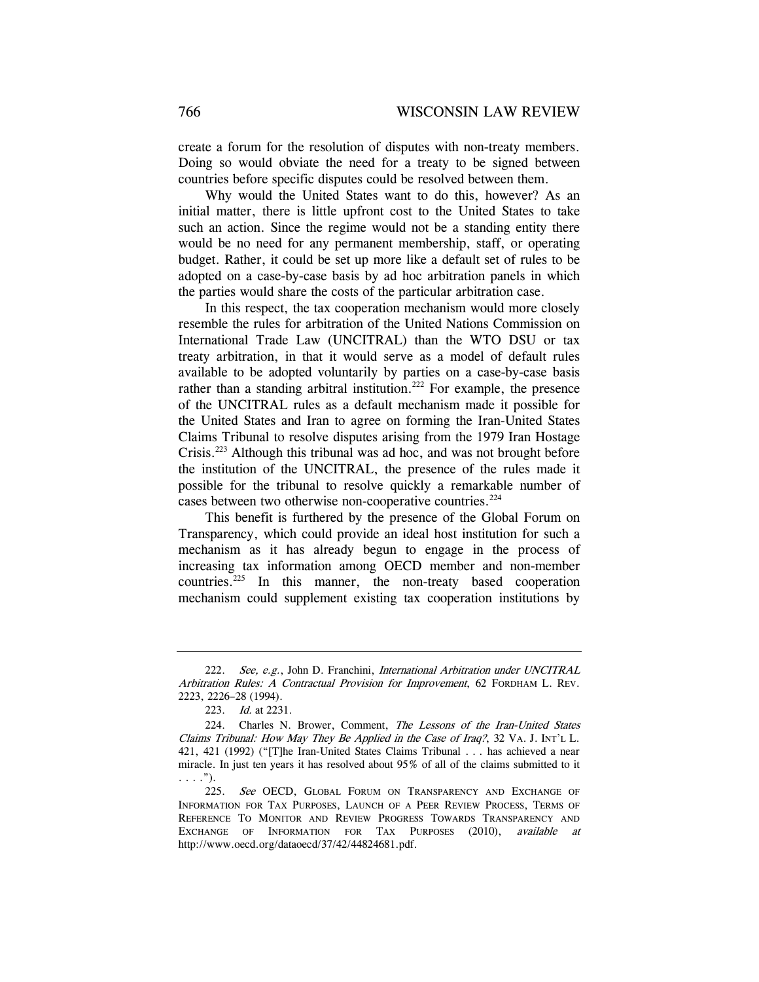create a forum for the resolution of disputes with non-treaty members. Doing so would obviate the need for a treaty to be signed between countries before specific disputes could be resolved between them.

Why would the United States want to do this, however? As an initial matter, there is little upfront cost to the United States to take such an action. Since the regime would not be a standing entity there would be no need for any permanent membership, staff, or operating budget. Rather, it could be set up more like a default set of rules to be adopted on a case-by-case basis by ad hoc arbitration panels in which the parties would share the costs of the particular arbitration case.

In this respect, the tax cooperation mechanism would more closely resemble the rules for arbitration of the United Nations Commission on International Trade Law (UNCITRAL) than the WTO DSU or tax treaty arbitration, in that it would serve as a model of default rules available to be adopted voluntarily by parties on a case-by-case basis rather than a standing arbitral institution.<sup>222</sup> For example, the presence of the UNCITRAL rules as a default mechanism made it possible for the United States and Iran to agree on forming the Iran-United States Claims Tribunal to resolve disputes arising from the 1979 Iran Hostage Crisis.223 Although this tribunal was ad hoc, and was not brought before the institution of the UNCITRAL, the presence of the rules made it possible for the tribunal to resolve quickly a remarkable number of cases between two otherwise non-cooperative countries.<sup>224</sup>

This benefit is furthered by the presence of the Global Forum on Transparency, which could provide an ideal host institution for such a mechanism as it has already begun to engage in the process of increasing tax information among OECD member and non-member countries.<sup>225</sup> In this manner, the non-treaty based cooperation mechanism could supplement existing tax cooperation institutions by

<sup>222.</sup> See, e.g., John D. Franchini, *International Arbitration under UNCITRAL* Arbitration Rules: A Contractual Provision for Improvement, 62 FORDHAM L. REV. 2223, 2226–28 (1994).

<sup>223.</sup> Id. at 2231.

<sup>224.</sup> Charles N. Brower, Comment, The Lessons of the Iran-United States Claims Tribunal: How May They Be Applied in the Case of Iraq?, 32 VA. J. INT'L L. 421, 421 (1992) ("[T]he Iran-United States Claims Tribunal . . . has achieved a near miracle. In just ten years it has resolved about 95% of all of the claims submitted to it  $\ldots$ .").

<sup>225.</sup> See OECD, GLOBAL FORUM ON TRANSPARENCY AND EXCHANGE OF INFORMATION FOR TAX PURPOSES, LAUNCH OF A PEER REVIEW PROCESS, TERMS OF REFERENCE TO MONITOR AND REVIEW PROGRESS TOWARDS TRANSPARENCY AND EXCHANGE OF INFORMATION FOR TAX PURPOSES (2010), available at http://www.oecd.org/dataoecd/37/42/44824681.pdf.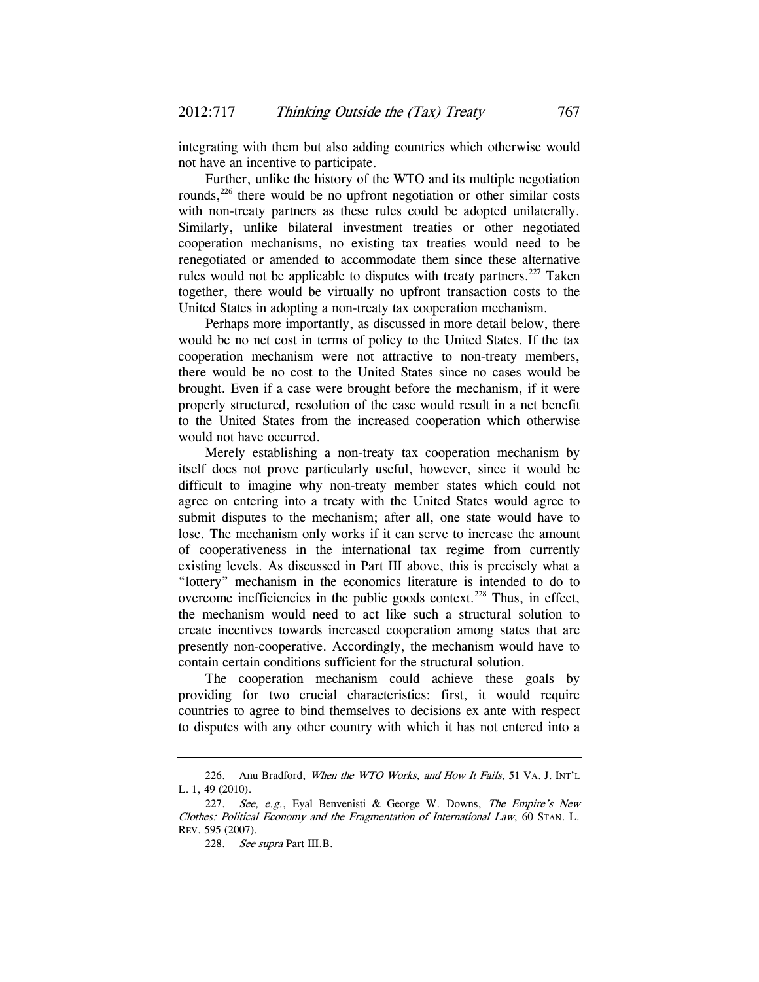integrating with them but also adding countries which otherwise would not have an incentive to participate.

Further, unlike the history of the WTO and its multiple negotiation rounds,<sup>226</sup> there would be no upfront negotiation or other similar costs with non-treaty partners as these rules could be adopted unilaterally. Similarly, unlike bilateral investment treaties or other negotiated cooperation mechanisms, no existing tax treaties would need to be renegotiated or amended to accommodate them since these alternative rules would not be applicable to disputes with treaty partners.<sup>227</sup> Taken together, there would be virtually no upfront transaction costs to the United States in adopting a non-treaty tax cooperation mechanism.

Perhaps more importantly, as discussed in more detail below, there would be no net cost in terms of policy to the United States. If the tax cooperation mechanism were not attractive to non-treaty members, there would be no cost to the United States since no cases would be brought. Even if a case were brought before the mechanism, if it were properly structured, resolution of the case would result in a net benefit to the United States from the increased cooperation which otherwise would not have occurred.

Merely establishing a non-treaty tax cooperation mechanism by itself does not prove particularly useful, however, since it would be difficult to imagine why non-treaty member states which could not agree on entering into a treaty with the United States would agree to submit disputes to the mechanism; after all, one state would have to lose. The mechanism only works if it can serve to increase the amount of cooperativeness in the international tax regime from currently existing levels. As discussed in Part III above, this is precisely what a "lottery" mechanism in the economics literature is intended to do to overcome inefficiencies in the public goods context.<sup>228</sup> Thus, in effect, the mechanism would need to act like such a structural solution to create incentives towards increased cooperation among states that are presently non-cooperative. Accordingly, the mechanism would have to contain certain conditions sufficient for the structural solution.

The cooperation mechanism could achieve these goals by providing for two crucial characteristics: first, it would require countries to agree to bind themselves to decisions ex ante with respect to disputes with any other country with which it has not entered into a

<sup>226.</sup> Anu Bradford, When the WTO Works, and How It Fails, 51 VA. J. INT'L L. 1, 49 (2010).

<sup>227.</sup> See, e.g., Eyal Benvenisti & George W. Downs, The Empire's New Clothes: Political Economy and the Fragmentation of International Law, 60 STAN. L. REV. 595 (2007).

<sup>228.</sup> See supra Part III.B.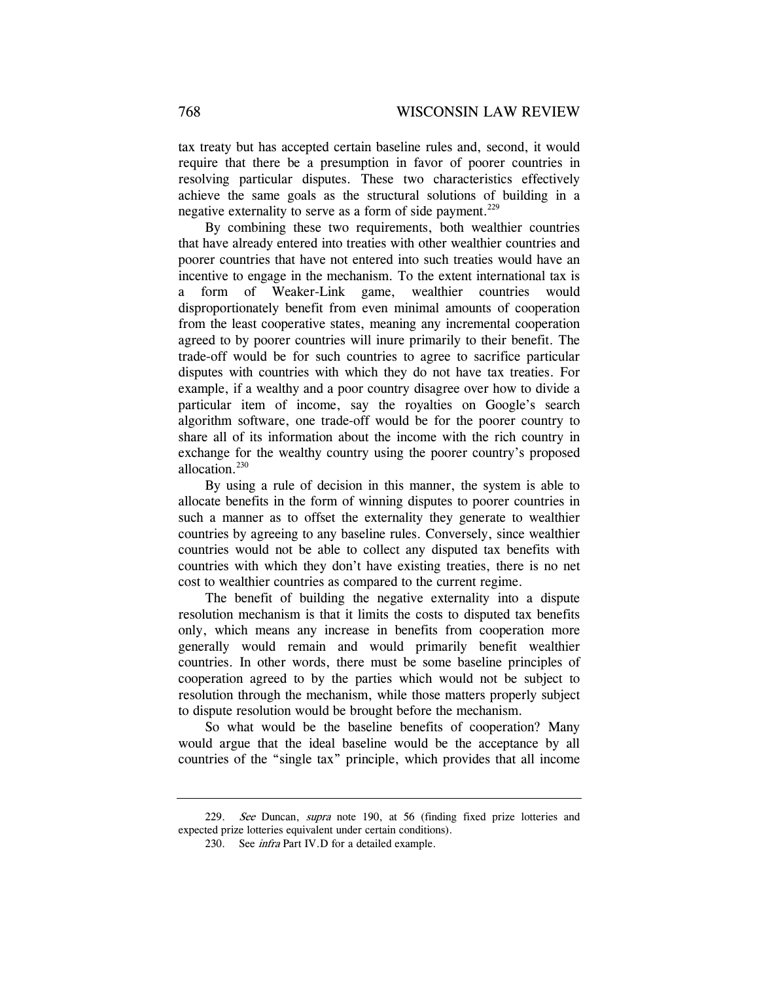tax treaty but has accepted certain baseline rules and, second, it would require that there be a presumption in favor of poorer countries in resolving particular disputes. These two characteristics effectively achieve the same goals as the structural solutions of building in a negative externality to serve as a form of side payment.<sup>229</sup>

By combining these two requirements, both wealthier countries that have already entered into treaties with other wealthier countries and poorer countries that have not entered into such treaties would have an incentive to engage in the mechanism. To the extent international tax is a form of Weaker-Link game, wealthier countries would disproportionately benefit from even minimal amounts of cooperation from the least cooperative states, meaning any incremental cooperation agreed to by poorer countries will inure primarily to their benefit. The trade-off would be for such countries to agree to sacrifice particular disputes with countries with which they do not have tax treaties. For example, if a wealthy and a poor country disagree over how to divide a particular item of income, say the royalties on Google's search algorithm software, one trade-off would be for the poorer country to share all of its information about the income with the rich country in exchange for the wealthy country using the poorer country's proposed allocation.<sup>230</sup>

By using a rule of decision in this manner, the system is able to allocate benefits in the form of winning disputes to poorer countries in such a manner as to offset the externality they generate to wealthier countries by agreeing to any baseline rules. Conversely, since wealthier countries would not be able to collect any disputed tax benefits with countries with which they don't have existing treaties, there is no net cost to wealthier countries as compared to the current regime.

The benefit of building the negative externality into a dispute resolution mechanism is that it limits the costs to disputed tax benefits only, which means any increase in benefits from cooperation more generally would remain and would primarily benefit wealthier countries. In other words, there must be some baseline principles of cooperation agreed to by the parties which would not be subject to resolution through the mechanism, while those matters properly subject to dispute resolution would be brought before the mechanism.

So what would be the baseline benefits of cooperation? Many would argue that the ideal baseline would be the acceptance by all countries of the "single tax" principle, which provides that all income

<sup>229.</sup> See Duncan, supra note 190, at 56 (finding fixed prize lotteries and expected prize lotteries equivalent under certain conditions).

<sup>230.</sup> See infra Part IV.D for a detailed example.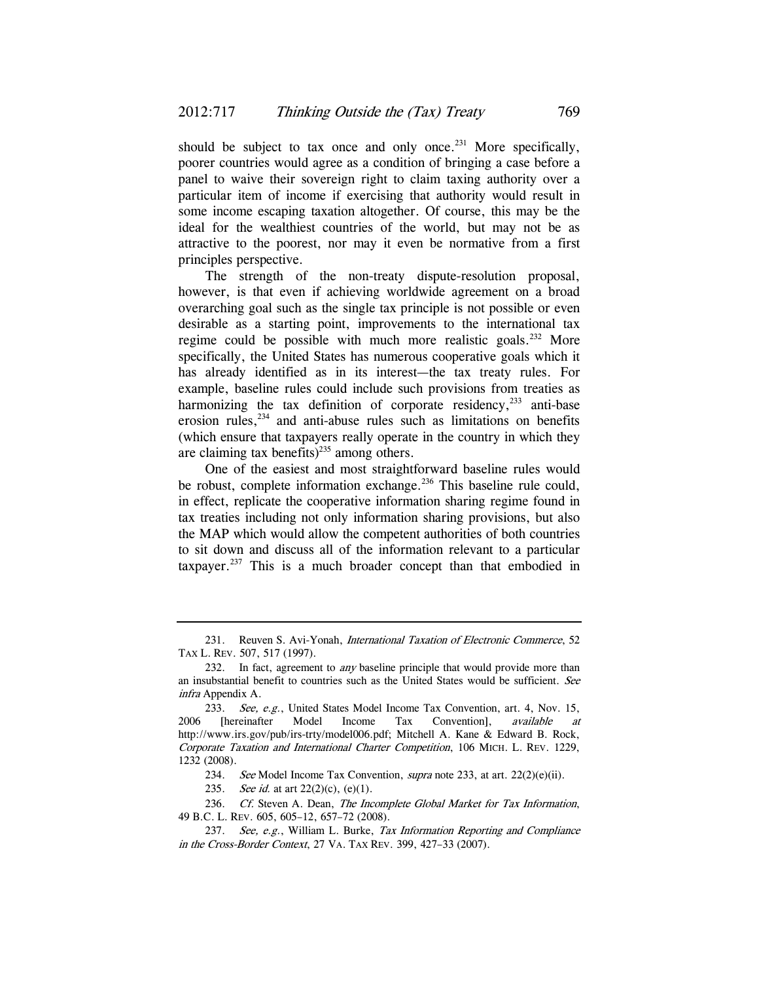should be subject to tax once and only once.<sup>231</sup> More specifically, poorer countries would agree as a condition of bringing a case before a panel to waive their sovereign right to claim taxing authority over a particular item of income if exercising that authority would result in some income escaping taxation altogether. Of course, this may be the ideal for the wealthiest countries of the world, but may not be as attractive to the poorest, nor may it even be normative from a first principles perspective.

The strength of the non-treaty dispute-resolution proposal, however, is that even if achieving worldwide agreement on a broad overarching goal such as the single tax principle is not possible or even desirable as a starting point, improvements to the international tax regime could be possible with much more realistic goals.<sup>232</sup> More specifically, the United States has numerous cooperative goals which it has already identified as in its interest—the tax treaty rules. For example, baseline rules could include such provisions from treaties as harmonizing the tax definition of corporate residency, $^{233}$  anti-base erosion rules,<sup>234</sup> and anti-abuse rules such as limitations on benefits (which ensure that taxpayers really operate in the country in which they are claiming tax benefits) $^{235}$  among others.

One of the easiest and most straightforward baseline rules would be robust, complete information exchange. $^{236}$  This baseline rule could, in effect, replicate the cooperative information sharing regime found in tax treaties including not only information sharing provisions, but also the MAP which would allow the competent authorities of both countries to sit down and discuss all of the information relevant to a particular taxpayer.237 This is a much broader concept than that embodied in

234. See Model Income Tax Convention, *supra* note 233, at art.  $22(2)(e)(ii)$ .

235. See id. at art  $22(2)(c)$ ,  $(e)(1)$ .

236. Cf. Steven A. Dean, The Incomplete Global Market for Tax Information, 49 B.C. L. REV. 605, 605–12, 657–72 (2008).

<sup>231.</sup> Reuven S. Avi-Yonah, International Taxation of Electronic Commerce, 52 TAX L. REV. 507, 517 (1997).

<sup>232.</sup> In fact, agreement to *any* baseline principle that would provide more than an insubstantial benefit to countries such as the United States would be sufficient. See infra Appendix A.

<sup>233.</sup> See, e.g., United States Model Income Tax Convention, art. 4, Nov. 15, 2006 [hereinafter Model Income Tax Convention], available at http://www.irs.gov/pub/irs-trty/model006.pdf; Mitchell A. Kane & Edward B. Rock, Corporate Taxation and International Charter Competition, 106 MICH. L. REV. 1229, 1232 (2008).

<sup>237.</sup> See, e.g., William L. Burke, Tax Information Reporting and Compliance in the Cross-Border Context, 27 VA. TAX REV. 399, 427–33 (2007).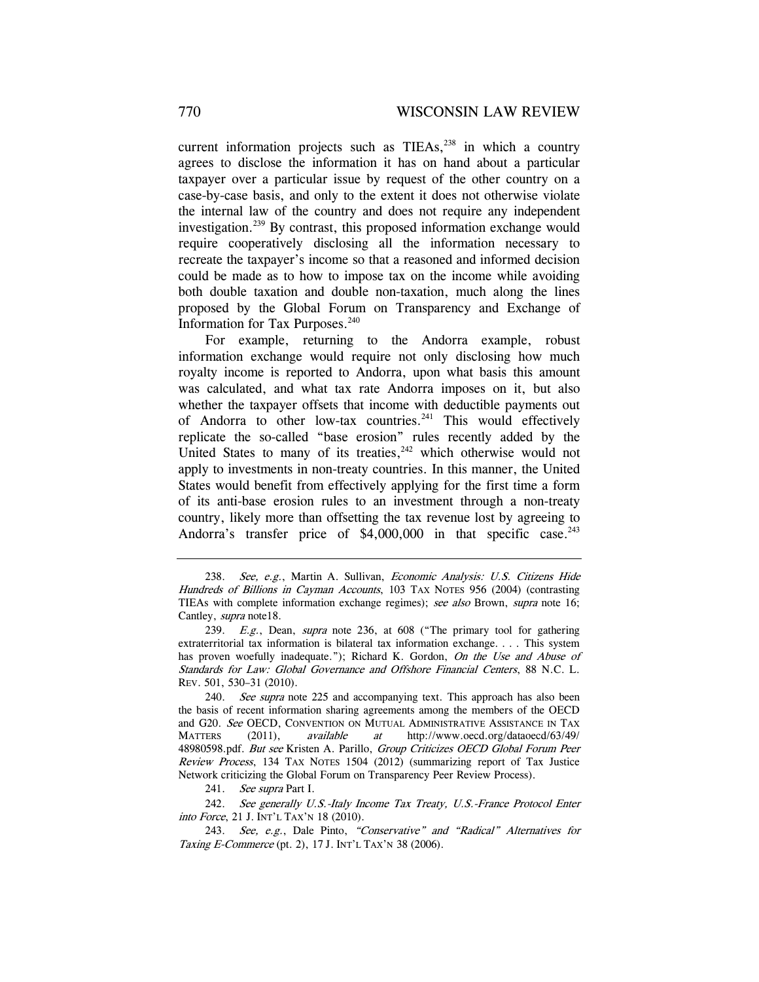current information projects such as  $TIEAs$ ,  $238$  in which a country agrees to disclose the information it has on hand about a particular taxpayer over a particular issue by request of the other country on a case-by-case basis, and only to the extent it does not otherwise violate the internal law of the country and does not require any independent investigation.239 By contrast, this proposed information exchange would require cooperatively disclosing all the information necessary to recreate the taxpayer's income so that a reasoned and informed decision could be made as to how to impose tax on the income while avoiding both double taxation and double non-taxation, much along the lines proposed by the Global Forum on Transparency and Exchange of Information for Tax Purposes. $240$ 

For example, returning to the Andorra example, robust information exchange would require not only disclosing how much royalty income is reported to Andorra, upon what basis this amount was calculated, and what tax rate Andorra imposes on it, but also whether the taxpayer offsets that income with deductible payments out of Andorra to other low-tax countries.<sup>241</sup> This would effectively replicate the so-called "base erosion" rules recently added by the United States to many of its treaties, $242$  which otherwise would not apply to investments in non-treaty countries. In this manner, the United States would benefit from effectively applying for the first time a form of its anti-base erosion rules to an investment through a non-treaty country, likely more than offsetting the tax revenue lost by agreeing to Andorra's transfer price of  $$4,000,000$  in that specific case.<sup>243</sup>

240. See supra note 225 and accompanying text. This approach has also been the basis of recent information sharing agreements among the members of the OECD and G20. See OECD, CONVENTION ON MUTUAL ADMINISTRATIVE ASSISTANCE IN TAX MATTERS (2011), available at http://www.oecd.org/dataoecd/63/49/ 48980598.pdf. But see Kristen A. Parillo, Group Criticizes OECD Global Forum Peer Review Process, 134 TAX NOTES 1504 (2012) (summarizing report of Tax Justice Network criticizing the Global Forum on Transparency Peer Review Process).

 242. See generally U.S.-Italy Income Tax Treaty, U.S.-France Protocol Enter into Force, 21 J. INT'L TAX'N 18 (2010).

243. See, e.g., Dale Pinto, "Conservative" and "Radical" Alternatives for Taxing E-Commerce (pt. 2), 17 J. INT'L TAX'N 38 (2006).

<sup>238.</sup> See, e.g., Martin A. Sullivan, Economic Analysis: U.S. Citizens Hide Hundreds of Billions in Cayman Accounts, 103 TAX NOTES 956 (2004) (contrasting TIEAs with complete information exchange regimes); see also Brown, supra note 16; Cantley, supra note18.

<sup>239.</sup> E.g., Dean, supra note 236, at 608 ("The primary tool for gathering extraterritorial tax information is bilateral tax information exchange. . . . This system has proven woefully inadequate."); Richard K. Gordon, On the Use and Abuse of Standards for Law: Global Governance and Offshore Financial Centers, 88 N.C. L. REV. 501, 530–31 (2010).

<sup>241.</sup> See supra Part I.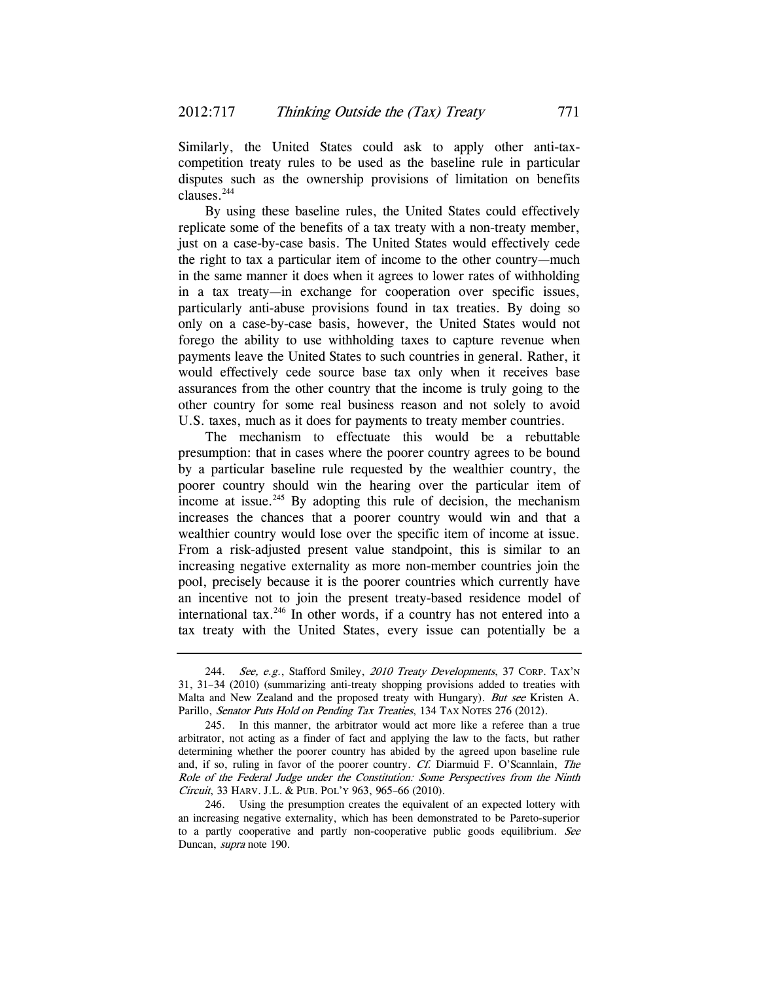Similarly, the United States could ask to apply other anti-taxcompetition treaty rules to be used as the baseline rule in particular disputes such as the ownership provisions of limitation on benefits clauses.244

By using these baseline rules, the United States could effectively replicate some of the benefits of a tax treaty with a non-treaty member, just on a case-by-case basis. The United States would effectively cede the right to tax a particular item of income to the other country—much in the same manner it does when it agrees to lower rates of withholding in a tax treaty—in exchange for cooperation over specific issues, particularly anti-abuse provisions found in tax treaties. By doing so only on a case-by-case basis, however, the United States would not forego the ability to use withholding taxes to capture revenue when payments leave the United States to such countries in general. Rather, it would effectively cede source base tax only when it receives base assurances from the other country that the income is truly going to the other country for some real business reason and not solely to avoid U.S. taxes, much as it does for payments to treaty member countries.

The mechanism to effectuate this would be a rebuttable presumption: that in cases where the poorer country agrees to be bound by a particular baseline rule requested by the wealthier country, the poorer country should win the hearing over the particular item of income at issue.<sup>245</sup> By adopting this rule of decision, the mechanism increases the chances that a poorer country would win and that a wealthier country would lose over the specific item of income at issue. From a risk-adjusted present value standpoint, this is similar to an increasing negative externality as more non-member countries join the pool, precisely because it is the poorer countries which currently have an incentive not to join the present treaty-based residence model of international tax. $246$  In other words, if a country has not entered into a tax treaty with the United States, every issue can potentially be a

<sup>244.</sup> See, e.g., Stafford Smiley, 2010 Treaty Developments, 37 CORP. TAX'N 31, 31–34 (2010) (summarizing anti-treaty shopping provisions added to treaties with Malta and New Zealand and the proposed treaty with Hungary). But see Kristen A. Parillo, Senator Puts Hold on Pending Tax Treaties, 134 TAX NOTES 276 (2012).

 <sup>245.</sup> In this manner, the arbitrator would act more like a referee than a true arbitrator, not acting as a finder of fact and applying the law to the facts, but rather determining whether the poorer country has abided by the agreed upon baseline rule and, if so, ruling in favor of the poorer country. Cf. Diarmuid F. O'Scannlain, The Role of the Federal Judge under the Constitution: Some Perspectives from the Ninth Circuit, 33 HARV. J.L. & PUB. POL'Y 963, 965–66 (2010).

 <sup>246.</sup> Using the presumption creates the equivalent of an expected lottery with an increasing negative externality, which has been demonstrated to be Pareto-superior to a partly cooperative and partly non-cooperative public goods equilibrium. See Duncan, supra note 190.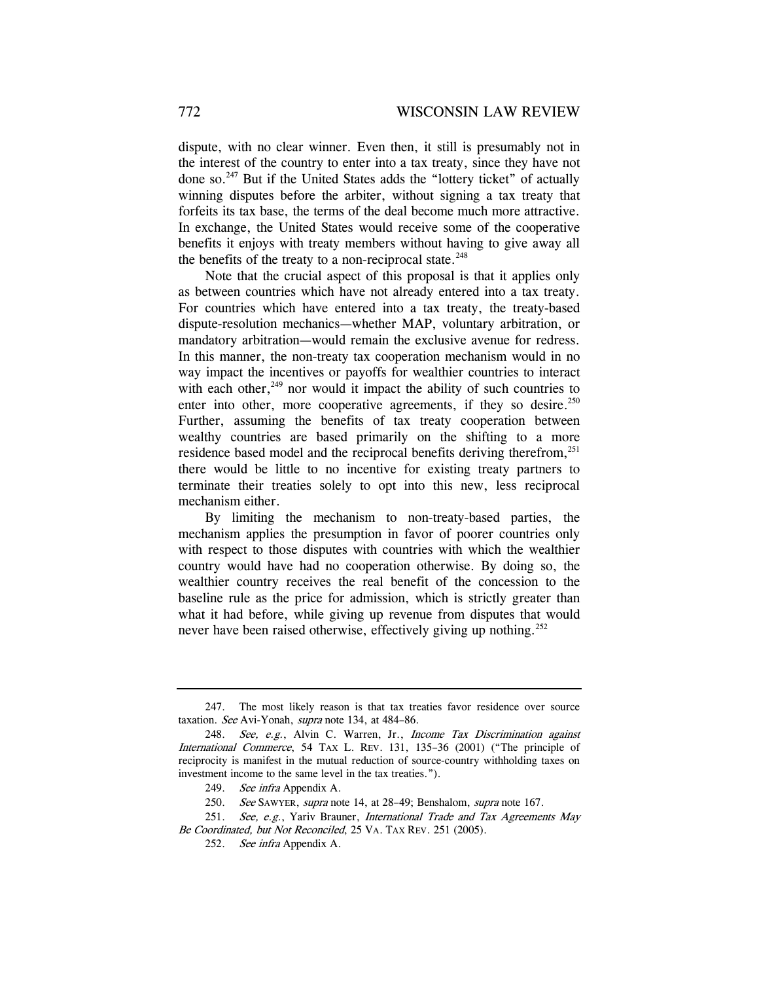dispute, with no clear winner. Even then, it still is presumably not in the interest of the country to enter into a tax treaty, since they have not done so.247 But if the United States adds the "lottery ticket" of actually winning disputes before the arbiter, without signing a tax treaty that forfeits its tax base, the terms of the deal become much more attractive. In exchange, the United States would receive some of the cooperative benefits it enjoys with treaty members without having to give away all the benefits of the treaty to a non-reciprocal state. $248$ 

Note that the crucial aspect of this proposal is that it applies only as between countries which have not already entered into a tax treaty. For countries which have entered into a tax treaty, the treaty-based dispute-resolution mechanics—whether MAP, voluntary arbitration, or mandatory arbitration—would remain the exclusive avenue for redress. In this manner, the non-treaty tax cooperation mechanism would in no way impact the incentives or payoffs for wealthier countries to interact with each other, $249$  nor would it impact the ability of such countries to enter into other, more cooperative agreements, if they so desire. $250$ Further, assuming the benefits of tax treaty cooperation between wealthy countries are based primarily on the shifting to a more residence based model and the reciprocal benefits deriving therefrom,<sup>251</sup> there would be little to no incentive for existing treaty partners to terminate their treaties solely to opt into this new, less reciprocal mechanism either.

By limiting the mechanism to non-treaty-based parties, the mechanism applies the presumption in favor of poorer countries only with respect to those disputes with countries with which the wealthier country would have had no cooperation otherwise. By doing so, the wealthier country receives the real benefit of the concession to the baseline rule as the price for admission, which is strictly greater than what it had before, while giving up revenue from disputes that would never have been raised otherwise, effectively giving up nothing.<sup>252</sup>

 <sup>247.</sup> The most likely reason is that tax treaties favor residence over source taxation. See Avi-Yonah, supra note 134, at 484–86.

<sup>248.</sup> See, e.g., Alvin C. Warren, Jr., Income Tax Discrimination against International Commerce, 54 TAX L. REV. 131, 135–36 (2001) ("The principle of reciprocity is manifest in the mutual reduction of source-country withholding taxes on investment income to the same level in the tax treaties.").

<sup>249.</sup> See infra Appendix A.

<sup>250.</sup> See SAWYER, supra note 14, at 28-49; Benshalom, supra note 167.

<sup>251.</sup> See, e.g., Yariv Brauner, International Trade and Tax Agreements May Be Coordinated, but Not Reconciled, 25 VA. TAX REV. 251 (2005).

<sup>252.</sup> See infra Appendix A.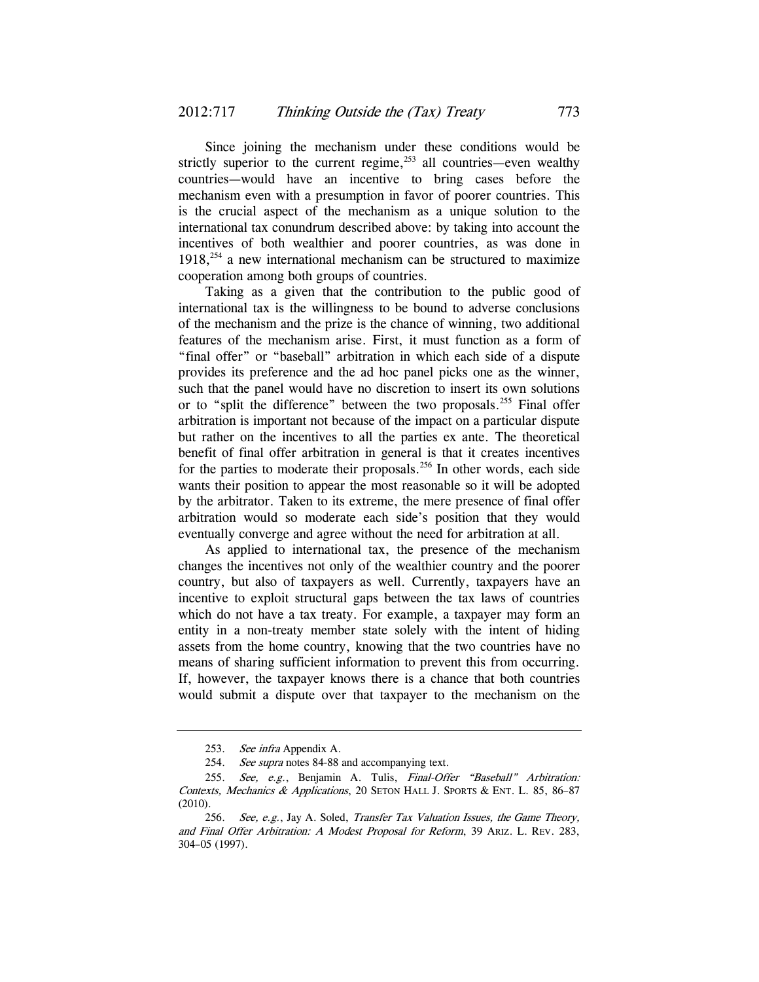Since joining the mechanism under these conditions would be strictly superior to the current regime, $253$  all countries—even wealthy countries—would have an incentive to bring cases before the mechanism even with a presumption in favor of poorer countries. This is the crucial aspect of the mechanism as a unique solution to the international tax conundrum described above: by taking into account the incentives of both wealthier and poorer countries, as was done in  $1918<sub>1</sub><sup>254</sup>$  a new international mechanism can be structured to maximize cooperation among both groups of countries.

Taking as a given that the contribution to the public good of international tax is the willingness to be bound to adverse conclusions of the mechanism and the prize is the chance of winning, two additional features of the mechanism arise. First, it must function as a form of "final offer" or "baseball" arbitration in which each side of a dispute provides its preference and the ad hoc panel picks one as the winner, such that the panel would have no discretion to insert its own solutions or to "split the difference" between the two proposals.<sup>255</sup> Final offer arbitration is important not because of the impact on a particular dispute but rather on the incentives to all the parties ex ante. The theoretical benefit of final offer arbitration in general is that it creates incentives for the parties to moderate their proposals.<sup>256</sup> In other words, each side wants their position to appear the most reasonable so it will be adopted by the arbitrator. Taken to its extreme, the mere presence of final offer arbitration would so moderate each side's position that they would eventually converge and agree without the need for arbitration at all.

As applied to international tax, the presence of the mechanism changes the incentives not only of the wealthier country and the poorer country, but also of taxpayers as well. Currently, taxpayers have an incentive to exploit structural gaps between the tax laws of countries which do not have a tax treaty. For example, a taxpayer may form an entity in a non-treaty member state solely with the intent of hiding assets from the home country, knowing that the two countries have no means of sharing sufficient information to prevent this from occurring. If, however, the taxpayer knows there is a chance that both countries would submit a dispute over that taxpayer to the mechanism on the

<sup>253.</sup> See infra Appendix A.

<sup>254.</sup> See supra notes 84-88 and accompanying text.

<sup>255.</sup> See, e.g., Benjamin A. Tulis, Final-Offer "Baseball" Arbitration: Contexts, Mechanics & Applications, 20 SETON HALL J. SPORTS & ENT. L. 85, 86-87 (2010).

<sup>256.</sup> See, e.g., Jay A. Soled, Transfer Tax Valuation Issues, the Game Theory, and Final Offer Arbitration: A Modest Proposal for Reform, 39 ARIZ. L. REV. 283, 304–05 (1997).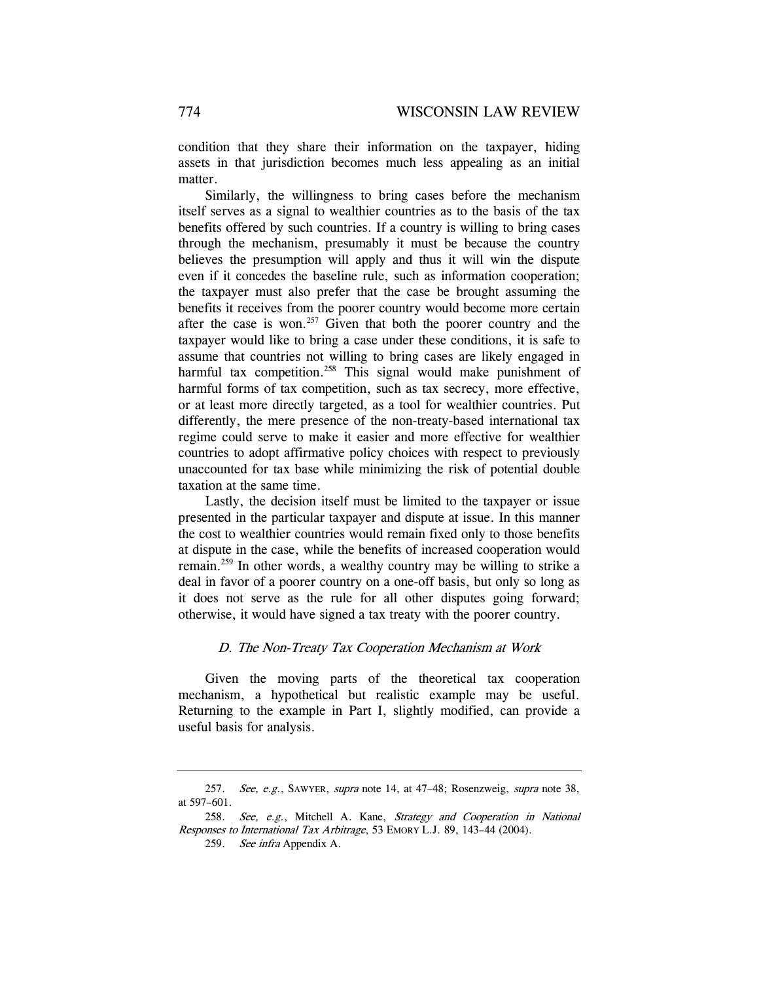condition that they share their information on the taxpayer, hiding assets in that jurisdiction becomes much less appealing as an initial matter.

Similarly, the willingness to bring cases before the mechanism itself serves as a signal to wealthier countries as to the basis of the tax benefits offered by such countries. If a country is willing to bring cases through the mechanism, presumably it must be because the country believes the presumption will apply and thus it will win the dispute even if it concedes the baseline rule, such as information cooperation; the taxpayer must also prefer that the case be brought assuming the benefits it receives from the poorer country would become more certain after the case is won.<sup>257</sup> Given that both the poorer country and the taxpayer would like to bring a case under these conditions, it is safe to assume that countries not willing to bring cases are likely engaged in harmful tax competition.<sup>258</sup> This signal would make punishment of harmful forms of tax competition, such as tax secrecy, more effective, or at least more directly targeted, as a tool for wealthier countries. Put differently, the mere presence of the non-treaty-based international tax regime could serve to make it easier and more effective for wealthier countries to adopt affirmative policy choices with respect to previously unaccounted for tax base while minimizing the risk of potential double taxation at the same time.

Lastly, the decision itself must be limited to the taxpayer or issue presented in the particular taxpayer and dispute at issue. In this manner the cost to wealthier countries would remain fixed only to those benefits at dispute in the case, while the benefits of increased cooperation would remain.259 In other words, a wealthy country may be willing to strike a deal in favor of a poorer country on a one-off basis, but only so long as it does not serve as the rule for all other disputes going forward; otherwise, it would have signed a tax treaty with the poorer country.

### D. The Non-Treaty Tax Cooperation Mechanism at Work

Given the moving parts of the theoretical tax cooperation mechanism, a hypothetical but realistic example may be useful. Returning to the example in Part I, slightly modified, can provide a useful basis for analysis.

<sup>257.</sup> See, e.g., SAWYER, supra note 14, at 47-48; Rosenzweig, supra note 38, at 597–601.

<sup>258.</sup> See, e.g., Mitchell A. Kane, Strategy and Cooperation in National Responses to International Tax Arbitrage, 53 EMORY L.J. 89, 143–44 (2004).

<sup>259.</sup> See infra Appendix A.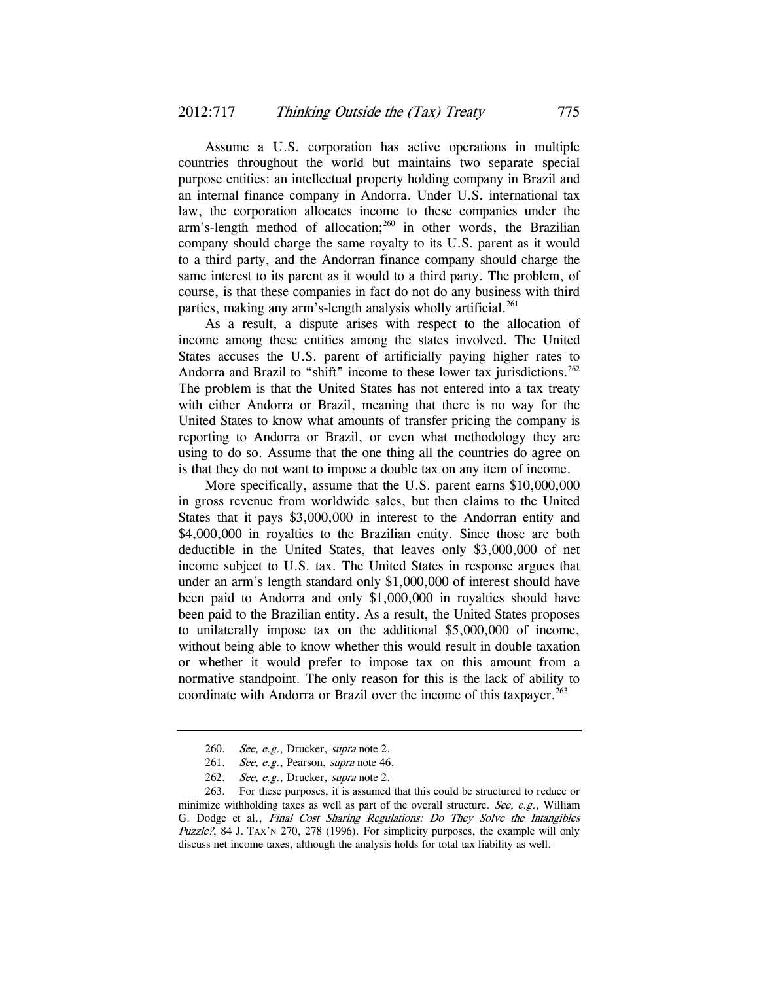Assume a U.S. corporation has active operations in multiple countries throughout the world but maintains two separate special purpose entities: an intellectual property holding company in Brazil and an internal finance company in Andorra. Under U.S. international tax law, the corporation allocates income to these companies under the arm's-length method of allocation; $^{260}$  in other words, the Brazilian company should charge the same royalty to its U.S. parent as it would to a third party, and the Andorran finance company should charge the same interest to its parent as it would to a third party. The problem, of course, is that these companies in fact do not do any business with third parties, making any arm's-length analysis wholly artificial.<sup>261</sup>

As a result, a dispute arises with respect to the allocation of income among these entities among the states involved. The United States accuses the U.S. parent of artificially paying higher rates to Andorra and Brazil to "shift" income to these lower tax jurisdictions.<sup>262</sup> The problem is that the United States has not entered into a tax treaty with either Andorra or Brazil, meaning that there is no way for the United States to know what amounts of transfer pricing the company is reporting to Andorra or Brazil, or even what methodology they are using to do so. Assume that the one thing all the countries do agree on is that they do not want to impose a double tax on any item of income.

More specifically, assume that the U.S. parent earns \$10,000,000 in gross revenue from worldwide sales, but then claims to the United States that it pays \$3,000,000 in interest to the Andorran entity and \$4,000,000 in royalties to the Brazilian entity. Since those are both deductible in the United States, that leaves only \$3,000,000 of net income subject to U.S. tax. The United States in response argues that under an arm's length standard only \$1,000,000 of interest should have been paid to Andorra and only \$1,000,000 in royalties should have been paid to the Brazilian entity. As a result, the United States proposes to unilaterally impose tax on the additional \$5,000,000 of income, without being able to know whether this would result in double taxation or whether it would prefer to impose tax on this amount from a normative standpoint. The only reason for this is the lack of ability to coordinate with Andorra or Brazil over the income of this taxpayer.<sup>263</sup>

<sup>260.</sup> See, e.g., Drucker, supra note 2.

<sup>261.</sup> See, e.g., Pearson, supra note 46.

<sup>262.</sup> See, e.g., Drucker, supra note 2.

 <sup>263.</sup> For these purposes, it is assumed that this could be structured to reduce or minimize withholding taxes as well as part of the overall structure. See, e.g., William G. Dodge et al., Final Cost Sharing Regulations: Do They Solve the Intangibles Puzzle?, 84 J. TAX'N 270, 278 (1996). For simplicity purposes, the example will only discuss net income taxes, although the analysis holds for total tax liability as well.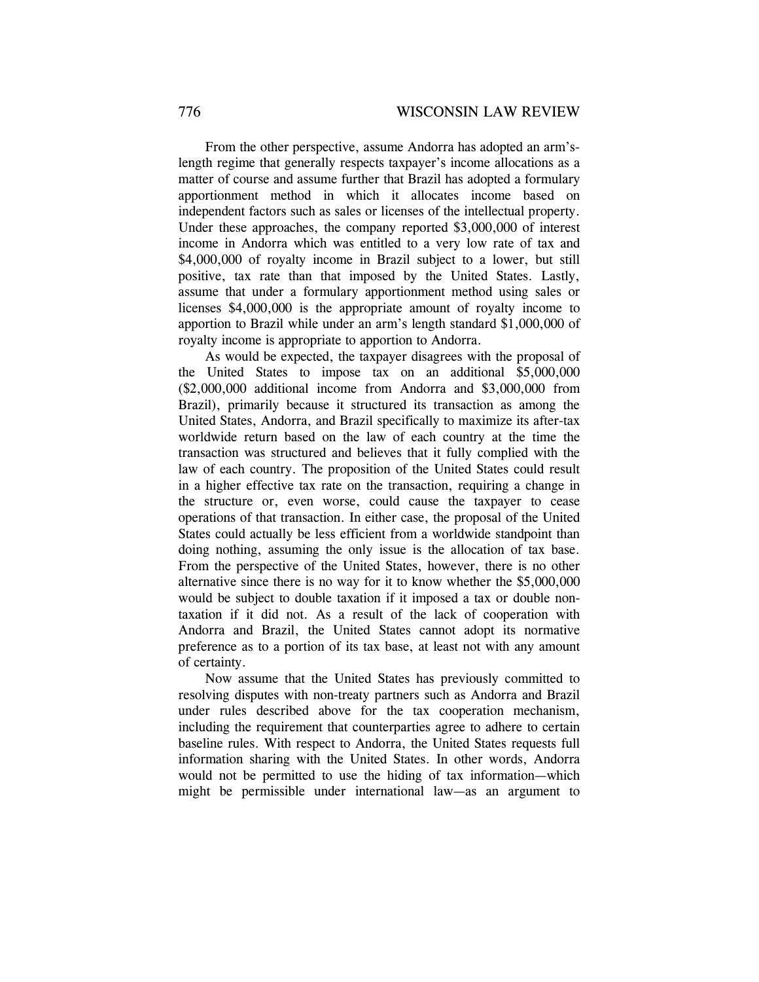From the other perspective, assume Andorra has adopted an arm'slength regime that generally respects taxpayer's income allocations as a matter of course and assume further that Brazil has adopted a formulary apportionment method in which it allocates income based on independent factors such as sales or licenses of the intellectual property. Under these approaches, the company reported \$3,000,000 of interest income in Andorra which was entitled to a very low rate of tax and \$4,000,000 of royalty income in Brazil subject to a lower, but still positive, tax rate than that imposed by the United States. Lastly, assume that under a formulary apportionment method using sales or licenses \$4,000,000 is the appropriate amount of royalty income to apportion to Brazil while under an arm's length standard \$1,000,000 of royalty income is appropriate to apportion to Andorra.

As would be expected, the taxpayer disagrees with the proposal of the United States to impose tax on an additional \$5,000,000 (\$2,000,000 additional income from Andorra and \$3,000,000 from Brazil), primarily because it structured its transaction as among the United States, Andorra, and Brazil specifically to maximize its after-tax worldwide return based on the law of each country at the time the transaction was structured and believes that it fully complied with the law of each country. The proposition of the United States could result in a higher effective tax rate on the transaction, requiring a change in the structure or, even worse, could cause the taxpayer to cease operations of that transaction. In either case, the proposal of the United States could actually be less efficient from a worldwide standpoint than doing nothing, assuming the only issue is the allocation of tax base. From the perspective of the United States, however, there is no other alternative since there is no way for it to know whether the \$5,000,000 would be subject to double taxation if it imposed a tax or double nontaxation if it did not. As a result of the lack of cooperation with Andorra and Brazil, the United States cannot adopt its normative preference as to a portion of its tax base, at least not with any amount of certainty.

Now assume that the United States has previously committed to resolving disputes with non-treaty partners such as Andorra and Brazil under rules described above for the tax cooperation mechanism, including the requirement that counterparties agree to adhere to certain baseline rules. With respect to Andorra, the United States requests full information sharing with the United States. In other words, Andorra would not be permitted to use the hiding of tax information—which might be permissible under international law—as an argument to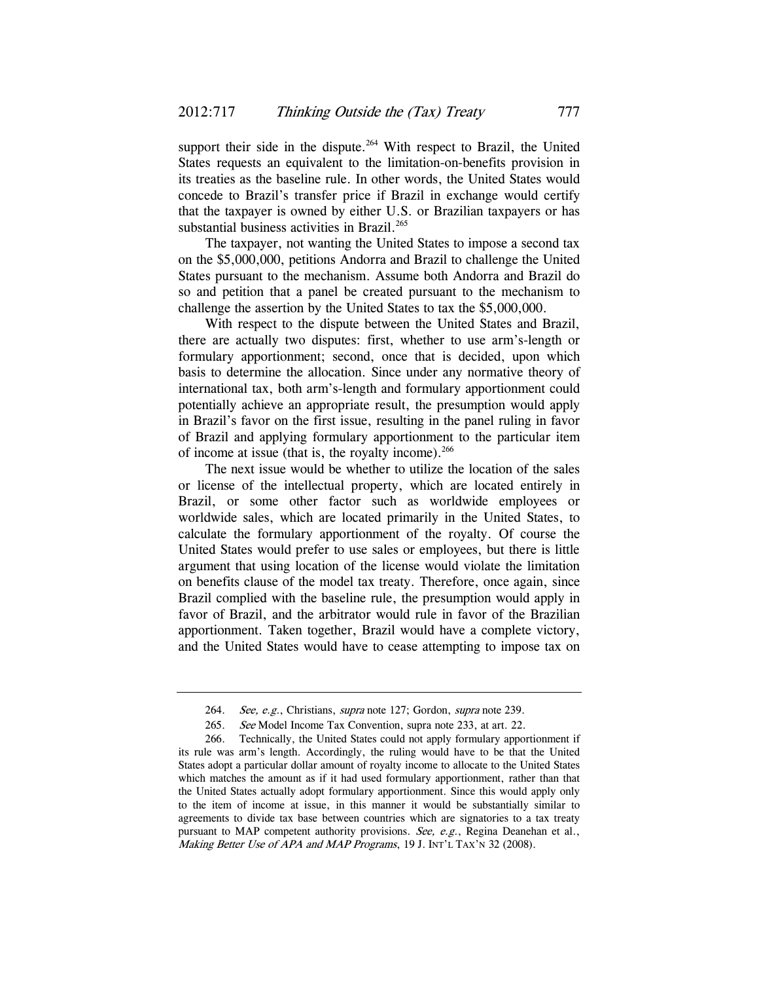support their side in the dispute.<sup>264</sup> With respect to Brazil, the United States requests an equivalent to the limitation-on-benefits provision in its treaties as the baseline rule. In other words, the United States would concede to Brazil's transfer price if Brazil in exchange would certify that the taxpayer is owned by either U.S. or Brazilian taxpayers or has substantial business activities in Brazil.<sup>265</sup>

The taxpayer, not wanting the United States to impose a second tax on the \$5,000,000, petitions Andorra and Brazil to challenge the United States pursuant to the mechanism. Assume both Andorra and Brazil do so and petition that a panel be created pursuant to the mechanism to challenge the assertion by the United States to tax the \$5,000,000.

With respect to the dispute between the United States and Brazil, there are actually two disputes: first, whether to use arm's-length or formulary apportionment; second, once that is decided, upon which basis to determine the allocation. Since under any normative theory of international tax, both arm's-length and formulary apportionment could potentially achieve an appropriate result, the presumption would apply in Brazil's favor on the first issue, resulting in the panel ruling in favor of Brazil and applying formulary apportionment to the particular item of income at issue (that is, the royalty income). $^{266}$ 

The next issue would be whether to utilize the location of the sales or license of the intellectual property, which are located entirely in Brazil, or some other factor such as worldwide employees or worldwide sales, which are located primarily in the United States, to calculate the formulary apportionment of the royalty. Of course the United States would prefer to use sales or employees, but there is little argument that using location of the license would violate the limitation on benefits clause of the model tax treaty. Therefore, once again, since Brazil complied with the baseline rule, the presumption would apply in favor of Brazil, and the arbitrator would rule in favor of the Brazilian apportionment. Taken together, Brazil would have a complete victory, and the United States would have to cease attempting to impose tax on

<sup>264.</sup> See, e.g., Christians, supra note 127; Gordon, supra note 239.

<sup>265.</sup> See Model Income Tax Convention, supra note 233, at art. 22.

 <sup>266.</sup> Technically, the United States could not apply formulary apportionment if its rule was arm's length. Accordingly, the ruling would have to be that the United States adopt a particular dollar amount of royalty income to allocate to the United States which matches the amount as if it had used formulary apportionment, rather than that the United States actually adopt formulary apportionment. Since this would apply only to the item of income at issue, in this manner it would be substantially similar to agreements to divide tax base between countries which are signatories to a tax treaty pursuant to MAP competent authority provisions. See, e.g., Regina Deanehan et al., Making Better Use of APA and MAP Programs, 19 J. INT'L TAX'N 32 (2008).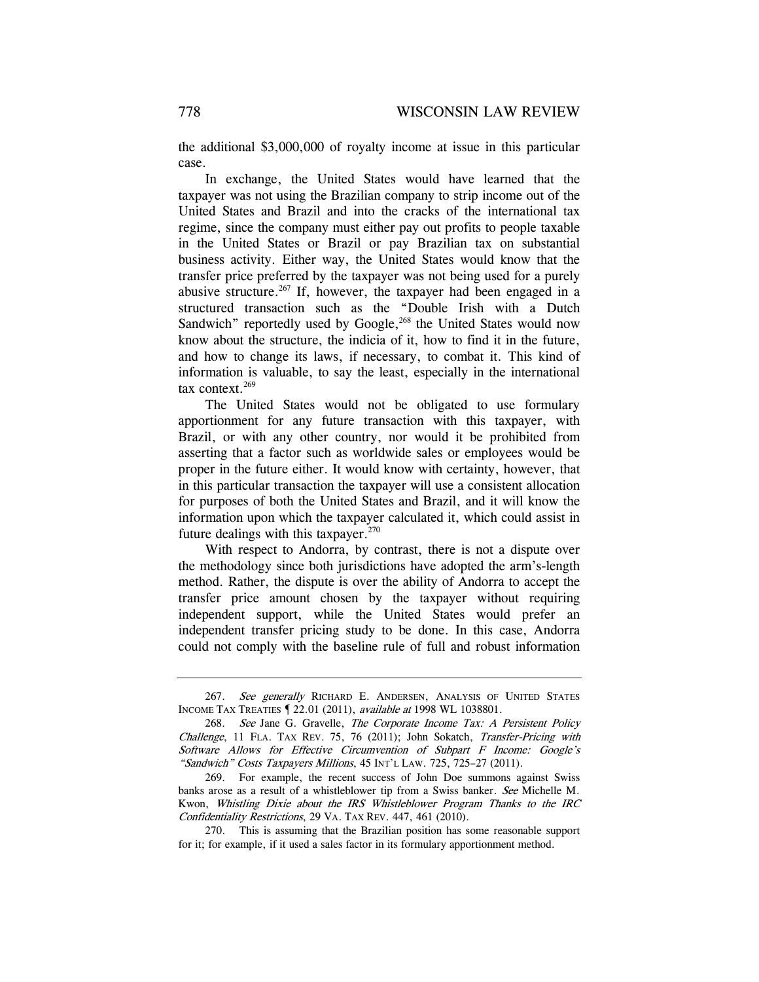the additional \$3,000,000 of royalty income at issue in this particular case.

In exchange, the United States would have learned that the taxpayer was not using the Brazilian company to strip income out of the United States and Brazil and into the cracks of the international tax regime, since the company must either pay out profits to people taxable in the United States or Brazil or pay Brazilian tax on substantial business activity. Either way, the United States would know that the transfer price preferred by the taxpayer was not being used for a purely abusive structure.<sup>267</sup> If, however, the taxpayer had been engaged in a structured transaction such as the "Double Irish with a Dutch Sandwich" reportedly used by Google,<sup>268</sup> the United States would now know about the structure, the indicia of it, how to find it in the future, and how to change its laws, if necessary, to combat it. This kind of information is valuable, to say the least, especially in the international tax context.<sup>269</sup>

The United States would not be obligated to use formulary apportionment for any future transaction with this taxpayer, with Brazil, or with any other country, nor would it be prohibited from asserting that a factor such as worldwide sales or employees would be proper in the future either. It would know with certainty, however, that in this particular transaction the taxpayer will use a consistent allocation for purposes of both the United States and Brazil, and it will know the information upon which the taxpayer calculated it, which could assist in future dealings with this taxpayer. $270$ 

With respect to Andorra, by contrast, there is not a dispute over the methodology since both jurisdictions have adopted the arm's-length method. Rather, the dispute is over the ability of Andorra to accept the transfer price amount chosen by the taxpayer without requiring independent support, while the United States would prefer an independent transfer pricing study to be done. In this case, Andorra could not comply with the baseline rule of full and robust information

<sup>267.</sup> See generally RICHARD E. ANDERSEN, ANALYSIS OF UNITED STATES INCOME TAX TREATIES ¶ 22.01 (2011), available at 1998 WL 1038801.

<sup>268.</sup> See Jane G. Gravelle, The Corporate Income Tax: A Persistent Policy Challenge, 11 FLA. TAX REV. 75, 76 (2011); John Sokatch, Transfer-Pricing with Software Allows for Effective Circumvention of Subpart F Income: Google's "Sandwich" Costs Taxpayers Millions, 45 INT'L LAW. 725, 725-27 (2011).

 <sup>269.</sup> For example, the recent success of John Doe summons against Swiss banks arose as a result of a whistleblower tip from a Swiss banker. See Michelle M. Kwon, Whistling Dixie about the IRS Whistleblower Program Thanks to the IRC Confidentiality Restrictions, 29 VA. TAX REV. 447, 461 (2010).

 <sup>270.</sup> This is assuming that the Brazilian position has some reasonable support for it; for example, if it used a sales factor in its formulary apportionment method.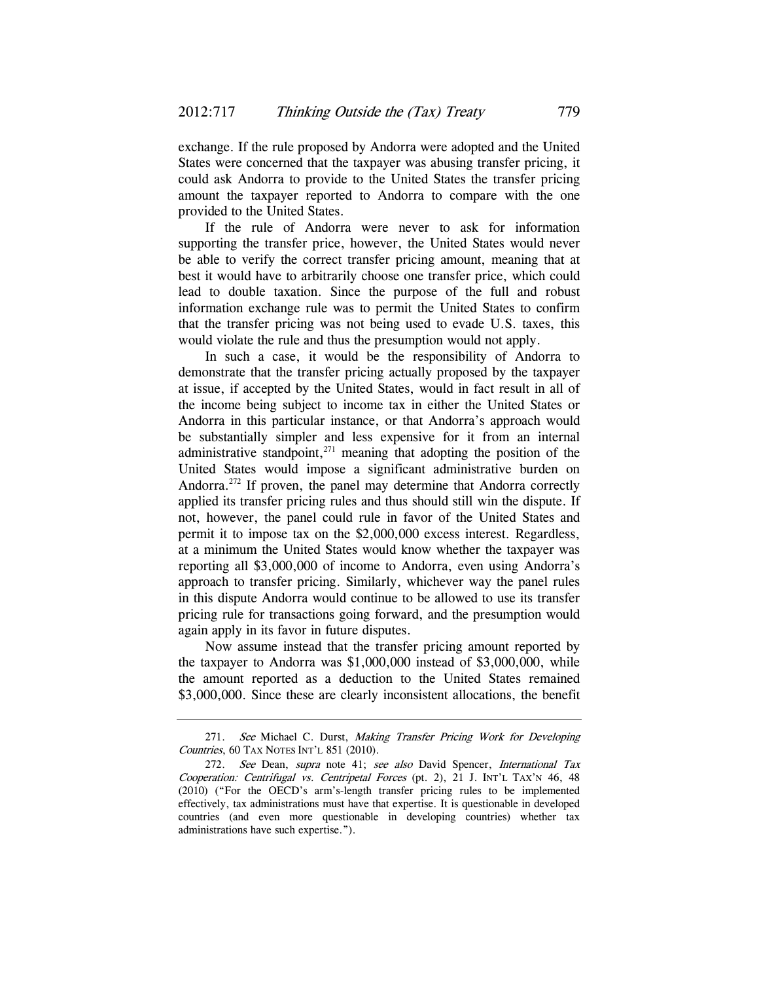exchange. If the rule proposed by Andorra were adopted and the United States were concerned that the taxpayer was abusing transfer pricing, it could ask Andorra to provide to the United States the transfer pricing amount the taxpayer reported to Andorra to compare with the one provided to the United States.

If the rule of Andorra were never to ask for information supporting the transfer price, however, the United States would never be able to verify the correct transfer pricing amount, meaning that at best it would have to arbitrarily choose one transfer price, which could lead to double taxation. Since the purpose of the full and robust information exchange rule was to permit the United States to confirm that the transfer pricing was not being used to evade U.S. taxes, this would violate the rule and thus the presumption would not apply.

In such a case, it would be the responsibility of Andorra to demonstrate that the transfer pricing actually proposed by the taxpayer at issue, if accepted by the United States, would in fact result in all of the income being subject to income tax in either the United States or Andorra in this particular instance, or that Andorra's approach would be substantially simpler and less expensive for it from an internal administrative standpoint, $271$  meaning that adopting the position of the United States would impose a significant administrative burden on Andorra.<sup>272</sup> If proven, the panel may determine that Andorra correctly applied its transfer pricing rules and thus should still win the dispute. If not, however, the panel could rule in favor of the United States and permit it to impose tax on the \$2,000,000 excess interest. Regardless, at a minimum the United States would know whether the taxpayer was reporting all \$3,000,000 of income to Andorra, even using Andorra's approach to transfer pricing. Similarly, whichever way the panel rules in this dispute Andorra would continue to be allowed to use its transfer pricing rule for transactions going forward, and the presumption would again apply in its favor in future disputes.

Now assume instead that the transfer pricing amount reported by the taxpayer to Andorra was \$1,000,000 instead of \$3,000,000, while the amount reported as a deduction to the United States remained \$3,000,000. Since these are clearly inconsistent allocations, the benefit

<sup>271.</sup> See Michael C. Durst, Making Transfer Pricing Work for Developing Countries, 60 TAX NOTES INT'L 851 (2010).

<sup>272.</sup> See Dean, supra note 41; see also David Spencer, International Tax Cooperation: Centrifugal vs. Centripetal Forces (pt. 2), 21 J. INT'L TAX'N 46, 48 (2010) ("For the OECD's arm's-length transfer pricing rules to be implemented effectively, tax administrations must have that expertise. It is questionable in developed countries (and even more questionable in developing countries) whether tax administrations have such expertise.").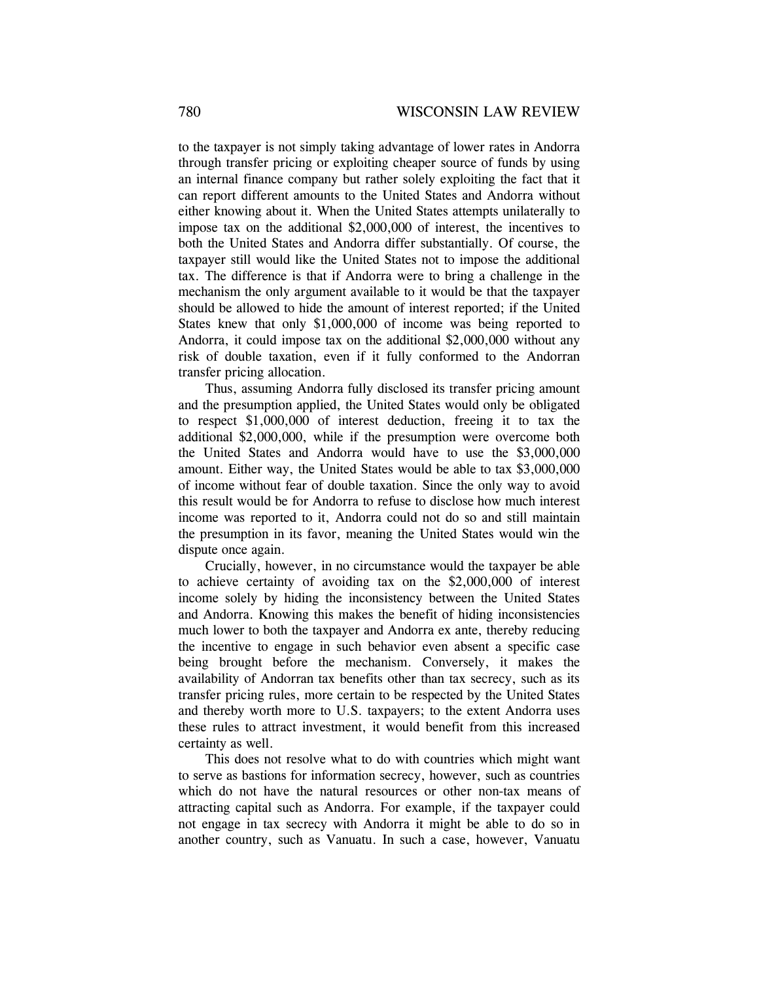to the taxpayer is not simply taking advantage of lower rates in Andorra through transfer pricing or exploiting cheaper source of funds by using an internal finance company but rather solely exploiting the fact that it can report different amounts to the United States and Andorra without either knowing about it. When the United States attempts unilaterally to impose tax on the additional \$2,000,000 of interest, the incentives to both the United States and Andorra differ substantially. Of course, the taxpayer still would like the United States not to impose the additional tax. The difference is that if Andorra were to bring a challenge in the mechanism the only argument available to it would be that the taxpayer should be allowed to hide the amount of interest reported; if the United States knew that only \$1,000,000 of income was being reported to Andorra, it could impose tax on the additional \$2,000,000 without any risk of double taxation, even if it fully conformed to the Andorran transfer pricing allocation.

Thus, assuming Andorra fully disclosed its transfer pricing amount and the presumption applied, the United States would only be obligated to respect \$1,000,000 of interest deduction, freeing it to tax the additional \$2,000,000, while if the presumption were overcome both the United States and Andorra would have to use the \$3,000,000 amount. Either way, the United States would be able to tax \$3,000,000 of income without fear of double taxation. Since the only way to avoid this result would be for Andorra to refuse to disclose how much interest income was reported to it, Andorra could not do so and still maintain the presumption in its favor, meaning the United States would win the dispute once again.

Crucially, however, in no circumstance would the taxpayer be able to achieve certainty of avoiding tax on the \$2,000,000 of interest income solely by hiding the inconsistency between the United States and Andorra. Knowing this makes the benefit of hiding inconsistencies much lower to both the taxpayer and Andorra ex ante, thereby reducing the incentive to engage in such behavior even absent a specific case being brought before the mechanism. Conversely, it makes the availability of Andorran tax benefits other than tax secrecy, such as its transfer pricing rules, more certain to be respected by the United States and thereby worth more to U.S. taxpayers; to the extent Andorra uses these rules to attract investment, it would benefit from this increased certainty as well.

This does not resolve what to do with countries which might want to serve as bastions for information secrecy, however, such as countries which do not have the natural resources or other non-tax means of attracting capital such as Andorra. For example, if the taxpayer could not engage in tax secrecy with Andorra it might be able to do so in another country, such as Vanuatu. In such a case, however, Vanuatu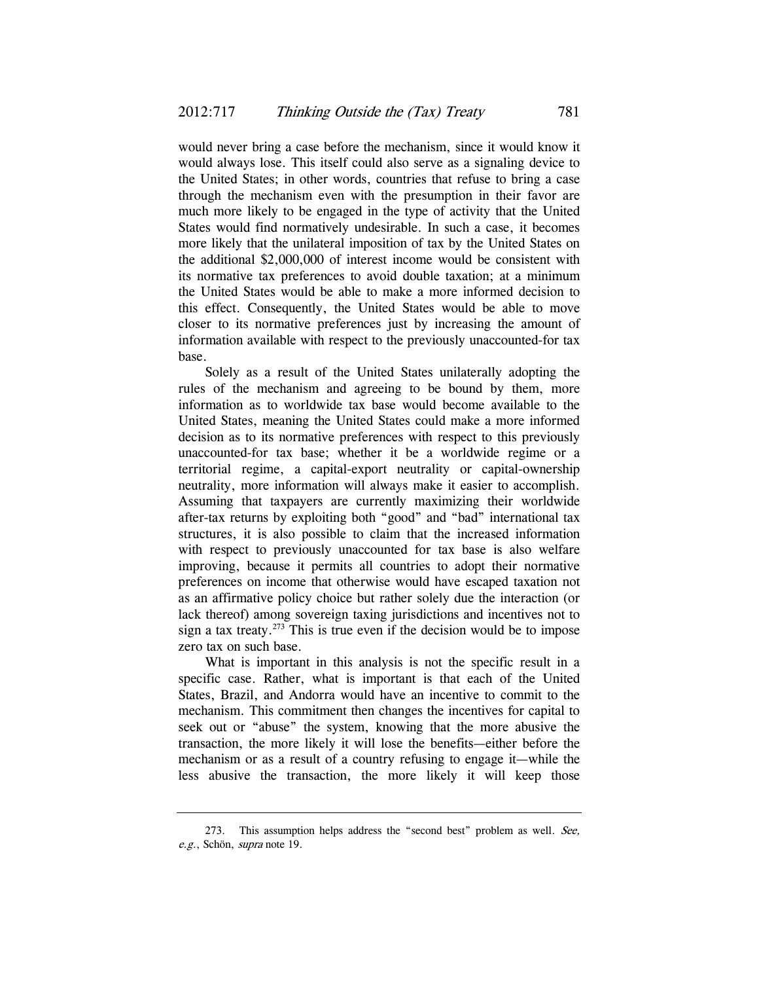would never bring a case before the mechanism, since it would know it would always lose. This itself could also serve as a signaling device to the United States; in other words, countries that refuse to bring a case through the mechanism even with the presumption in their favor are much more likely to be engaged in the type of activity that the United States would find normatively undesirable. In such a case, it becomes more likely that the unilateral imposition of tax by the United States on the additional \$2,000,000 of interest income would be consistent with its normative tax preferences to avoid double taxation; at a minimum the United States would be able to make a more informed decision to this effect. Consequently, the United States would be able to move closer to its normative preferences just by increasing the amount of information available with respect to the previously unaccounted-for tax base.

Solely as a result of the United States unilaterally adopting the rules of the mechanism and agreeing to be bound by them, more information as to worldwide tax base would become available to the United States, meaning the United States could make a more informed decision as to its normative preferences with respect to this previously unaccounted-for tax base; whether it be a worldwide regime or a territorial regime, a capital-export neutrality or capital-ownership neutrality, more information will always make it easier to accomplish. Assuming that taxpayers are currently maximizing their worldwide after-tax returns by exploiting both "good" and "bad" international tax structures, it is also possible to claim that the increased information with respect to previously unaccounted for tax base is also welfare improving, because it permits all countries to adopt their normative preferences on income that otherwise would have escaped taxation not as an affirmative policy choice but rather solely due the interaction (or lack thereof) among sovereign taxing jurisdictions and incentives not to sign a tax treaty.<sup>273</sup> This is true even if the decision would be to impose zero tax on such base.

What is important in this analysis is not the specific result in a specific case. Rather, what is important is that each of the United States, Brazil, and Andorra would have an incentive to commit to the mechanism. This commitment then changes the incentives for capital to seek out or "abuse" the system, knowing that the more abusive the transaction, the more likely it will lose the benefits—either before the mechanism or as a result of a country refusing to engage it—while the less abusive the transaction, the more likely it will keep those

<sup>273.</sup> This assumption helps address the "second best" problem as well. See, e.g., Schön, supra note 19.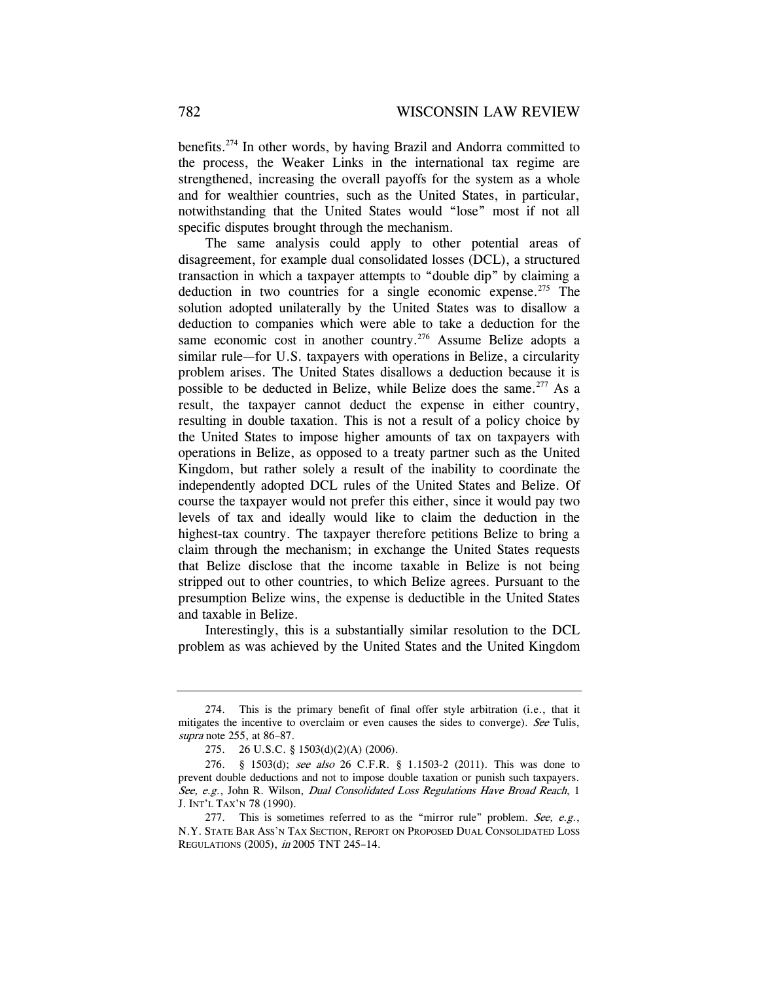benefits.274 In other words, by having Brazil and Andorra committed to the process, the Weaker Links in the international tax regime are strengthened, increasing the overall payoffs for the system as a whole and for wealthier countries, such as the United States, in particular, notwithstanding that the United States would "lose" most if not all specific disputes brought through the mechanism.

The same analysis could apply to other potential areas of disagreement, for example dual consolidated losses (DCL), a structured transaction in which a taxpayer attempts to "double dip" by claiming a deduction in two countries for a single economic expense.<sup>275</sup> The solution adopted unilaterally by the United States was to disallow a deduction to companies which were able to take a deduction for the same economic cost in another country.<sup>276</sup> Assume Belize adopts a similar rule—for U.S. taxpayers with operations in Belize, a circularity problem arises. The United States disallows a deduction because it is possible to be deducted in Belize, while Belize does the same.<sup>277</sup> As a result, the taxpayer cannot deduct the expense in either country, resulting in double taxation. This is not a result of a policy choice by the United States to impose higher amounts of tax on taxpayers with operations in Belize, as opposed to a treaty partner such as the United Kingdom, but rather solely a result of the inability to coordinate the independently adopted DCL rules of the United States and Belize. Of course the taxpayer would not prefer this either, since it would pay two levels of tax and ideally would like to claim the deduction in the highest-tax country. The taxpayer therefore petitions Belize to bring a claim through the mechanism; in exchange the United States requests that Belize disclose that the income taxable in Belize is not being stripped out to other countries, to which Belize agrees. Pursuant to the presumption Belize wins, the expense is deductible in the United States and taxable in Belize.

Interestingly, this is a substantially similar resolution to the DCL problem as was achieved by the United States and the United Kingdom

 <sup>274.</sup> This is the primary benefit of final offer style arbitration (i.e., that it mitigates the incentive to overclaim or even causes the sides to converge). See Tulis, supra note 255, at 86–87.

 <sup>275. 26</sup> U.S.C. § 1503(d)(2)(A) (2006).

 <sup>276. § 1503(</sup>d); see also 26 C.F.R. § 1.1503-2 (2011). This was done to prevent double deductions and not to impose double taxation or punish such taxpayers. See, e.g., John R. Wilson, Dual Consolidated Loss Regulations Have Broad Reach, 1 J. INT'L TAX'N 78 (1990).

<sup>277.</sup> This is sometimes referred to as the "mirror rule" problem. See, e.g., N.Y. STATE BAR ASS'N TAX SECTION, REPORT ON PROPOSED DUAL CONSOLIDATED LOSS REGULATIONS (2005), in 2005 TNT 245–14.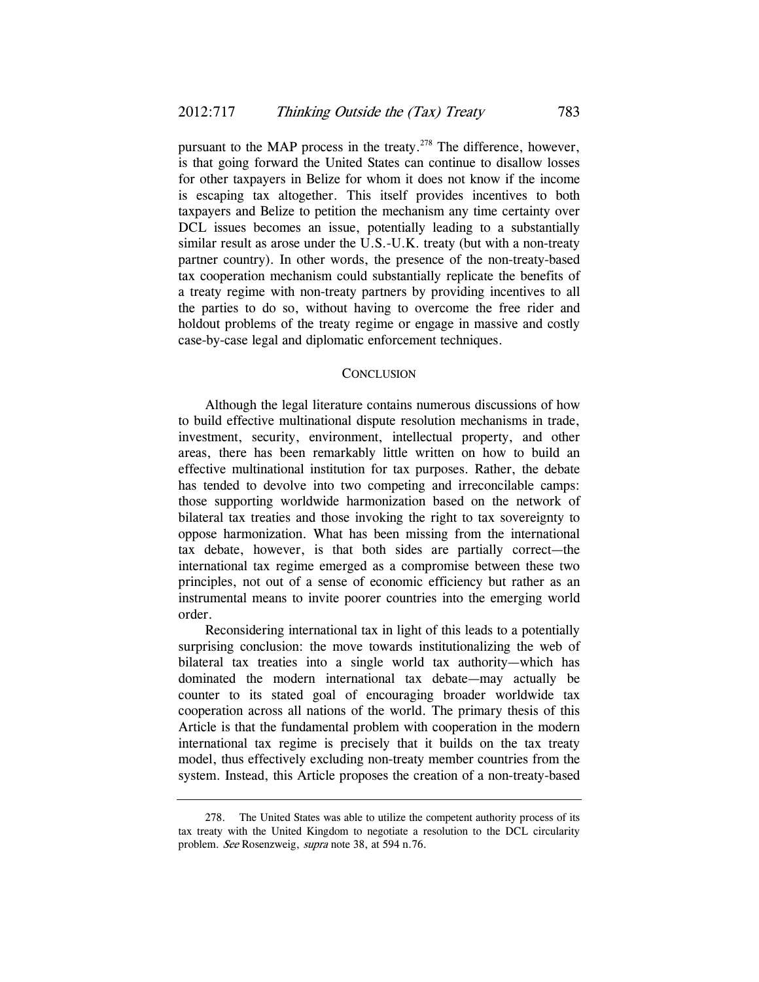pursuant to the MAP process in the treaty.<sup>278</sup> The difference, however, is that going forward the United States can continue to disallow losses for other taxpayers in Belize for whom it does not know if the income is escaping tax altogether. This itself provides incentives to both taxpayers and Belize to petition the mechanism any time certainty over DCL issues becomes an issue, potentially leading to a substantially similar result as arose under the U.S.-U.K. treaty (but with a non-treaty partner country). In other words, the presence of the non-treaty-based tax cooperation mechanism could substantially replicate the benefits of a treaty regime with non-treaty partners by providing incentives to all the parties to do so, without having to overcome the free rider and holdout problems of the treaty regime or engage in massive and costly case-by-case legal and diplomatic enforcement techniques.

#### **CONCLUSION**

Although the legal literature contains numerous discussions of how to build effective multinational dispute resolution mechanisms in trade, investment, security, environment, intellectual property, and other areas, there has been remarkably little written on how to build an effective multinational institution for tax purposes. Rather, the debate has tended to devolve into two competing and irreconcilable camps: those supporting worldwide harmonization based on the network of bilateral tax treaties and those invoking the right to tax sovereignty to oppose harmonization. What has been missing from the international tax debate, however, is that both sides are partially correct—the international tax regime emerged as a compromise between these two principles, not out of a sense of economic efficiency but rather as an instrumental means to invite poorer countries into the emerging world order.

Reconsidering international tax in light of this leads to a potentially surprising conclusion: the move towards institutionalizing the web of bilateral tax treaties into a single world tax authority—which has dominated the modern international tax debate—may actually be counter to its stated goal of encouraging broader worldwide tax cooperation across all nations of the world. The primary thesis of this Article is that the fundamental problem with cooperation in the modern international tax regime is precisely that it builds on the tax treaty model, thus effectively excluding non-treaty member countries from the system. Instead, this Article proposes the creation of a non-treaty-based

 <sup>278.</sup> The United States was able to utilize the competent authority process of its tax treaty with the United Kingdom to negotiate a resolution to the DCL circularity problem. See Rosenzweig, supra note 38, at 594 n.76.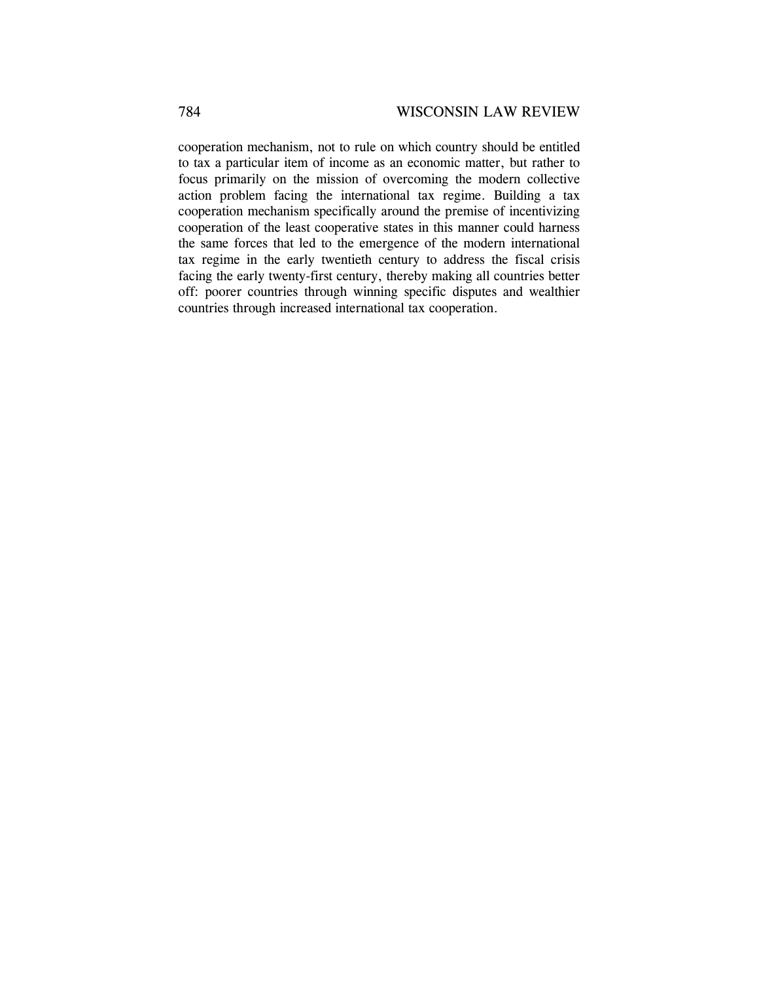cooperation mechanism, not to rule on which country should be entitled to tax a particular item of income as an economic matter, but rather to focus primarily on the mission of overcoming the modern collective action problem facing the international tax regime. Building a tax cooperation mechanism specifically around the premise of incentivizing cooperation of the least cooperative states in this manner could harness the same forces that led to the emergence of the modern international tax regime in the early twentieth century to address the fiscal crisis facing the early twenty-first century, thereby making all countries better off: poorer countries through winning specific disputes and wealthier countries through increased international tax cooperation.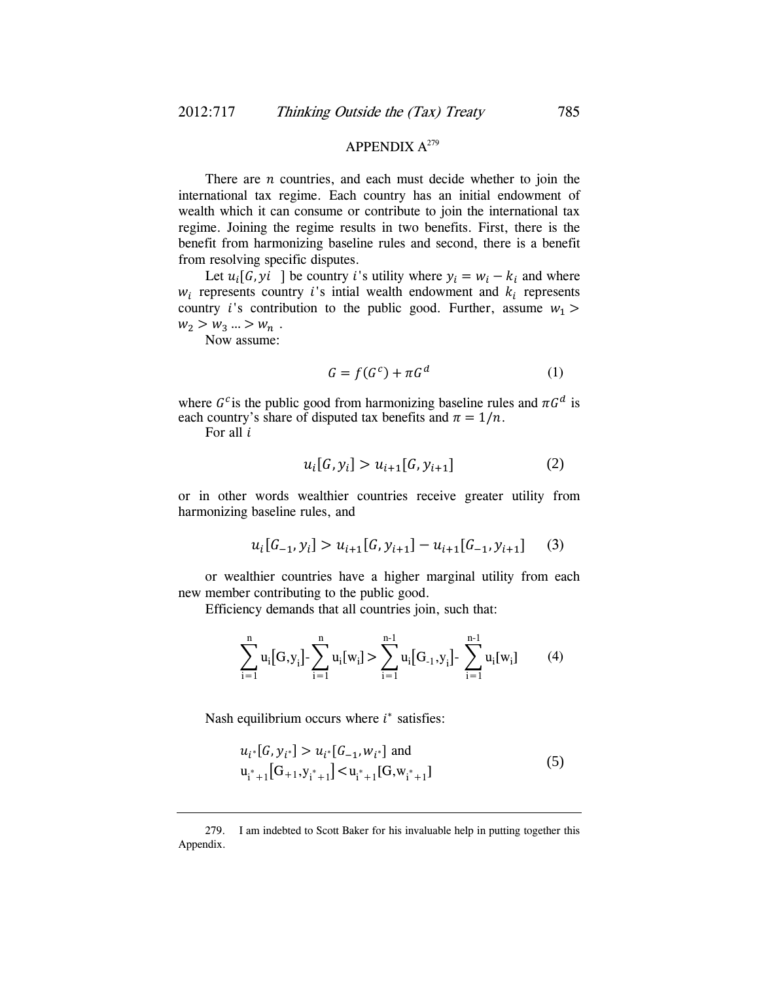# APPENDIX  $A^{279}$

There are  $n$  countries, and each must decide whether to join the international tax regime. Each country has an initial endowment of wealth which it can consume or contribute to join the international tax regime. Joining the regime results in two benefits. First, there is the benefit from harmonizing baseline rules and second, there is a benefit from resolving specific disputes.

Let  $u_i[G, yi]$  be country *i*'s utility where  $y_i = w_i - k_i$  and where  $w_i$  represents country *i*'s intial wealth endowment and  $k_i$  represents country *i*'s contribution to the public good. Further, assume  $w_1$  $w_2 > w_3 ... > w_n$ .

Now assume:

$$
G = f(G^c) + \pi G^d \tag{1}
$$

where  $G<sup>c</sup>$  is the public good from harmonizing baseline rules and  $\pi G<sup>d</sup>$  is each country's share of disputed tax benefits and  $\pi = 1/n$ .

For all  $i$ 

$$
u_i[G, y_i] > u_{i+1}[G, y_{i+1}] \tag{2}
$$

or in other words wealthier countries receive greater utility from harmonizing baseline rules, and

$$
u_i[G_{-1}, y_i] > u_{i+1}[G, y_{i+1}] - u_{i+1}[G_{-1}, y_{i+1}] \tag{3}
$$

or wealthier countries have a higher marginal utility from each new member contributing to the public good.

Efficiency demands that all countries join, such that:

$$
\sum_{i=1}^{n} u_i [G, y_i] - \sum_{i=1}^{n} u_i [w_i] > \sum_{i=1}^{n-1} u_i [G_{-1}, y_i] - \sum_{i=1}^{n-1} u_i [w_i]
$$
(4)

Nash equilibrium occurs where  $i^*$  satisfies:

$$
u_{i^*}[G, y_{i^*}] > u_{i^*}[G_{-1}, w_{i^*}] \text{ and}
$$
  
\n
$$
u_{i^*+1} [G_{+1}, y_{i^*+1}] < u_{i^*+1} [G, w_{i^*+1}]
$$
\n(5)

 <sup>279.</sup> I am indebted to Scott Baker for his invaluable help in putting together this Appendix.